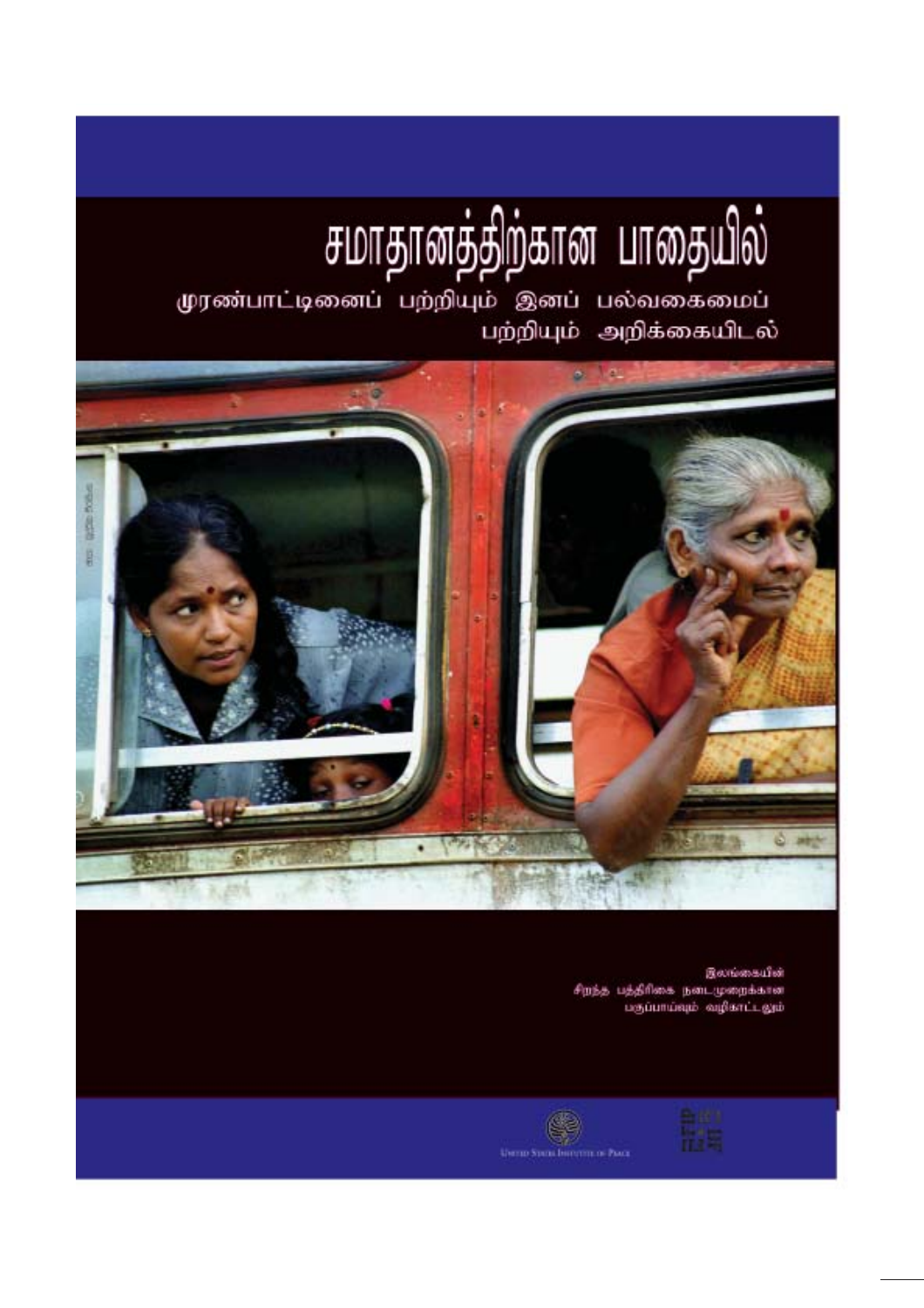# சமாதாளத்திற்கான பாதையில்<br>முன்பாட்டினைப் பற்றியும் இனப் பல்வகைமைப்

பற்றியும் அறிக்கையிடல்



இலங்கையின் சிறந்த பத்திரிகை நடைமுறைக்கான பகுப்பாய்வும் வழிகாட்டலும்



體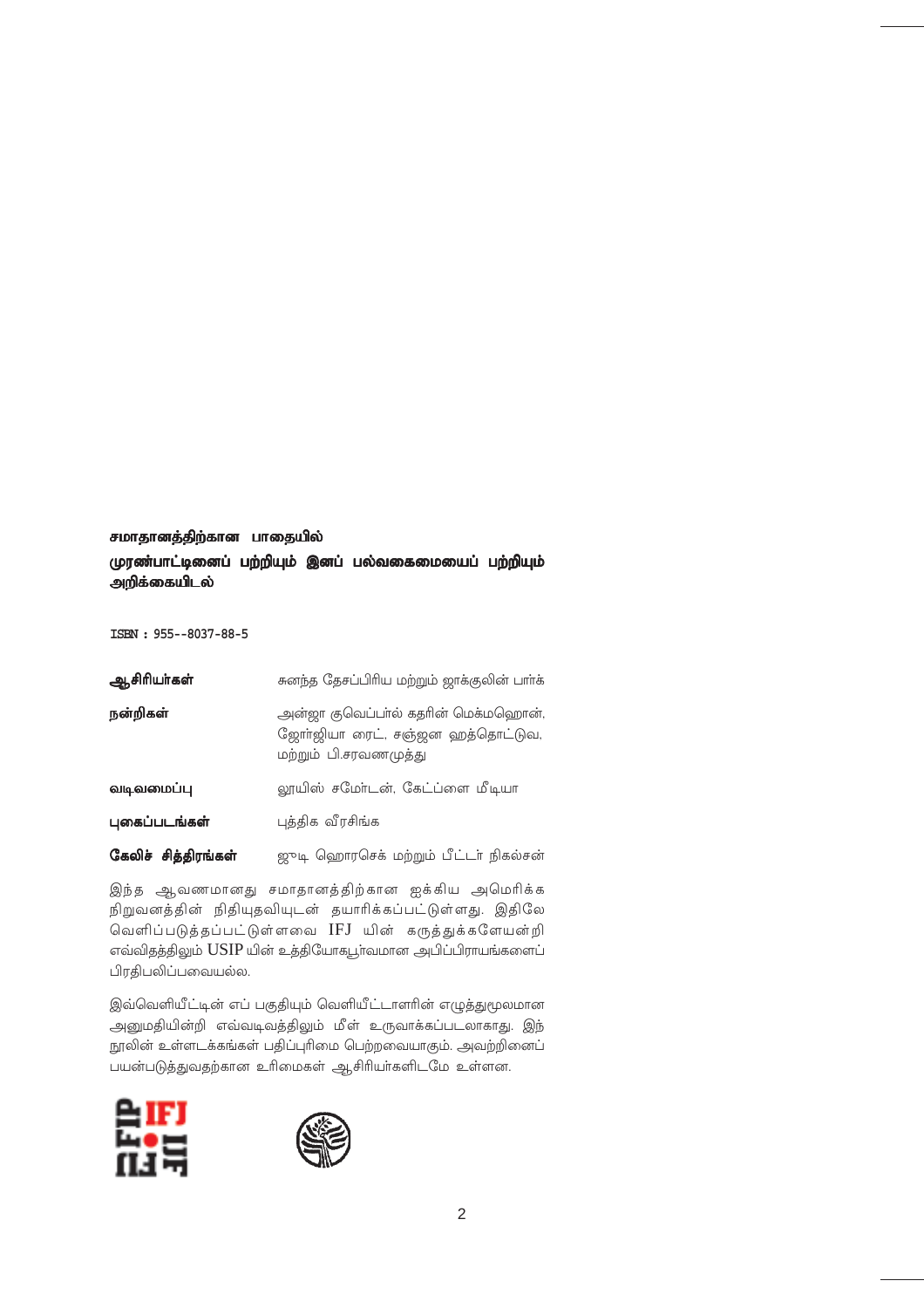# சமாதானத்திற்கான பாதையில் முரண்பாட்டினைப் பற்றியும் இனப் பல்வகைமையைப் பற்றியும் அறிக்கையிடல்

**ISBN : 955--8037-88-5**

| ஆசிரியா்கள்   | சுனந்த தேசப்பிரிய மற்றும் ஜாக்குலின் பாா்க்                                                     |
|---------------|-------------------------------------------------------------------------------------------------|
| நன்றிகள்      | அன்ஜா குவெப்பால் கதரின் மெக்மஹொன்,<br>ஜோா்ஜியா ரைட், சஞ்ஜன ஹத்தொட்டுவ,<br>மற்றும் பி.சரவணமுத்து |
| வடிவமைப்பு    | லூயிஸ் சமோ்டன், கேட்ப்ளை மீடியா                                                                 |
| புகைப்படங்கள் | புத்திக வீரசிங்க                                                                                |
| $\sim$        |                                                                                                 |

கேலிச் சித்திரங்கள் ஜுடி ஹொரசெக் மற்றும் பீட்டா் நிகல்சன்

இந்த ஆவணமானது சமாதானத்திற்கான ஐக்கிய அமெரிக்க நிறுவனத்தின் நிதியுதவியுடன் தயாரிக்கப்பட்டுள்ளது. இதிலே வெளிப்படுத்தப்பட்டுள்ளவை IFJ யின் கருத்துக்களேயன்றி எவ்விதத்திலும் USIP யின் உத்தியோகபூர்வமான அபிப்பிராயங்களைப் பிரதிபலிப்பவையல்ல.

இவ்வெளியீட்டின் எப் பகுதியும் வெளியீட்டாளரின் எழுத்துமூலமான அனுமதியின்றி எவ்வடிவத்திலும் மீள் உருவாக்கப்படலாகாது. இந் நூலின் உள்ளடக்கங்கள் பதிப்புரிமை பெற்றவையாகும். அவற்றினைப் பயன்படுத்துவதற்கான உரிமைகள் ஆசிரியா்களிடமே உள்ளன.



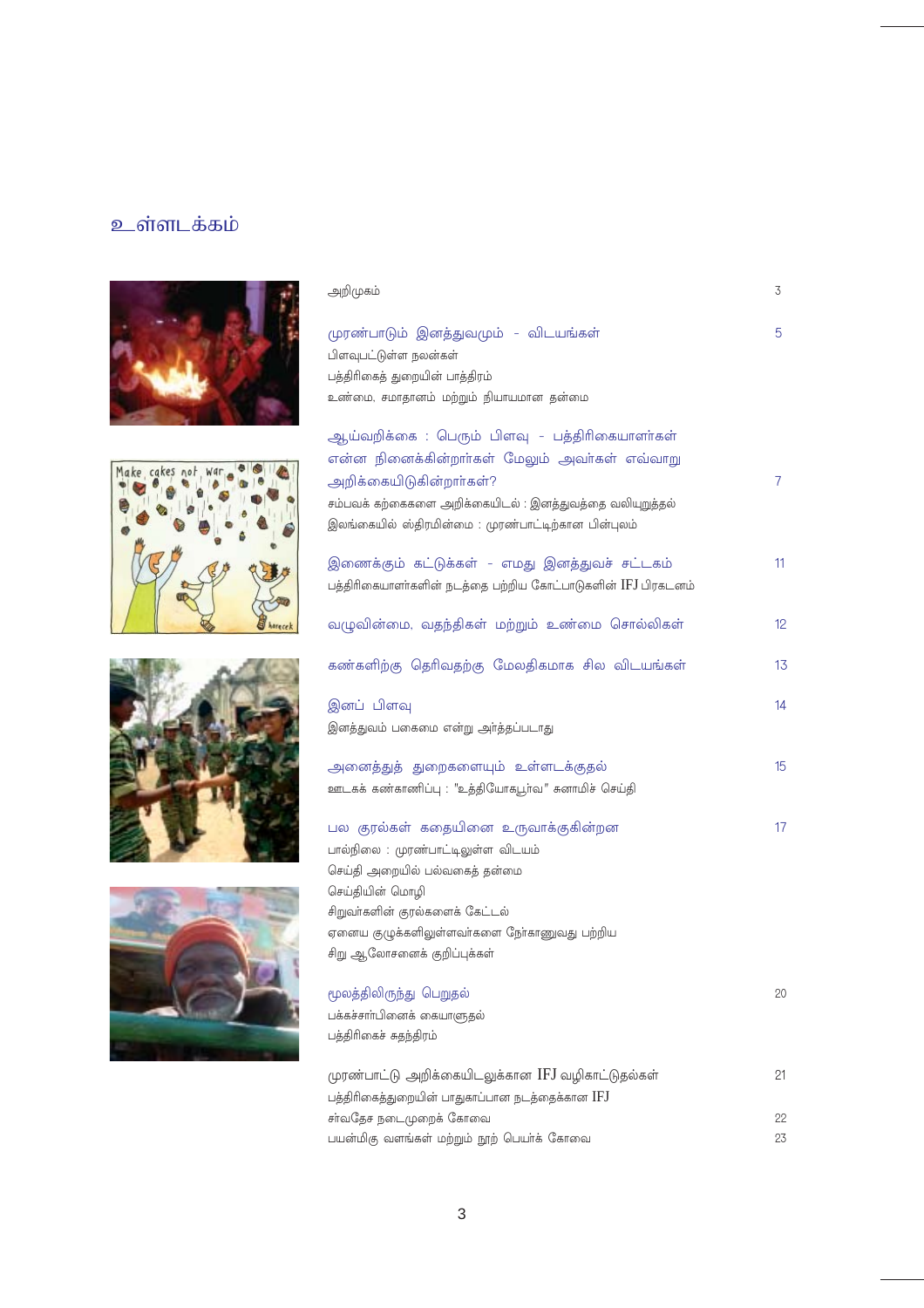# உள்ளடக்கம்









| அறிமுகம்                                                                                                                                                                                                                                       | 3              |
|------------------------------------------------------------------------------------------------------------------------------------------------------------------------------------------------------------------------------------------------|----------------|
| முரண்பாடும் இனத்துவமும் - விடயங்கள்<br>பிளவுபட்டுள்ள நலன்கள <mark>்</mark><br>பத்திரிகைத் துறையின் பாத்திரம்<br>உண்மை. சமாதானம் மற்றும் நியாயமான தன்மை                                                                                         | 5              |
| ஆய்வறிக்கை : பெரும் பிளவு – பத்திரிகையாளா்கள்<br>என்ன நினைக்கின்றாா்கள் மேலும் அவா்கள் எவ்வாறு<br>அறிக்கையிடுகின்றாா்கள்?<br>சம்பவக் கற்கைகளை அறிக்கையிடல் : இனத்துவத்தை வலியுறுத்தல்<br>இலங்கையில் ஸ்திரமின்மை : முரண்பாட்டிற்கான பின்புலம்   | $\overline{7}$ |
| இணைக்கும் கட்டுக்கள் - எமது இனத்துவச் சட்டகம்<br>பத்திரிகையாளர்களின் நடத்தை பற்றிய கோட்பாடுகளின் IFJ பிரகடனம்                                                                                                                                  | 11             |
| வழுவின்மை. வதந்திகள் மற்றும் உண்மை சொல்லிகள்                                                                                                                                                                                                   | 12             |
| கண்களிற்கு தெரிவதற்கு மேலதிகமாக சில விடயங்கள்                                                                                                                                                                                                  | 13             |
| இனப் பிளவு<br>இனத்துவம் பகைமை என்று அா்த்தப்படாது                                                                                                                                                                                              | 14             |
| அனைத்துத் துறைகளையும் உள்ளடக்குதல்<br>ஊடகக் கண்காணிப்பு : "உத்தியோகபூர்வ" சுனாமிச் செய்தி                                                                                                                                                      | 15             |
| பல குரல்கள் கதையினை உருவாக்குகின்றன<br>பால்நிலை : முரண்பாட்டிலுள்ள விடயம்<br>செய்தி அறையில் பல்வகைத் தன்மை<br>செய்தியின் மொழி<br>சிறுவா்களின் குரல்களைக் கேட்டல்<br>ஏனைய குழுக்களிலுள்ளவா்களை நோ்காணுவது பற்றிய<br>சிறு ஆலோசனைக் குறிப்புக்கள் | 17             |
| மூலத்திலிருந்து பெறுதல்<br>பக்கச்சாா்பினைக் கையாளுதல்<br>பத்திரிகைச் சுதந்திரம்                                                                                                                                                                | 20             |
| முரண்பாட்டு அறிக்கையிடலுக்கான IFJ வழிகாட்டுதல்கள்<br>பத்திரிகைத்துறையின் பாதுகாப்பான நடத்தைக்கான $\operatorname{IFJ}$                                                                                                                          | 21             |

சாவதேச நடைமுறைக் கோவை மால் முடிக்கை கால் காலை 22 குறித்திருந்தது. அதில் முடிக்கு முடிக்கு முடிக்கு முடிக்கு மு ரிக்கும் கூடி<br>பயன்மிகு வளங்கள் மற்றும் நூற் பெயாக் கோவை

3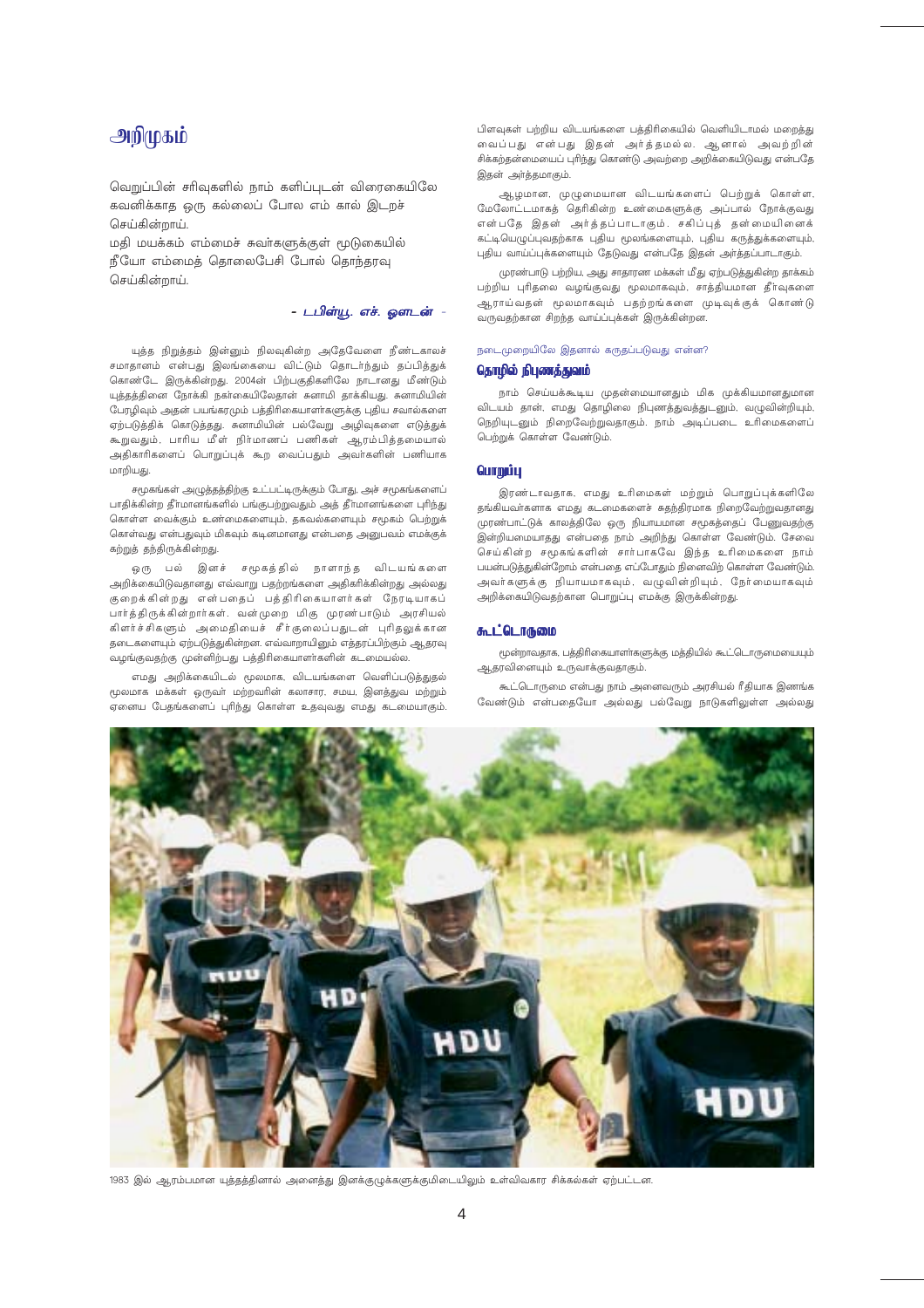# அறிமுகம்

வெறுப்பின் சரிவுகளில் நாம் களிப்புடன் விரைகையிலே கவனிக்காத ஒரு கல்லைப் போல எம் கால் இடாச் செய்கின்றாய்.

மதி மயக்கம் எம்மைச் சுவா்களுக்குள் மூடுகையில் நீயோ எம்மைத் தொலைபேசி போல் தொந்தரவு செய்கின்றாய்.

# - டபிள்யூ. எச். ஓளடன் -

யுத்த நிறுத்தம் இன்னும் நிலவுகின்ற அதேவேளை நீண்டகாலச் .<br>சமாதானம் என்பது இலங்கையை விட்டும் தொடாந்தும் தப்பித்துக் ்<br>கொண்டே இருக்கின்றது. 2004ன் பிற்பகுதிகளிலே நாடானது மீண்டும் யுத்தத்தினை நோக்கி நகா்கையிலேதான் சுனாமி தாக்கியது. சுனாமியின் பேரழிவும் அதன் பயங்கரமும் பத்திரிகையாளர்களுக்கு புதிய சவால்களை ஏற்படுத்திக் கொடுத்தது. சுனாமியின் பல்வேறு அழிவுகளை எடுத்துக் கூறுவதும், பாரிய மீள் நிர்மாணப் பணிகள் ஆரம்பித்தமையால் அதிகாரிகளைப் பொறுப்புக் கூற வைப்பதும் அவாகளின் பணியாக மாறியது.

சமூகங்கள் அழுத்தத்திற்கு உட்பட்டிருக்கும் போது, அச் சமூகங்களைப் பாதிக்கின்ற தீா்மானங்களில் பங்குபற்றுவதும் அத் தீா்மானங்களை புரிந்து கொள்ள வைக்கும் உண்மைகளையும், தகவல்களையும் சமூகம் பெற்றுக் கொள்வது என்பதுவும் மிகவும் கடினமானது என்பதை அனுபவம் எமக்குக் கற்றுத் தந்திருக்கின்றது.

ஒரு பல் இனச் சமூகத்தில் நாளாந்த விடயங்களை அறிக்கையிடுவதானது எவ்வாறு பதற்றங்களை அதிகரிக்கின்றது அல்லது குறைக்கின்றது என்பதைப் பத்திரிகையாளர்கள் நேரடியாகப் பார்த்திருக்கின்றார்கள். வன்முறை மிகு முரண்பாடும் அரசியல் கிளர்ச்சிகளும் அமைதியைச் சீர்குலைப்பதுடன் புரிதலுக்கான தடைகளையும் ஏற்படுத்துகின்றன. எவ்வாறாயினும் எத்தரப்பிற்கும் ஆதரவு வழங்குவதற்கு முன்னிற்பது பத்திரிகையாளா்களின் கடமையல்ல.

எமது அறிக்கையிடல் மூலமாக, விடயங்களை வெளிப்படுத்துதல் மூலமாக மக்கள் ஒருவா் மற்றவாின் கலாசார, சமய, இனத்துவ மற்றும் ு<br>ஏனைய பேதங்களைப் புரிந்து கொள்ள உதவுவது எமது கடமையாகும்.

பிளவுகள் பற்றிய விடயங்களை பத்திரிகையில் வெளியிடாமல் மறைத்து .<br>வைப்பது என்பது இதன் அர்த்தமல்ல. ஆனால் அவற்றின் சிக்கற்தன்மையைப் புரிந்து கொண்டு அவற்றை அறிக்கையிடுவது என்பதே இதன் அர்த்தமாகும்.

ஆழமான, முழுமையான விடயங்களைப் பெற்றுக் கொள்ள, மேலோட்டமாகத் தெரிகின்ற உண்மைகளுக்கு அப்பால் நோக்குவது என்பதே இதன் அர்த்தப்பாடாகும். சகிப்புத் தன்மையினைக் கட்டியெழுப்புவதற்காக புதிய மூலங்களையும், புதிய கருத்துக்களையும், புதிய வாய்ப்புக்களையும் தேடுவது என்பதே இதன் அாத்தப்பாடாகும்.

முரண்பாடு பற்றிய, அது சாதாரண மக்கள் மீது ஏற்படுத்துகின்ற தாக்கம் பற்றிய புரிதலை வழங்குவது மூலமாகவும், சாத்தியமான தீர்வுகளை ஆராய்வதன் மூலமாகவும் பதற்றங்களை முடிவுக்குக் கொண்டு வருவதற்கான சிறந்த வாய்ப்புக்கள் இருக்கின்றன.

## நடைமுறையிலே இதனால் கருதப்படுவது என்ன?

#### கொமில் நிபணக்குவம்

நாம் செய்யக்கூடிய முதன்மையானதும் மிக முக்கியமானதுமான விடயம் தான், எமது தொழிலை நிபுணத்துவத்துடனும், வழுவின்றியும், நெறியுடனும் நிறைவேற்றுவதாகும். நாம் அடிப்படை உரிமைகளைப் பெற்றுக் கொள்ள வேண்டும்.

# Gurmulu

இரண்டாவதாக, எமது உரிமைகள் மற்றும் பொறுப்புக்களிலே தங்கியவாகளாக எமது கடமைகளைச் சுதந்திரமாக நிறைவேற்றுவதானது முரண்பாட்டுக் காலத்திலே ஒரு நியாயமான சமூகத்தைப் பேணுவதற்கு .<br>இன்றியமையாதது என்பதை நாம் அறிந்து கொள்ள வேண்டும். சேவை செய்கின்ற சமூகங்களின் சாா்பாகவே இந்த உரிமைகளை நாம் பயன்படுத்துகின்றோம் என்பதை எப்போதும் நினைவிற் கொள்ள வேண்டும். அவர்களுக்கு நியாயமாகவும், வழுவின்றியும், நோ்மையாகவும் அறிக்கையிடுவதற்கான பொறுப்பு எமக்கு இருக்கின்றது.

#### <u>கூட்டொருமை</u>

மூன்றாவதாக, பத்திரிகையாளா்களுக்கு மத்தியில் கூட்டொருமையையும் ஆதரவினையும் உருவாக்குவதாகும்.

கூட்டொருமை என்பது நாம் அனைவரும் அரசியல் ரீதியாக இணங்க வேண்டும் என்பதையோ அல்லது பல்வேறு நாடுகளிலுள்ள அல்லது



.<br>1983 இல் ஆரம்பமான யுத்தத்தினால் அனைத்து இனக்குழுக்களுக்குமிடையிலும் உள்விவகார சிக்கல்கள் ஏற்பட்டன.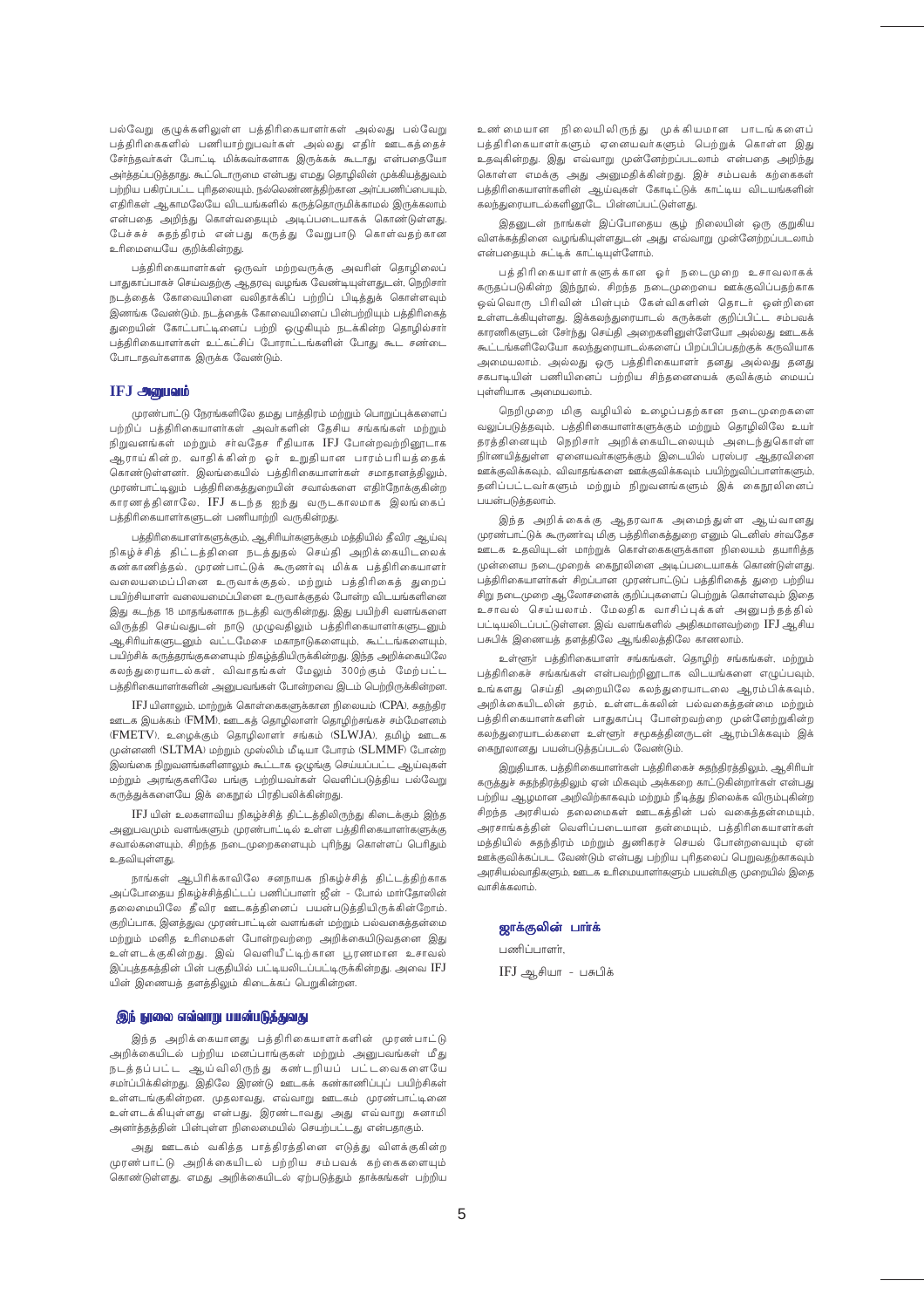பல்வேறு குழுக்களிலுள்ள பத்திரிகையாளர்கள் அல்லது பல்வேறு .<br>பத்திரிகைகளில் பணியாற்றுபவாகள் அல்லது எதிா் ஊடகத்தைச் சோந்தவாகள் போட்டி மிக்கவாகளாக இருக்கக் கூடாது என்பதையோ அாத்தப்படுத்தாது. கூட்டொருமை என்பது எமது தொழிலின் முக்கியத்துவம் பற்றிய பகிரப்பட்ட புரிதலையும், நல்லெண்ணத்திற்கான அாப்பணிப்பையும், எதிரிகள் ஆகாமலேயே விடயங்களில் கருத்தொருமிக்காமல் இருக்கலாம் .<br>என்பதை அறிந்து கொள்வதையும் அடிப்படையாகக் கொண்டுள்ளது. பேச்சுச் சுதந்திரம் என்பது கருத்து வேறுபாடு கொள்வதற்கான உரிமையையே குறிக்கின்றது.

பத்திரிகையாளா்கள் ஒருவா் மற்றவருக்கு அவரின் தொழிலைப் பாதுகாப்பாகச் செய்வதற்கு ஆதரவு வழங்க வேண்டியுள்ளதுடன், நெறிசாா நடத்தைக் கோவையினை வலிதாக்கிப் பற்றிப் பிடித்துக் கொள்ளவும் இணங்க வேண்டும். நடத்தைக் கோவையினைப் பின்பற்றியும் பத்திரிகைத் துறையின் கோட்பாட்டினைப் பற்றி ஒழுகியும் நடக்கின்ற தொழில்சாா் பத்திரிகையாளர்கள் உட்கட்சிப் போராட்டங்களின் போது கூட சண்டை போடாதவாகளாக இருக்க வேண்டும்.

#### **IFJ** *Mg***uani**

முரண்பாட்டு நேரங்களிலே தமது பாத்திரம் மற்றும் பொறுப்புக்களைப் பற்றிப் பத்திரிகையாளர்கள் அவர்களின் தேசிய சங்கங்கள் மற்றும் நிறுவனங்கள் மற்றும் சர்வதேச ரீதியாக IFJ போன்றவற்றினூடாக .<br>அராய்கின்ற, வாதிக்கின்ற ஓர் உறுதியான பாரம்பரியத்தைக் கொண்டுள்ளனர். இலங்கையில் பத்திரிகையாளர்கள் சமாதானத்திலும், முரண்பாட்டிலும் பத்திரிகைத்துறையின் சவால்களை எதிர்நோக்குகின்ற காரணத்தினாலே, IFJ கடந்த ஐந்து வருடகாலமாக இலங்கைப் பத்திரிகையாளா்களுடன் பணியாற்றி வருகின்றது.

பத்திரிகையாளாகளுக்கும், ஆசிரியாகளுக்கும் மத்தியில் தீவிர ஆய்வு நிகழ்ச்சித் திட்டத்தினை நடத்துதல் செய்தி அறிக்கையிடலைக் கண்காணித்தல், முரண்பாட்டுக் கூருணர்வு மிக்க பத்திரிகையாளர் வலையமைப்பினை உருவாக்குதல், மற்றும் பத்திரிகைத் துறைப் பயிற்சியாளா் வலையமைப்பினை உருவாக்குதல் போன்ற விடயங்களினை இது கடந்த 18 மாதங்களாக நடத்தி வருகின்றது. இது பயிற்சி வளங்களை விருத்தி செய்வதுடன் நாடு முழுவதிலும் பத்திரிகையாளர்களுடனும் ஆசிரியாகளுடனும் வட்டமேசை மகாநாடுகளையும், கூட்டங்களையும், பயிற்சிக் கருத்தரங்குகளையும் நிகழ்த்தியிருக்கின்றது. இந்த அறிக்கையிலே .<br>சுலந்துரையாடல்கள், விவாதங்கள் மேலும் 300ற்கும் மேற்பட்ட பத்திரிகையாளா்களின் அனுபவங்கள் போன்றவை இடம் பெற்றிருக்கின்றன.

 $IFJ$ யினாலும், மாற்றுக் கொள்கைகளுக்கான நிலையம் ( $CPA$ ), சுதந்திர ஊடக இயக்கம் (FMM), ஊடகத் தொழிலாளா் தொழிற்சங்கச் சம்மேளனம் (FMETV), உழைக்கும் தொழிலாளர் சங்கம் (SLWJA), தமிழ் ஊடக முன்னணி (SLTMA) மற்றும் முஸ்லிம் மீடியா போரம் (SLMMF) போன்ற இலங்கை நிறுவனங்களினாலும் கூட்டாக ஒழுங்கு செய்யப்பட்ட ஆய்வுகள் .<br>மற்றும் அரங்குகளிலே பங்கு பற்றியவாகள் வெளிப்படுத்திய பல்வேறு கருத்துக்களையே இக் கைநூல் பிரதிபலிக்கின்றது.

 $IFJ$  யின் உலகளாவிய நிகழ்ச்சித் திட்டத்திலிருந்து கிடைக்கும் இந்த அனுபவமும் வளங்களும் முரண்பாட்டில் உள்ள பத்திரிகையாளாகளுக்கு சவால்களையும், சிறந்த நடைமுறைகளையும் புரிந்து கொள்ளப் பெரிதும் உதவியுள்ளது.

நாங்கள் ஆபிரிக்காவிலே சனநாயக நிகழ்ச்சித் திட்டத்திற்காக அப்போதைய நிகழ்ச்சித்திட்டப் பணிப்பாளா் ஜீன் - போல் மாாதோஸின் தலைமையிலே தீவிர ஊடகத்தினைப் பயன்படுத்தியிருக்கின்றோம். குறிப்பாக, இனத்துவ முரண்பாட்டின் வளங்கள் மற்றும் பல்வகைத்தன்மை ்.<br>மற்றும் மனித உரிமைகள் போன்றவற்றை அறிக்கையிடுவதனை இது உள்ளடக்குகின்றது. இவ் வெளியீட்டிற்கான பூரணமான உசாவல் இப்புத்தகத்தின் பின் பகுதியில் பட்டியலிடப்பட்டிருக்கின்றது. அவை IFJ யின் இணையத் தளத்திலும் கிடைக்கப் பெறுகின்றன.

# $\,$ இந் நூலை எவ்வாறு பயன்படுக்குவது

இந்த அறிக்கையானது பத்திரிகையாளர்களின் முரண்பாட்டு அறிக்கையிடல் பற்றிய மனப்பாங்குகள் மற்றும் அனுபவங்கள் ம<mark>ீ</mark>து நடத்தப்பட்ட ஆய்விலிருந்து கண்டறியப் பட்டவைகளையே சமாப்பிக்கின்றது. இதிலே இரண்டு ஊடகக் கண்காணிப்புப் பயிற்சிகள் .<br>உள்ளடங்குகின்றன. முதலாவது, எவ்வாறு ஊடகம் முரண்பாட்டினை உள்ளடக்கியுள்ளது என்பது, இரண்டாவது அது எவ்வாறு சுனாமி அனாத்தத்தின் பின்புள்ள நிலைமையில் செயற்பட்டது என்பதாகும்.

அது ஊடகம் வகித்த பாத்திரத்தினை எடுத்து விளக்குகின்ற முரண்பாட்டு அறிக்கையிடல் பற்றிய சம்பவக் கற்கைகளையும் கொண்டுள்ளது. எமது அறிக்கையிடல் ஏற்படுத்தும் தாக்கங்கள் பற்றிய

உண மையான நிலையிலிருந்து முக்கியமான பாடங்களைப் .<br>பத்திரிகையாளாகளும் ஏனையவாகளும் பெற்றுக் கொள்ள இது உதவுகின்றது. இது எவ்வாறு முன்னேற்றப்படலாம் என்பதை அறிந்து கொள்ள எமக்கு அது அனுமதிக்கின்றது. இச் சம்பவக் கற்கைகள் பத்திரிகையாளா்களின் ஆய்வுகள் கோடிட்டுக் காட்டிய விடயங்களின் கலந்துரையாடல்களினூடே பின்னப்பட்டுள்ளது.

இதனுடன் நாங்கள் இப்போதைய சூழ் நிலையின் ஒரு குறுகிய விளக்கத்தினை வழங்கியுள்ளதுடன் அது எவ்வாறு முன்னேற்றப்படலாம் என்பதையும் சுட்டிக் காட்டியுள்ளோம்.

பத்திரிகையாளர்களுக்கான ஓர் நடைமுறை உசாவலாகக் கருதப்படுகின்ற இந்நூல், சிறந்த நடைமுறையை ஊக்குவிப்பதற்காக .<br>ஒவ்வொரு பிரிவின் பின்பும் கேள்விகளின் தொடர் ஒன்றினை உள்ளடக்கியுள்ளது. இக்கலந்துரையாடல் கருக்கள் குறிப்பிட்ட சம்பவக் .<br>காரணிகளுடன் சோந்து செய்தி அறைகளினுள்ளேயோ அல்லது ஊடகக் கூட்டங்களிலேயோ கலந்துரையாடல்களைப் பிறப்பிப்பதற்குக் கருவியாக அமையலாம். அல்லது ஒரு பத்திரிகையாளர் தனது அல்லது தனது சகபாடியின் பணியினைப் பற்றிய சிந்தனையைக் குவிக்கும் மையப் புள்ளியாக அமையலாம்.

நெறிமுறை மிகு வழியில் உழைப்பதற்கான நடைமுறைகளை வலுப்படுத்தவும், பத்திரிகையாளாகளுக்கும் மற்றும் தொழிலிலே உயா் .<br>தரத்தினையும் நெறிசார் அறிக்கையிடலையும் அடைந்துகொள்ள நிாணயித்துள்ள ஏனையவாகளுக்கும் இடையில் பரஸ்பர ஆதரவினை ஊக்குவிக்கவும், விவாதங்களை ஊக்குவிக்கவும் பயிற்றுவிப்பாளா்களும், தனிப்பட்டவாகளும் மற்றும் நிறுவனங்களும் இக் கைநூலினைப் பயன்படுக்கலாம்.

இந்த அறிக்கைக்கு ஆதரவாக அமைந்துள்ள ஆய்வானது முரண்பாட்டுக் கூருணாவு மிகு பத்திரிகைத்துறை எனும் டெனிஸ் சாவதேச .<br>ஊடக உதவியுடன் மாற்றுக் கொள்கைகளுக்கான நிலையம் தயாரித்த முன்னைய நடைமுறைக் கைநூலினை அடிப்படையாகக் கொண்டுள்ளது. பத்திரிகையாளா்கள் சிறப்பான முரண்பாட்டுப் பத்திரிகைத் துறை பற்றிய சிறு நடைமுறை ஆலோசனைக் குறிப்புகளைப் பெற்றுக் கொள்ளவும் இதை .<br>உசாவல் செய்யலாம். மேலதிக வாசிப்புக்கள் அனுபந்தத்தில் பட்டியலிடப்பட்டுள்ளன. இவ் வளங்களில் அதிகமானவற்றை  $\operatorname{IFJ}$  ஆசிய பசுபிக் இணையத் தளத்திலே ஆங்கிலத்திலே காணலாம்.

உள்ளூர் பத்திரிகையாளர் சங்கங்கள், தொழிற் சங்கங்கள், மற்றும் பத்திரிகைச் சங்கங்கள் என்பவற்றினூடாக விடயங்களை எழுப்பவும். .<br>உங்களது செய்தி அறையிலே கலந்துரையாடலை ஆரம்பிக்கவும், ு<br>அறிக்கையிடலின் தரம், உள்ளடக்கலின் பல்வகைத்தன்மை மற்றும். பத்திரிகையாளர்களின் பாதுகாப்பு போன்றவற்றை முன்னேற்றுகின்ற கலந்துரையாடல்களை உள்ளூா் சமூகத்தினருடன் ஆரம்பிக்கவும் இக் கைநூலானது பயன்படுத்தப்படல் வேண்டும்.

இறுதியாக, பத்திரிகையாளாகள் பத்திரிகைச் சுதந்திரத்திலும், ஆசிரியா கருத்துச் சுதந்திரத்திலும் ஏன் மிகவும் அக்கறை காட்டுகின்றார்கள் என்பது பற்றிய ஆழமான அறிவிற்காகவும் மற்றும் நீடித்து நிலைக்க விரும்புகின்ற சிறந்த அரசியல் தலைமைகள் ஊடகத்தின் பல் வகைத்தன்மையும், அரசாங்கத்தின் வெளிப்படையான தன்மையும், பத்திரிகையாளர்கள் மத்தியில் சுதந்திரம் மற்றும் துணிகரச் செயல் போன்றவையும் ஏன் ஊக்குவிக்கப்பட வேண்டும் என்பது பற்றிய புரிதலைப் பெறுவதற்காகவும் அரசியல்வாதிகளும், ஊடக உரிமையாளாகளும் பயன்மிகு முறையில் இதை  $\sin\theta$  $\ddot{\textbf{a}}$  and  $\dot{\textbf{n}}$ 

# ஜாக்குலின் பாா்க்

பணிப்பாளர்.  $IFJ$  ஆசியா - பசுபிக்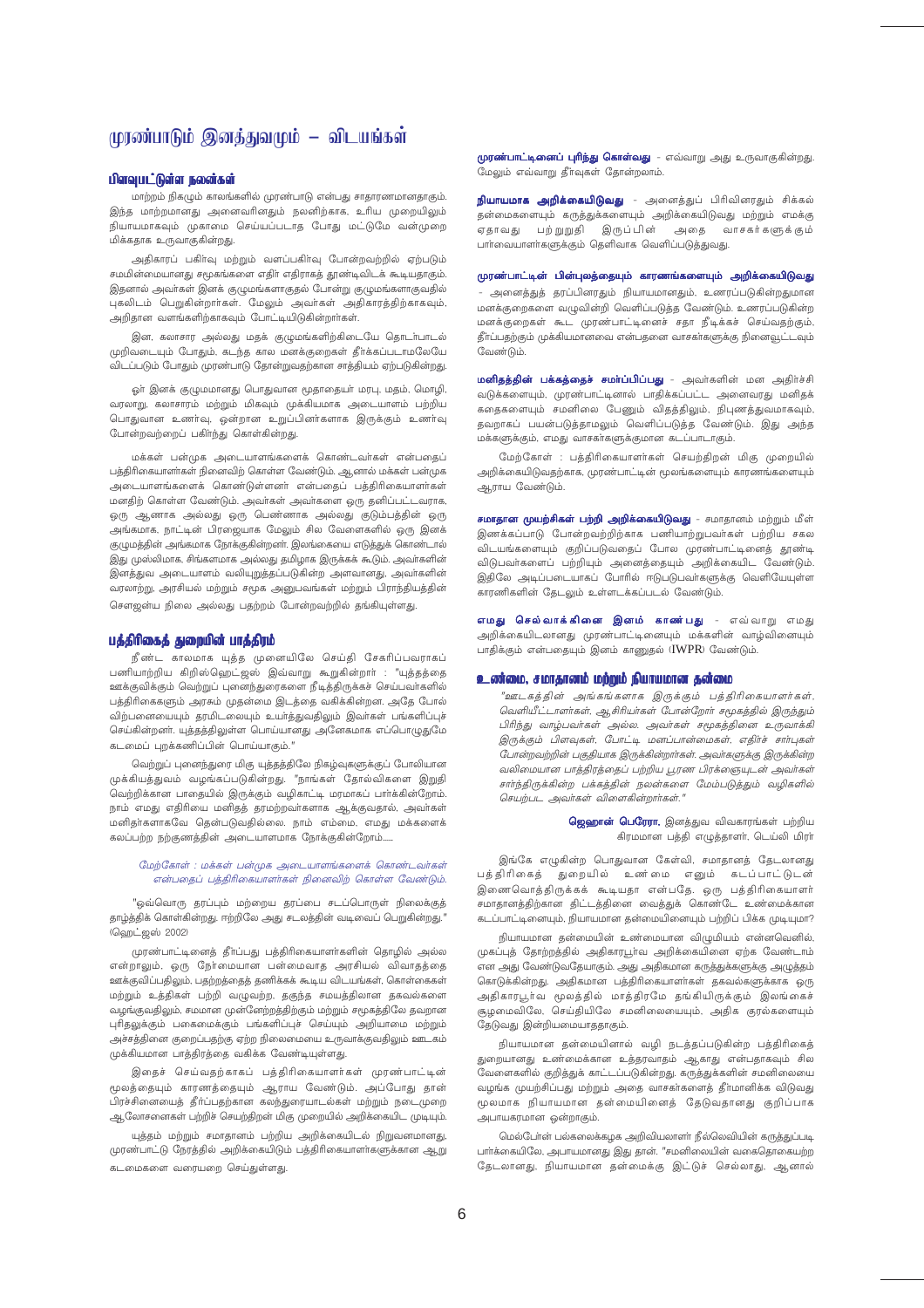# முரண்பாடும் இனத்துவமும் – விடயங்கள்

## பிளவபட்டுள்ள நலன்கள்

மாற்றம் நிகழும் காலங்களில் முரண்பாடு என்பது சாதாரணமானதாகும். ,<br>இந்த மாற்றமானது அனைவரினதும் நலனிற்காக, உரிய முறையிலும் நியாயமாகவும் முகாமை செய்யப்படாத போது மட்டுமே வன்முறை மிக்கதாக உருவாகுகின்றது.

அதிகாரப் பகிா்வு மற்றும் வளப்பகிா்வு போன்றவற்றில் ஏற்படும<mark>்</mark> சமமின்மையானது சமூகங்களை எதிா் எதிராகத் தூண்டிவிடக் கூடியதாகும். ,<br>இதனால் அவாகள் இனக் குழுமங்களாகுதல் போன்று குழுமங்களாகுவதில் புகலிடம் பெறுகின்றார்கள். மேலும் அவர்கள் அதிகாரத்திற்காகவும், அறிதான வளங்களிற்காகவும் போட்டியிடுகின்றாாகள்.

.<br>இன, கலாசார அல்லது மதக் குழுமங்களிற்கிடையே தொடாபாடல் முறிவடையும் போதும், கடந்த கால மனக்குறைகள் தீர்க்கப்படாமலேயே ு.<br>விடப்படும் போதும் முரண்பாடு தோன்றுவதற்கான சாத்தியம் ஏற்படுகின்றது.

ை இனக் குழுமமானது பொதுவான மூதாதையா் மரபு, மதம், மொழி, வரலாறு, கலாசாரம் மற்றும் மிகவும் முக்கியமாக அடையாளம் பற்றிய .<br>பொதுவான உணர்வு, ஒன்றான உறுப்பினர்களாக இருக்கும் உணர்வு போன்றவற்றைப் பகிாந்து கொள்கின்றது.

மக்கள் பன்முக அடையாளங்களைக் கொண்டவாகள் என்பதைப் பக்கிரிகையாளாகள் நினைவிற் கொள்ள வேண்டும். ஆனால் மக்கள் பன்முக .<br>அடையாளங்களைக் கொண்டுள்ளனா் என்பதைப் பத்திரிகையாளா்கள். மனதிற் கொள்ள வேண்டும். அவாகள் அவாகளை ஒரு தனிப்பட்டவராக, ஓரு ஆணாக அல்லது ஒரு பெண்ணாக அல்லது குடும்பத்தின் ஒரு அங்கமாக, நாட்டின் பிரஜையாக மேலும் சில வேளைகளில் ஒரு இனக் குழுமத்தின் அங்கமாக நோக்குகின்றனா். இலங்கையை எடுத்துக் கொண்டால் இது முஸ்லிமாக, சிங்களமாக அல்லது தமிழாக இருக்கக் கூடும். அவாகளின் இனத்துவ அடையாளம் வலியுறுத்தப்படுகின்ற அளவானது, அவாகளின் ்வரலாற்று, அரசியல் மற்றும் சமூக அனுபவங்கள் மற்றும் பிராந்தியத்தின் சௌஜன்ய நிலை அல்லது பதற்றம் போன்றவற்றில் தங்கியுள்ளது.

#### பத்திரிகைத் துறையின் பாத்திரம்

நீண்ட காலமாக யுத்த முனையிலே செய்தி சேகரிப்பவராகப் பணியாற்றிய கிறிஸ்ஹெட்ஜஸ் இவ்வாறு கூறுகின்றாா : "யுத்தத்தை ஊக்குவிக்கும் வெற்றுப் புனைந்துரைகளை நீடித்திருக்கச் செய்பவாகளில் பத்திரிகைகளும் அரசும் முதன்மை இடத்தை வகிக்கின்றன. அதே போல் விற்பனையையும் தரமிடலையும் உயாத்துவதிலும் இவாகள் பங்களிப்புச் செய்கின்றனா. யுத்தத்திலுள்ள பொய்யானது அனேகமாக எப்பொழுதுமே .<br>கடமைப் புறக்கணிப்பின் பொய்யாகும்."

வெற்றுப் புனைந்துரை மிகு யுத்தத்திலே நிகழ்வுகளுக்குப் போலியான முக்கியத்துவம் வழங்கப்படுகின்றது. "நாங்கள் தோல்விகளை இறுதி .<br>1 வற்றிக்கான பாதையில் இருக்கும் வழிகாட்டி மரமாகப் பாாக்கின்றோம். நாம் எமது எதிரியை மனிதத் தரமற்றவாகளாக ஆக்குவதால், அவாகள் மனிதாகளாகவே தென்படுவதில்லை. நாம் எம்மை, எமது மக்களைக் கலப்பற்ற நற்குணத்தின் அடையாளமாக நோக்குகின்றோம்.....

#### மேற்கோள் : மக்கள் பன்முக அடையாளங்களைக் கொண்டவர்கள் என்பதைப் பத்திரிகையாளர்கள் நினைவிற் கொள்ள வேண்டும்.

"ஒவ்வொரு தரப்பும் மற்றைய தரப்பை சடப்பொருள் நிலைக்குத் தாழ்த்திக் கொள்கின்றது. ஈற்றிலே அது சடலத்தின் வடிவைப் பெறுகின்றது.' (ஹெட்ஜஸ் 2002)

முரண்பாட்டினைத் தீாப்பது பத்திரிகையாளாகளின் தொழில் அல்ல என்றாலும், ஒரு நோ்மையான பன்மைவாத அரசியல் விவாதத்தை .<br>ஊக்குவிப்பதிலும், பதற்றத்தைத் தணிக்கக் கூடிய விடயங்கள், கொள்கைகள் மற்றும் உத்திகள் பற்றி வழுவற்ற, தகுந்த சமயத்திலான தகவல்களை வழங்குவதிலும், சமமான முன்னேற்றத்திற்கும் மற்றும் சமூகத்திலே தவறான புரிதலுக்கும் பகைமைக்கும் பங்களிப்புச் செய்யும் அறியாமை மற்றும் அச்சத்தினை குறைப்பதற்கு ஏற்ற நிலைமையை உருவாக்குவதிலும் ஊடகம் முக்கியமான பாத்திரத்தை வகிக்க வேண்டியுள்ளது.

இதைச் செய்வதற்காகப் பத்திரிகையாளர்கள் முரண்பாட்டின் மூலத்தையும் காரணத்தையும் ஆராய வேண்டும். அப்போது தான் பிரச்சினையைத் தீர்ப்பதற்கான கலந்துரையாடல்கள் மற்றும் நடைமுறை ஆலோசனைகள் பற்றிச் செயற்திறன் மிகு முறையில் அறிக்கையிட முடியும்.

யுத்தம் மற்றும் சமாதானம் பற்றிய அறிக்கையிடல் நிறுவனமானது, முரண்பாட்டு நேரத்தில் அறிக்கையிடும் பத்திரிகையாளாகளுக்கான ஆறு கடமைகளை வரையறை செய்துள்ளது.

முரண்பாட்டினைப் புரிந்து கொள்வது - எவ்வாறு அது உருவாகுகின்றது. மேலும் எவ்வாறு தீாவுகள் தோன்றலாம்.

<mark>நியாயமாக அறிக்கையிடுவது</mark> - அனைத்துப் பிரிவினரதும் சிக்கல் .<br>தன்மைகளையும் கருத்துக்களையும் அறிக்கையிடுவது மற்றும் எமக்கு .<br>ஏதாவது பற்றுறுதி இருப்பின் அதை வாசகாகளுக்கும் பாாவையாளா்களுக்கும் தெளிவாக வெளிப்படுத்துவது.

முரண்பாட்டின் பின்புலத்தையும் காரணங்களையும் அறிக்கையிடுவது - அனைத்துத் தரப்பினரதும் நியாயமானதும், உணரப்படுகின்றதுமான மனக்குறைகளை வழுவின்றி வெளிப்படுத்த வேண்டும். உணரப்படுகின்ற மனக்குறைகள் கூட முரண்பாட்டினைச் சதா நீடிக்கச் செய்வதற்கும். ்<br>தீர்ப்பதற்கும் முக்கியமானவை என்பதனை வாசகாகளுக்கு நினைவூட்டவும் வேண்டும்.

மனிதத்தின் பக்கத்தைச் சமா்ப்பிப்பது - அவா்களின் மன அதிா்ச்சி ்படுக்களையும், முரண்பாட்டினால் பாதிக்கப்பட்ட அனைவரது மனிதக் கதைகளையும் சமனிலை பேணும் விதத்திலும், நிபுணத்துவமாகவும், .<br>தவறாகப் பயன்படுத்தாமலும் வெளிப்படுத்த வேண்டும். இது அந்த .<br>மக்களுக்கும், எமது வாசகாகளுக்குமான கடப்பாடாகும்.

மேற்கோள் : பத்திரிகையாளர்கள் செயற்திறன் மிகு முறையில் அறிக்கையிடுவதற்காக, முரண்பாட்டின் மூலங்களையும் காரணங்களையும் ஆராய வேண்டும்.

சமாதான முயற்சிகள் பற்றி அறிக்கையிடுவது - சமாதானம் மற்றும் மீள் இணக்கப்பாடு போன்றவற்றிற்காக பணியாற்றுபவர்கள் பற்றிய சகல விடயங்களையும் குறிப்படுவதைப் போல முரண்பாட்டினைத் தூண்டி ்விடுபவாகளைப் பற்றியும் அனைத்தையும் அறிக்கையிட வேண்டும். இதிலே அடிப்படையாகப் போரில் ஈடுபடுபவாகளுக்கு வெளியேயுள்ள காரணிகளின் தேடலும் உள்ளடக்கப்படல் வேண்டும்.

எமது செல்வாக்கினை இனம் காண்பது - எவ்வாறு எமது அறிக்கையிடலானது முரண்பாட்டினையும் மக்களின் வாழ்வினையும் பாதிக்கும் என்பதையும் இனம் காணுதல் ( $I\text{WPR}$ ) வேண்டும்.

## உண்மை, சமாதானம் மற்றும் நியாயமான தன்மை

"ஊடகத்தின் அங்கங்களாக இருக்கும் பத்திரிகையாளர்கள், வெளியீட்டாளர்கள், ஆசிரியர்கள் போன்றோர் சமூகத்தில் இருந்தும் .<br>பிரிந்து வாழ்பவர்கள் அல்ல. அவர்கள் சமூகத்தினை உருவாக்கி ,<br>இருக்கும் பிளவுகள், போட்டி மனப்பான்மைகள், எதிர்ச் சார்புகள் போன்றவற்றின் பகுதியாக இருக்கின்றார்கள். அவர்களுக்கு இருக்கின்ற வலிமையான பாத்திரத்தைப் பற்றிய பூரண பிரக்ஞையுடன் அவர்கள் சார்ந்திருக்கின்ற பக்கத்தின் நலன்களை மேம்படுத்தும் வழிகளில் செயற்பட அவர்கள் விளைகின்றார்கள்."

> **ஜெஹான் பெரேரா**, இனத்துவ விவகாரங்கள் பற்றிய கிரமமான பத்தி எழுத்தாளா், டெய்லி மிரா்

இங்கே எழுகின்ற பொதுவான கேள்வி, சமாதானத் தேடலானது பத்திரிகைத் துறையில் உண மை எனும் கடப்பாட்டுடன் இணைவொத்திருக்கக் கூடியதா என்பதே. ஒரு பத்திரிகையாளர் சமாதானத்திற்கான திட்டத்தினை வைத்துக் கொண்டே உண்மைக்கான கடப்பாட்டினையும், நியாயமான தன்மையினையும் பற்றிப் பிக்க முடியுமா?

நியாயமான தன்மையின் உண்மையான விழுமியம் என்னவெனில், முகப்புத் தோற்றத்தில் அதிகாரபூர்வ அறிக்கையினை ஏற்க வேண்டாம் என அது வேண்டுவதேயாகும். அது அதிகமான கருத்துக்களுக்கு அழுத்தம் கொடுக்கின்றது. அதிகமான பத்திரிகையாளர்கள் தகவல்களுக்காக ஒரு அதிகாரபூர்வ மூலத்தில் மாத்திரமே தங்கியிருக்கும் இலங்கைச் குழமைவிலே, செய்தியிலே சமனிலையையும், அதிக குரல்களையும் தேடுவது இன்றியமையாததாகும்.

நியாயமான தன்மையினால் வழி நடத்தப்படுகின்ற பத்திரிகைத் துறையானது உண்மைக்கான உத்தரவாதம் ஆகாது என்பதாகவும் சில .<br>வேளைகளில் குறித்துக் காட்டப்படுகின்றது. கருத்துக்களின் சமனிலையை வழங்க முயற்சிப்பது மற்றும் அதை வாசகா்களைத் தீா்மானிக்க விடுவது மூலமாக நியாயமான தன்மையினைத் தேடுவதானது குறிப்பாக am mutamonan aanmosio

மெல்போன் பல்கலைக்கழக அறிவியலாளா் நீல்லெவியின் கருத்துப்படி பார்க்கையிலே, அபாயமானது இது தான். "சமனிலையின் வகைதொகையற்ற தேடலானது, நியாயமான தன்மைக்கு இட்டுச் செல்லாது, ஆனால்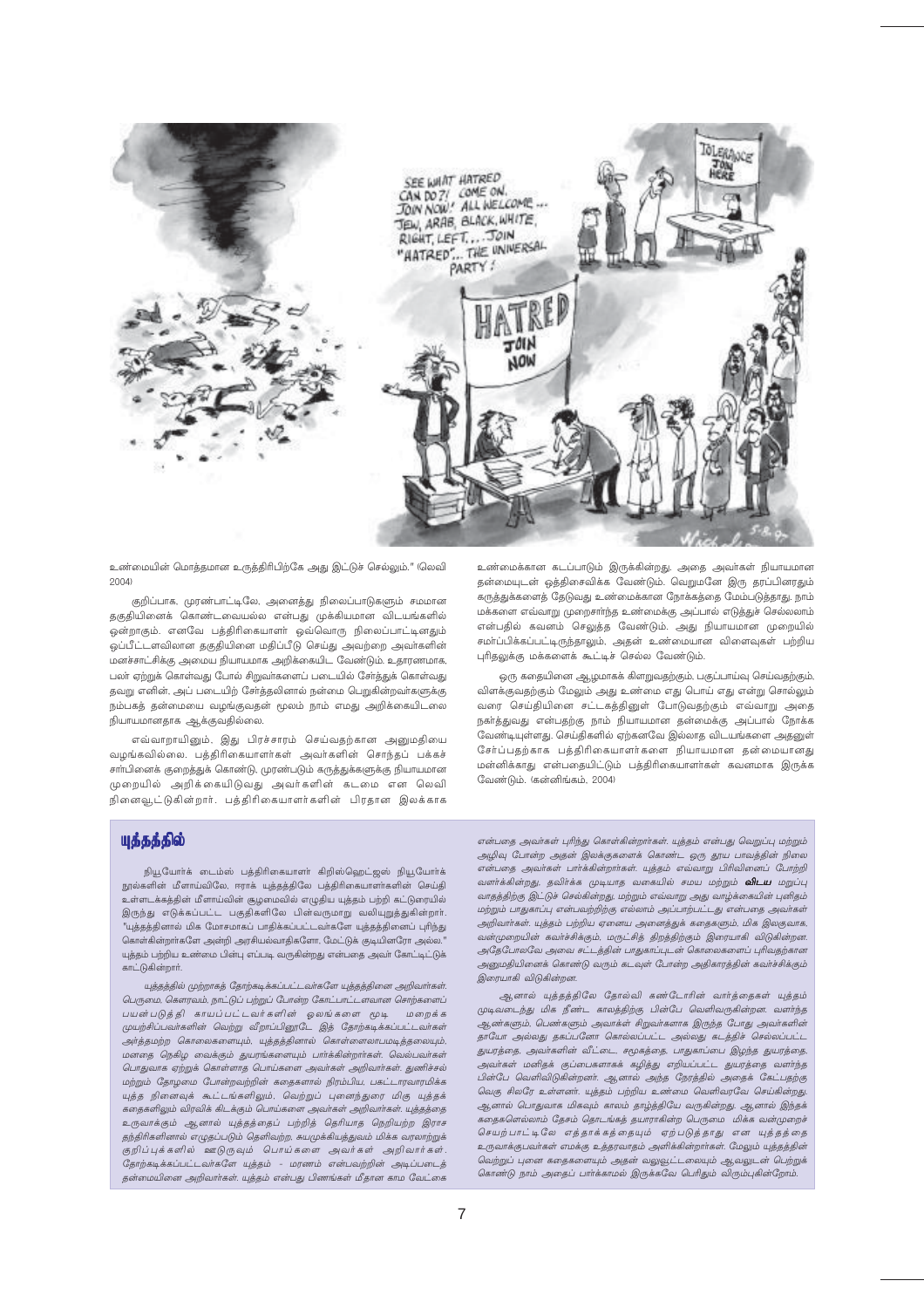

உண்மையின் மொத்தமான உருத்திரிபிற்கே அது இட்டுச் செல்லும்." (லெவி 2004)

குறிப்பாக, முரண்பாட்டிலே, அனைத்து நிலைப்பாடுகளும் சமமான தகுதியினைக் கொண்டவையல்ல என்பது முக்கியமான விடயங்களில் ஒன்றாகும். எனவே பத்திரிகையாளா் ஒவ்வொரு நிலைப்பாட்டினதும் ஓப்பீட்டளவிலான தகுதியினை மதிப்பீடு செய்து அவற்றை அவாகளின் மனச்சாட்சிக்கு அமைய நியாயமாக அறிக்கையிட வேண்டும். உதாரணமாக. பலா ஏற்றுக் கொள்வது போல் சிறுவாகளைப் படையில் சோத்துக் கொள்வது ்தவறு எனின், அப் படையிற் சோத்தலினால் நன்மை பெறுகின்றவாகளுக்கு நம்பகத் தன்மையை வழங்குவதன் மூலம் நாம் எமது அறிக்கையிடலை நியாயமானதாக ஆக்குவதில்லை.

எவ்வாறாயினும், இது பிரச்சாரம் செய்வதற்கான அனுமதியை வழங்கவில்லை. பத்திரிகையாளர்கள் அவர்களின் சொந்தப் பக்கச் சாா்பினைக் குறைத்துக் கொண்டு, முரண்படும் கருத்துக்களுக்கு நியாயமான முறையில் அறிக்கையிடுவது அவர்களின் கடமை என லெவி நினைவூட்டுகின்றார். பத்திரிகையாளர்களின் பிரதான இலக்காக

உண்மைக்கான கடப்பாடும் இருக்கின்றது. அதை அவா்கள் நியாயமான தன்மையுடன் ஒத்திசைவிக்க வேண்டும். வெறுமனே இரு தரப்பினரதும் கருத்துக்களைத் தேடுவது உண்மைக்கான நோக்கத்தை மேம்படுத்தாது. நாம் மக்களை எவ்வாறு முறைசார்ந்த உண்மைக்கு அப்பால் எடுத்துச் செல்லலாம் என்பதில் கவனம் செலுத்த வேண்டும். அது நியாயமான முறையில் சமாப்பிக்கப்பட்டிருந்தாலும், அதன் உண்மையான விளைவுகள் பற்றிய புரிதலுக்கு மக்களைக் கூட்டிச் செல்ல வேண்டும்.

ஒரு கதையினை ஆழமாகக் கிளறுவதற்கும், பகுப்பாய்வு செய்வதற்கும், ்<br>விளக்குவதற்கும் மேலும் அது உண்மை எது பொய் எது என்று சொல்லும் .<br>வரை செய்தியினை சட்டகத்தினுள் போடுவதற்கும் எவ்வாறு அதை நகாத்துவது என்பதற்கு நாம் நியாயமான தன்மைக்கு அப்பால் நோக்க வேண்டியுள்ளது. செய்திகளில் ஏற்கனவே இல்லாத விடயங்களை அதனுள் சேர்ப்பதற்காக பத்திரிகையாளர்களை நியாயமான தன்மையானது மன்னிக்காது என்பதையிட்டும் பத்திரிகையாளாகள் கவனமாக இருக்க வேண்டும். (கன்னிங்கம், 2004)

# புத்தத்தில்

நியூயோர்க் டைம்ஸ் பத்திரிகையாளர் கிறிஸ்ஹெட்ஜஸ் நியூயோர்க் .<br>நூல்களின் மீளாய்விலே, ஈராக் யுத்தத்திலே பத்திரிகையாளர்களின் செய்தி .<br>உள்ளடக்கத்தின் மீளாய்வின் சூழமைவில் எழுதிய யுத்தம் பற்றி கட்டுரையில் ,<br>இருந்து எடுக்கப்பட்ட பகுதிகளிலே பின்வருமாறு வலியுறுத்துகின்றாா். "யுத்தத்தினால் மிக மோசமாகப் பாதிக்கப்பட்டவா்களே யுத்தத்தினைப் புரிந்து கொள்கின்றார்களே அன்றி அரசியல்வாதிகளோ, மேட்டுக் குடியினரோ அல் யுத்தம் பற்றிய உண்மை பின்பு எப்படி வருகின்றது என்பதை அவா் கோட்டிட்டுக் காட்டுகின்றார்

யுத்தத்தில் முற்றாகத் தோற்கடிக்கப்பட்டவாகளே யுத்தத்தினை அறிவாாகள். ்பெருமை, கௌரவம், நாட்டுப் பற்றுப் போன்ற கோட்பாட்டளவான சொற்களைப் gad;gLj;jp fhag;gl;lth;fspd; Xyq;fis %b kiwf;f முயற்சிப்பவர்களின் வெற்று வீறாப்பினூடே இத் தோற்கடிக்கப்பட்டவர்கள் அர்த்தமற்ற கொலைகளையும், யுத்தத்தினால் கொள்ளைலாபமடித்தலையும், மனதை நெகிழ வைக்கும் துயரங்களையும் பார்க்கின்றார்கள். வெல்பவர்கள் பொதுவாக ஏற்றுக் கொள்ளாத பொய்களை அவர்கள் அறிவார்கள். துணிச்சல் மற்றும் தோழமை போன்றவற்றின் கதைகளால் நிரம்பிய, பகட்டாரவாரமிக்க .<br>யுத்த நினைவுக் கூட்டங்களிலும், வெற்றுப் புனைந்துரை மிகு யுத்தக்  $\epsilon$ கைகளிலும் விரவிக் கிடக்கும் பொய்களை அவர்கள் அறிவார்கள். யக்கக்கை உருவாக்கும் ஆனால் யுத்தத்தைப் பற்றித் தெரியாத நெறியற்ற இராச தந்திரிகளினால் எழுதப்படும் தெளிவற்ற, சுயமுக்கியத்துவம் மிக்க வரலாற்றுக் குறிப்புக்களில் ஊடுருவும் பொய்களை அவர்கள் அறிவார்கள். ு,<br>தோற்கடிக்கப்பட்டவர்களே யுத்தம் - மரணம் என்பவற்றின் அடிப்படைத் தன்மையினை அறிவார்கள். யுத்தம் என்பது பிணங்கள் மீதான காம வேட்கை

என்பதை அவர்கள் புரிந்து கொள்கின்றார்கள். யுத்தம் என்பது வெறுப்பு மற்றும் அழிவு போன்ற அதன் இலக்குகளைக் கொண்ட ஒரு தூய பாவத்தின் நிலை என்பதை அவர்கள் பார்க்கின்றார்கள். யுத்தம் எவ்வாறு பிரிவினைப் போற்றி ் வளர்க்கின்றது, தவிர்க்க முடியாத வகையில் சமய மற்றும் **விடய** மறுப்பு வாதத்திற்கு இட்டுச் செல்கின்றது. மற்றும் எவ்வாறு அது வாழ்க்கையின் புனிதம் மற்றும் பாதுகாப்பு என்பவற்றிற்கு எல்லாம் அப்பாற்பட்டது என்பதை அவர்கள் .<br>அறிவார்கள். யுத்தம் பற்றிய ஏனைய அனைத்துக் கதைகளும், மிக இலகுவாக, .<br>வன்முறையின் கவர்ச்சிக்கும், மருட்சித் திறத்திற்கும் இரையாகி விடுகின்றன. அதேபோலவே அவை சட்டத்தின் பாதுகாப்புடன் கொலைகளைப் புரிவதற்கான .<br>அனுமதியினைக் கொண்டு வரும் கடவுள் போன்ற அதிகாரத்தின் கவர்ச்சிக்கும் இரையாகி விடுகின்றன.

ஆனால் யுத்தத்திலே தோல்வி கண்டோரின் வார்த்தைகள் யுத்தம் முடிவடைந்து மிக நீண்ட காலத்திற்கு பின்பே வெளிவருகின்றன. வளர்ந்த ஆண்களும், பெண்களும் அவாக்ள் சிறுவா்களாக இருந்த போது அவா்களின் தாயோ அல்லது தகப்பனோ கொல்லப்பட்ட அல்லது கடத்திச் செல்லப்பட்ட துயரத்தை, அவர்களின் வீட்டை, சமூகத்தை, பாதுகாப்பை இழந்த துயரத்தை, ு<br>அவர்கள் மனிதக் குப்பைகளாகக் கழித்து எறியப்பட்ட துயரத்தை வளர்ந்த ு;<br>பின்பே வெளிவிடுகின்றனர். ஆனால் அந்த நேரத்தில் அதைக் கேட்பதற்கு வெகு சிலரே உள்ளனர். யுக்கம் பற்றிய உண்மை வெளிவரவே செய்கின்றது. ஆனால் பொதுவாக மிகவும் காலம் தாழ்த்தியே வருகின்றது. ஆனால் இந்தக் கதைகளெல்லாம் தேசம் தொடங்கத் தயாராகின்ற பெருமை மிக்க வன்முறைச் .<br>செயற்பாட்டிலே எத்தாக்கத்தையும் ஏற்படுத்தாது என யுத்தத்தை .<br>உருவாக்குபவாகள் எமக்கு உத்தரவாதம் அளிக்கின்றாாகள். மேலும் யுத்தத்தின் வெற்றுப் புனை கதைகளையும் அதன் வலுவூட்டலையும் ஆவலுடன் பெற்றுக் கொண்டு நாம் அதைப் பார்க்காமல் இருக்கவே பெரிதும் விரும்புகின்றோம்.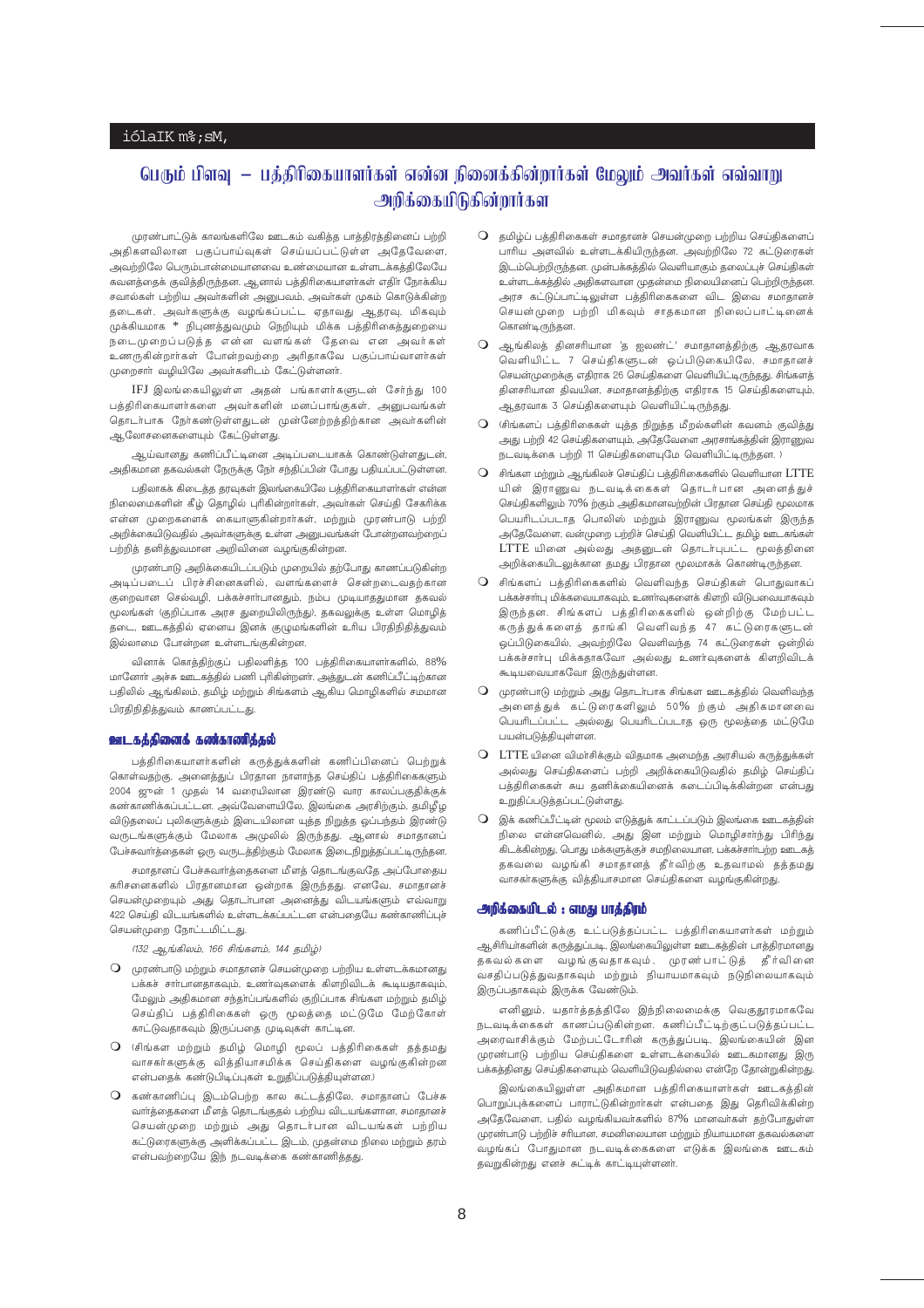# பெரும் பிளவு – பத்திரிகையாளர்கள் என்ன நினைக்கின்றார்கள் மேலும் அவர்கள் எவ்வாறு அறிக்கையிடுகின்றார்கள

முரண்பாட்டுக் காலங்களிலே ஊடகம் வகித்த பாத்திரத்தினைப் பற்றி அதிகளவிலான பகுப்பாய்வுகள் செய்யப்பட்டுள்ள அதேவேளை, .<br>அவற்றிலே பெரும்பான்மையானவை உண்மையான உள்ளடக்கக்கிலேயே கவனத்தைக் குவித்திருந்தன. ஆனால் பத்திரிகையாளர்கள் எதிர் நோக்கிய சவால்கள் பற்றிய அவாகளின் அனுபவம், அவாகள் முகம் கொடுக்கின்ற தடைகள், அவர்களுக்கு வழங்கப்பட்ட ஏதாவது ஆதரவு, மிகவும் முக்கியமாக \* நிபுணத்துவமும் நெறியும் மிக்க பத்திரிகைத்துறையை .<br>நடைமுறைப்படுத்த என்ன வளங்கள் தேவை என அவர்கள் உணருகின்றார்கள் போன்றவற்றை அரிதாகவே பகுப்பாய்வாளர்கள் முறைசாா் வழியிலே அவா்களிடம் கேட்டுள்ளனா்.

IFJ இலங்கையிலுள்ள அதன் பங்காளர்களுடன் சேர்ந்து 100 .<br>பத்திரிகையாளர்களை அவர்களின் மனப்பாங்குகள், அனுபவங்கள் தொடர்பாக நேர்கண்டுள்ளதுடன் முன்னேற்றத்திற்கான அவர்களின் ஆலோசனைகளையும் கேட்டுள்ளது.

ஆய்வானது கணிப்பீட்டினை அடிப்படையாகக் கொண்டுள்ளதுடன், அதிகமான தகவல்கள் நேருக்கு நோ சந்திப்பின் போது பதியப்பட்டுள்ளன.

பதிலாகக் கிடைத்த தரவுகள் இலங்கையிலே பத்திரிகையாளாகள் என்ன நிலைமைகளின் கீழ் தொழில் புரிகின்றார்கள், அவர்கள் செய்தி சேகரிக்க என்ன முறைகளைக் கையாளுகின்றார்கள், மற்றும் முரண்பாடு பற்றி அறிக்கையிடுவதில் அவாகளுக்கு உள்ள அனுபவங்கள் போன்றனவற்றைப் பற்றித் தனித்துவமான அறிவினை வழங்குகின்றன.

முரண்பாடு அறிக்கையிடப்படும் முறையில் தற்போது காணப்படுகின்ற அடிப்படைப் பிரச்சினைகளில், வளங்களைச் சென்றடைவதற்கான குறைவான செல்வழி, பக்கச்சாா்பானதும், நம்ப முடியாததுமான தகவல் மூலங்கள் (குறிப்பாக அரச துறையிலிருந்து), தகவலுக்கு உள்ள மொழித் தடை, ஊடகத்தில் ஏனைய இனக் குழுமங்களின் உரிய பிரதிநிதித்துவம் .<br>இல்லாமை போன்றன உள்ளடங்குகின்றன.

வினாக் கொத்திற்குப் பதிலளித்த 100 பத்திரிகையாளர்களில், 88% ் மானோா அச்சு ஊடகத்தில் பணி புரிகின்றனா். அத்துடன் கணிப்பீட்டிற்கான பதிலில் ஆங்கிலம், தமிழ் மற்றும் சிங்களம் ஆகிய மொழிகளில் சமமான பிரதிநிதித்துவம் காணப்பட்டது.

## <u>ஊடகத்தி</u>னைக் கண்காணித்தல்

பத்திரிகையாளர்களின் கருத்துக்களின் கணிப்பினைப் பெற்றுக் கொள்வதற்கு, அனைத்துப் பிரதான நாளாந்த செய்திப் பத்திரிகைகளும் 2004 ஜுன் 1 முதல் 14 வரையிலான இரண்டு வார காலப்பகுதிக்குக் .<br>கண்காணிக்கப்பட்டன. அவ்வேளையிலே, இலங்கை அரசிற்கும், தமிழீழ விடுதலைப் புலிகளுக்கும் இடையிலான யுத்த நிறுத்த ஒப்பந்தம் இரண்டு வருடங்களுக்கும் மேலாக அமுலில் இருந்தது. ஆனால் சமாதானப் பேச்சுவார்த்தைகள் ஒரு வருடத்திற்கும் மேலாக இடைநிறுத்தப்பட்டிருந்தன.

சமாதானப் பேச்சுவார்த்தைகளை மீளத் தொடங்குவதே அப்போதைய கரிசனைகளில் பிரதானமான ஒன்றாக இருந்தது. எனவே, சமாதானச் செயன்முறையும் அது தொடா்பான அனைத்து விடயங்களும் எவ்வாறு 422 செய்தி விடயங்களில் உள்ளடக்கப்பட்டன என்பதையே கண்காணிப்புச் செயன்முறை நோட்டமிட்டது.

(132 ஆங்கிலம், 166 சிங்களம், 144 தமிழ்)

- $\mathsf O$  (முரண்பாடு மற்றும் சமாதானச் செயன்முறை பற்றிய உள்ளடக்கமானது பக்கச் சாா்பானதாகவும், உணாவுகளைக் கிளறிவிடக் கூடியதாகவும், மேலும் அதிகமான சந்தாப்பங்களில் குறிப்பாக சிங்கள மற்றும் தமிழ் செய்திப் பத்திரிகைகள் ஒரு மூலத்தை மட்டுமே மேற்கோள் காட்டுவதாகவும் இருப்பதை முடிவுகள் காட்டின
- $\mathsf O$  (சிங்கள மற்றும் தமிழ் மொழி மூலப் பத்திரிகைகள் தத்தமது வாசகா்களுக்கு வித்தியாசமிக்க செய்திகளை வழங்குகின்றன .<br>என்பதைக் கண்டுபிடிப்புகள் உறுதிப்படுத்தியுள்ளன.)
- $\bigcirc$  கண்காணிப்பு இடம்பெற்ற கால கட்டத்திலே, சமாதானப் பேச்சு வாா்த்தைகளை மீளத் தொடங்குதல் பற்றிய விடயங்களான, சமாதானச் செயன்முறை மற்றும் அது தொடர்பான விடயங்கள் பற்றிய கட்டுரைகளுக்கு அளிக்கப்பட்ட இடம், முதன்மை நிலை மற்றும் தரம் என்பவற்றையே இந் நடவடிக்கை கண்காணித்தது.
- $\Theta$  தமிழ்ப் பத்திரிகைகள் சமாதானச் செயன்முறை பற்றிய செய்திகளைப் பாரிய அளவில் உள்ளடக்கியிருந்தன. அவற்றிலே 72 கட்டுரைகள் ,<br>இடம்பெற்றிருந்தன. முன்பக்கக்கில் வெளியாகும் கலைப்பச் செய்கிகள் உள்ளடக்கத்தில் அதிகளவான முதன்மை நிலையினைப் பெற்றிருந்தன. அரச கட்டுப்பாட்டிலுள்ள பத்திரிகைகளை விட இவை சமாதானச் செயன்முறை பற்றி மிகவும் சாதகமான நிலைப்பாட்டினைக் கொண்டிருந்தன.
- $\mathsf O$  ஆங்கிலத் தினசரியான 'த ஐலண்ட்' சமாதானத்திற்கு ஆதரவாக வெளியிட்ட 7 செய்திகளுடன் ஒப்பிடுகையிலே, சமாதானச் .<br>செயன்முறைக்கு எதிராக 26 செய்திகளை வெளியிட்டிருந்தது. சிங்களத் தினசரியான திவயின, சமாதானத்திற்கு எதிராக 15 செய்திகளையும், .<br>ஆதரவாக 3 செய்திகளையும் வெளியிட்டிருந்தது.
- $\mathsf O$  (சிங்களப் பத்திரிகைகள் யுத்த நிறுத்த மீறல்களின் கவனம் குவித்து அது பற்றி 42 செய்திகளையும், அதேவேளை அரசாங்கத்தின் இராணுவ .<br>நடவடிக்கை பற்றி 11 செய்திகளையுமே வெளியிட்டிருந்தன. )
- $\Theta$  சிங்கள மற்றும் ஆங்கிலச் செய்திப் பத்திரிகைகளில் வெளியான  $\text{LTTE}$ .<br>யின் இராணுவ நடவடிக்கைகள் தொடர்பான அனைத்<u>கு</u>ச் செய்திகளிலும் 70% ற்கும் அதிகமானவற்றின் பிரதான செய்தி மூலமாக பெயரிடப்படாத பொலிஸ் மற்றும் இராணுவ மூலங்கள் இருந்த அதேவேளை, வன்முறை பற்றிச் செய்தி வெளியிட்ட தமிழ் ஊடகங்கள் LTTE யினை அல்லது அதனுடன் தொடர்புபட்ட மூலத்தினை அறிக்கையிடலுக்கான தமது பிரதான மூலமாகக் கொண்டிருந்தன.
- $\Omega$  சிங்களப் பத்திரிகைகளில் வெளிவந்த செய்திகள் பொதுவாகப் பக்கச்சாாபு மிக்கவையாகவும், உணாவுகளைக் கிளறி விடுபவையாகவும் இருந்தன. சிங்களப் பத்திரிகைகளில் ஒன்றிற்கு மேற்பட்ட கருத்துக்களைத் தாங்கி வெளிவந்த 47 கட்டுரைகளுடன் ஒப்பிடுகையில், அவற்றிலே வெளிவந்த 74 கட்டுரைகள் ஒன்றில் பக்கச்சாா்பு மிக்கதாகவோ அல்லது உணா்வுகளைக் கிளறிவிடக் கூடியவையாகவோ இருந்துள்ளன.
- $\Omega$  (முரண்பாடு மற்றும் அது தொடா்பாக சிங்கள ஊடகத்தில் வெளிவந்த .<br>அனைத்துக் கட்டுரைகளிலும் 50% ற்கும் அதிகமானவை பெயரிடப்பட்ட அல்லது பெயரிடப்படாத ஒரு மூலத்தை மட்டுமே பயன்படுத்தியுள்ளன.
- $O$  LTTE யினை விமாசிக்கும் விதமாக அமைந்த அரசியல் கருத்துக்கள் அல்லது செய்திகளைப் பற்றி அறிக்கையிடுவதில் தமிழ் செய்திப் பத்திரிகைகள் சுய தணிக்கையினைக் கடைப்பிடிக்கின்றன என்பது உறுதிப்படுத்தப்பட்டுள்ளது
- இக் கணிப்பீட்டின் மூலம் எடுத்துக் காட்டப்படும் இலங்கை ஊடகத்தின் நிலை என்னவெனில், அது இன மற்றும் மொழிசாா்ந்து பிரிந்து கிடக்கின்றது, பொது மக்களுக்குச் சமநிலையான, பக்கச்சார்பற்ற ஊடகத் தகவலை வழங்கி சமாதானத் தீர்விற்கு உதவாமல் தத்தமது வாசகாகளுக்கு வித்தியாசமான செய்திகளை வழங்குகின்றது.

## அறிக்கையிடல் : எமது பாத்திரம்

கணிப்பீட்டுக்கு உட்படுத்தப்பட்ட பத்திரிகையாளர்கள் மற்றும் ஆசிரியாகளின் கருத்துப்படி, இலங்கையிலுள்ள ஊடகத்தின் பாத்திரமானது தகவல்களை வழங்குவதாகவும், முரண்பாட்டுத் தீர்வினை வசதிப்படுத்துவதாகவும் மற்றும் நியாயமாகவும் நடுநிலையாகவும் இருப்பதாகவும் இருக்க வேண்டும்.

எனினும், யதார்த்தத்திலே இந்நிலைமைக்கு வெகுதூரமாகவே நடவடிக்கைகள் காணப்படுகின்றன. கணிப்பீட்டிற்குட்படுத்தப்பட்ட அரைவாசிக்கும் மேற்பட்டோரின் கருத்துப்படி, இலங்கையின் இன முரண்பாடு பற்றிய செய்திகளை உள்ளடக்கையில் ஊடகமானது இரு ு.<br>பக்கத்தினது செய்திகளையும் வெளியிடுவதில்லை என்றே தோன்றுகின்றது.

இலங்கையிலுள்ள அதிகமான பத்திரிகையாளர்கள் ஊடகத்தின் ்<br>பொறுப்புக்களைப் பாராட்டுகின்றாா்கள் என்பதை இது தெரிவிக்கின்ற அதேவேளை, பதில் வழங்கியவாகளில் 87% மானவாகள் தற்போதுள்ள முரண்பாடு பற்றிச் சரியான, சமனிலையான மற்றும் நியாயமான தகவல்களை வழங்கப் போதுமான நடவடிக்கைகளை எடுக்க இலங்கை ஊடகம் தவறுகின்றது எனச் சுட்டிக் காட்டியுள்ளனா்.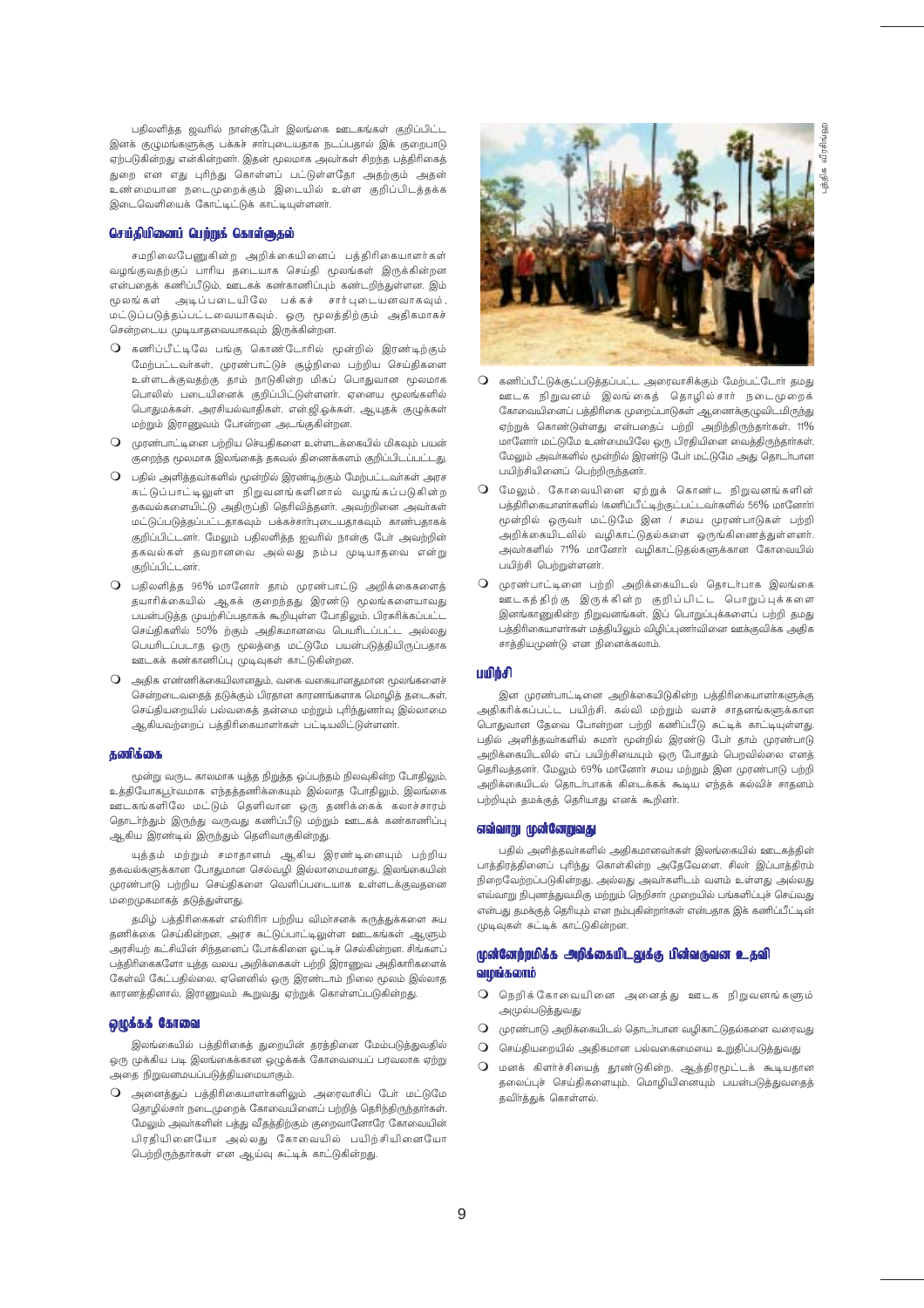பதிலளித்த ஜவரில் நான்குபோ் இலங்கை ஊடகங்கள் குறிப்பிட்ட .<br>இனக் குழுமங்களுக்கு பக்கச் சாாபுடையதாக நடப்பதால் இக் குறைபாடு ஏற்படுகின்றது என்கின்றனா். இதன் மூலமாக அவா்கள் சிறந்த பத்திரிகைத் துறை என எது புரிந்து கொள்ளப் பட்டுள்ளதோ அதற்கும் அதன் உண்மையான நடைமுறைக்கும் இடையில் உள்ள குறிப்பிடத்தக்க இடைவெளியைக் கோட்டிட்டுக் காட்டியுள்ளனா்.

# செய்தியினைப் பெற்றுக் கொள்ளுதல்

சமநிலைபேணுகின்ற அறிக்கையினைப் பத்திரிகையாளர்கள் வழங்குவதற்குப் பாரிய தடையாக செய்தி மூலங்கள் இருக்கின்றன .<br>என்பதைக் கணிப்பீடும். ஊடகக் கண்காணிப்பும் கண்டறிந்துள்ளன. இம் மூலங்கள் அடிப்படையிலே பக்கச் சார்புடையனவாகவும், மட்டுப்படுத்தப்பட்டவையாகவும், ஒரு மூலத்திற்கும் அதிகமாகச் சென்றடைய முடியாதவையாகவும் இருக்கின்றன.

- $\bigcirc$  கணிப்பீட்டிலே பங்கு கொண்டோரில் மூன்றில் இரண்டிற்கும் மேற்பட்டவா்கள், முரண்பாட்டுச் சூழ்நிலை பற்றிய செய்திகளை .<br>உள்ளடக்குவதற்கு தாம் நாடுகின்ற மிகப் பொதுவான மூலமாக பொலிஸ் படையினைக் குறிப்பிட்டுள்ளனர். ஏனைய மூலங்களில் பொதுமக்கள், அரசியல்வாதிகள், என்.ஜி.ஓக்கள், ஆயுதக் குழுக்கள் மற்றும் இராணுவம் போன்றன அடங்குகின்றன.
- $\mathsf O$  முரண்பாட்டினை பற்றிய செயதிகளை உள்ளடக்கையில் மிகவும் பயன் குறைந்த மூலமாக இலங்கைத் தகவல் திணைக்களம் குறிப்பிடப்பட்டது.
- $\mathsf O$  பதில் அளித்தவா்களில் மூன்றில் இரண்டிற்கும் மேற்பட்டவா்கள் அரச கட்டுப்பாட்டிலுள்ள நிறுவனங்களினால் வழங்கப்படுகின்ற தகவல்களையிட்டு அதிருப்தி தெரிவித்தனா். அவற்றினை அவா்கள் மட்டுப்படுத்தப்பட்டதாகவும் பக்கச்சாாபுடையதாகவும் காண்பதாகக் குறிப்பிட்டனா். மேலும் பதிலளித்த ஐவாில் நான்கு போ அவற்றின் தகவல்கள் தவறானவை அல்லது நம்ப முடியாதவை என்று குறிப்பிட்டனர்.
- $\mathsf{\Omega}\;$  பதிலளித்த 96% மானோர் தாம் முரண்பாட்டு அறிக்கைகளைத் தயாரிக்கையில் ஆகக் குறைந்தது இரண்டு <mark>மூலங்களையாவது</mark> .<br>பயன்படுத்த முயற்சிப்பதாகக் கூறியுள்ள போதிலும், பிரசுரிக்கப்பட்ட செய்திகளில் 50% ற்கும் அதிகமானவை பெயரிடப்பட்ட அல்லது ் பெயரிடப்படாத ஒரு மூலத்தை மட்டுமே பயன்படுத்தியிருப்பதாக ஊடகக் கண்காணிப்பு முடிவுகள் காட்டுகின்றன.
- $\mathsf O$  அதிக எண்ணிக்கையிலானதும், வகை வகையானதுமான மூலங்களைச் சென்றடைவதைத் தடுக்கும் பிரதான காரணங்களாக மொழித் தடைகள், செய்தியறையில் பல்வகைத் தன்மை மற்றும் புரிந்துணாவு இல்லாமை ஆகியவற்றைப் பத்திரிகையாளாகள் பட்டியலிட்டுள்ளனா்.

#### கணிக்கை

மூன்று வருட காலமாக யுத்த நிறுத்த ஒப்பந்தம் நிலவுகின்ற போதிலும், உத்தியோகபூர்வமாக எந்தத்தணிக்கையும் இல்லாத போதிலும், இலங்கை உடைகங்களிலே மட்டும் தெளிவான ஒரு தணிக்கைக் கலாச்சாரம் தொடாந்தும் இருந்து வருவது கணிப்பீடு மற்றும் ஊடகக் கண்காணிப்பு ஆகிய இரண்டில் இருந்தும் தெளிவாகுகின்றது.

யுத்தம் மற்றும் சமாதானம் ஆகிய இரண்டினையும் பற்றிய தகவல்களுக்கான போதுமான செல்வழி இல்லாமையானது, இலங்கையின் .<br>முரண்பாடு பற்றிய செய்திகளை வெளிப்படையாக உள்ளடக்குவதனை மறைமுகமாகத் தடுத்துள்ளது.

தமிழ் பத்திரிகைகள் எல்ரிரிஈ பற்றிய விமாசனக் கருத்துக்களை சுய .<br>தணிக்கை செய்கின்றன, அரச கட்டுப்பாட்டிலுள்ள ஊடகங்கள் ஆளும் அரசியற் கட்சியின் சிந்தனைப் போக்கினை ஓட்டிச் செல்கின்றன. சிங்களப் பத்திரிகைகளோ யுத்த வலய அறிக்கைகள் பற்றி இராணுவ அதிகாரிகளைக் கேள்வி கேட்பதில்லை, ஏனெனில் ஒரு இரண்டாம் நிலை மூலம் இல்லாத காரணத்தினால், இராணுவம் கூறுவது ஏற்றுக் கொள்ளப்படுகின்றது.

#### Quásá Carma

இலங்கையில் பத்திரிகைத் துறையின் தரத்தினை மேம்படுத்துவதில் ஒரு முக்கிய படி இலங்கைக்கான ஒழுக்கக் கோவையைப் பரவலாக ஏற்று அதை நிறுவனமயப்படுத்தியமையாகும்.

 $\mathsf O$  அனைத்துப் பத்திரிகையாளர்களிலும் அரைவாசிப் பேர் மட்டுமே தொழில்சாா் நடைமுறைக் கோவையினைப் பற்றித் தெரிந்திருந்தாா்கள். மேலும் அவாகளின் பத்து வீதத்திற்கும் குறைவானோரே கோவையின் பிரதியினையோ அல்லது கோவையில் பயிற்சியினையோ பெற்றிருந்தாா்கள் என ஆய்வு சுட்டிக் காட்டுகின்றது.



- $\Omega$  கணிப்பீட்டுக்குட்படுத்தப்பட்ட அரைவாசிக்கும் மேற்பட்டோா் தமது ஊடக நிறுவனம் இலங்கைத் தொழில்சார் நடைமுறைக் கோவையினைப் பத்திரிகை முறைப்பாடுகள் ஆணைக்குழுவிடமிருந்து ஏற்றுக் கொண்டுள்ளது என்பதைப் பற்றி அறிந்திருந்தாா்கள், 11% மானோா் மட்டுமே உண்மையிலே ஒரு பிரதியினை வைத்திருந்தாா்கள், மேலும் அவாகளில் மூன்றில் இரண்டு போ் மட்டுமே அது தொடா்பான
- $\mathsf O$  மேலும், கோவையினை ஏற்றுக் கொண்ட நிறுவனங்களின் பத்திரிகையாளா்களில் (கணிப்பீட்டிற்குட்பட்டவா்களில் 56% மானோா்) மூன்றில் ஒருவா் மட்டுமே இன *|* சமய முரண்பாடுகள் பற்றி .<br>அறிக்கையிடலில் வழிகாட்டுதல்களை ஒருங்கிணைத்துள்ளனர். அவாகளில் 71% மானோா் வழிகாட்டுதல்களுக்கான கோவையில் பயிற்சி பெற்றுள்ளனா்.

பயிற்சியினைப் பெற்றிருந்தனா்.

 $\Omega$  முரண்பாட்டினை பற்றி அறிக்கையிடல் தொடா்பாக இலங்கை ஊடகத்திற்கு இருக்கின்ற குறிப்பிட்ட பொறுப்புக்களை இனங்காணுகின்ற நிறுவனங்கள், இப் பொறுப்புக்களைப் பற்றி தமது பத்திரிகையாளா்கள் மத்தியிலும் விழிப்புணா்வினை ஊக்குவிக்க அதிக சாத்தியமுண்டு என நினைக்கலாம்.

## $\mathbf{u}$ und $\mathbf{f}$

இன முரண்பாட்டினை அறிக்கையிடுகின்ற பத்திரிகையாளா்களுக்கு அதிகரிக்கப்பட்ட பயிற்சி, கல்வி மற்றும் வளச் சாதனங்களுக்கான பொதுவான தேவை போன்றன பற்றி கணிப்பீடு சுட்டிக் காட்டியுள்ளது. பதில் அளித்தவா்களில் சுமாா் மூன்றில் இரண்டு போ் தாம் முரண்பாடு .<br>அறிக்கையிடலில் எப் பயிற்சியையும் ஒரு போதும் பெறவில்லை எனத் தெரிவத்தனர். மேலும் 69% மானோர் சமய மற்றும் இன முரண்பாடு பற்றி அறிக்கையிடல் தொடா்பாகக் கிடைக்கக் கூடிய எந்தக் கல்விச் சாதனம் பற்றியும் தமக்குத் தெரியாது எனக் கூறினா்.

#### எவ்வாறு முன்னேறுவது

பதில் அளித்தவாகளில் அதிகமானவாகள் இலங்கையில் ஊடகத்தின் பாத்திரத்தினைப் புரிந்து கொள்கின்ற அதேவேளை, சிலா் இப்பாத்திரம் நிறைவேற்றப்படுகின்றது, அல்லது அவாகளிடம் வளம் உள்ளது அல்லது எவ்வாறு நிபுணத்துவமிகு மற்றும் நெறிசாா் முறையில் பங்களிப்புச் செய்வது என்பது தமக்குத் தெரியும் என நம்புகின்றார்கள் என்பதாக இக் கணிப்பீட்டின் .<br>புடிவுகள் சுட்டிக் காட்டுகின்றன.

# $\mu$ gi Carpp $\Omega$ di ang mga bayang gada ng tagang tagang nagpakang sang mangkalakang sang mangkalakang sang mangkalakang sang mangkalakang sang mangkalakang sang mangkalakang sang mangkalakang sang mangkalakang sang mangka atomia ao Fio

- $\mathsf O$  நெறிக்கோவையினை அனைத்து ஊடக நிறுவனங்களும் அமுல்படுத்துவது
- $\Omega$  (முரண்பாடு அறிக்கையிடல் தொடாபான வழிகாட்டுதல்களை வரைவது
- $O$  செய்தியறையில் அதிகமான பல்வகைமையை உறுதிப்படுத்துவது
- $\mathsf{\Omega}\;$  மனக் கிளர்ச்சியைத் தூண்டுகின்ற, ஆத்திரமூட்டக் கூடியதான தலைப்புச் செய்திகளையும், மொழியினையும் பயன்படுத்துவதைத் தவிாத்துக் கொள்ளல்.

Gj;jpf tPurpq;`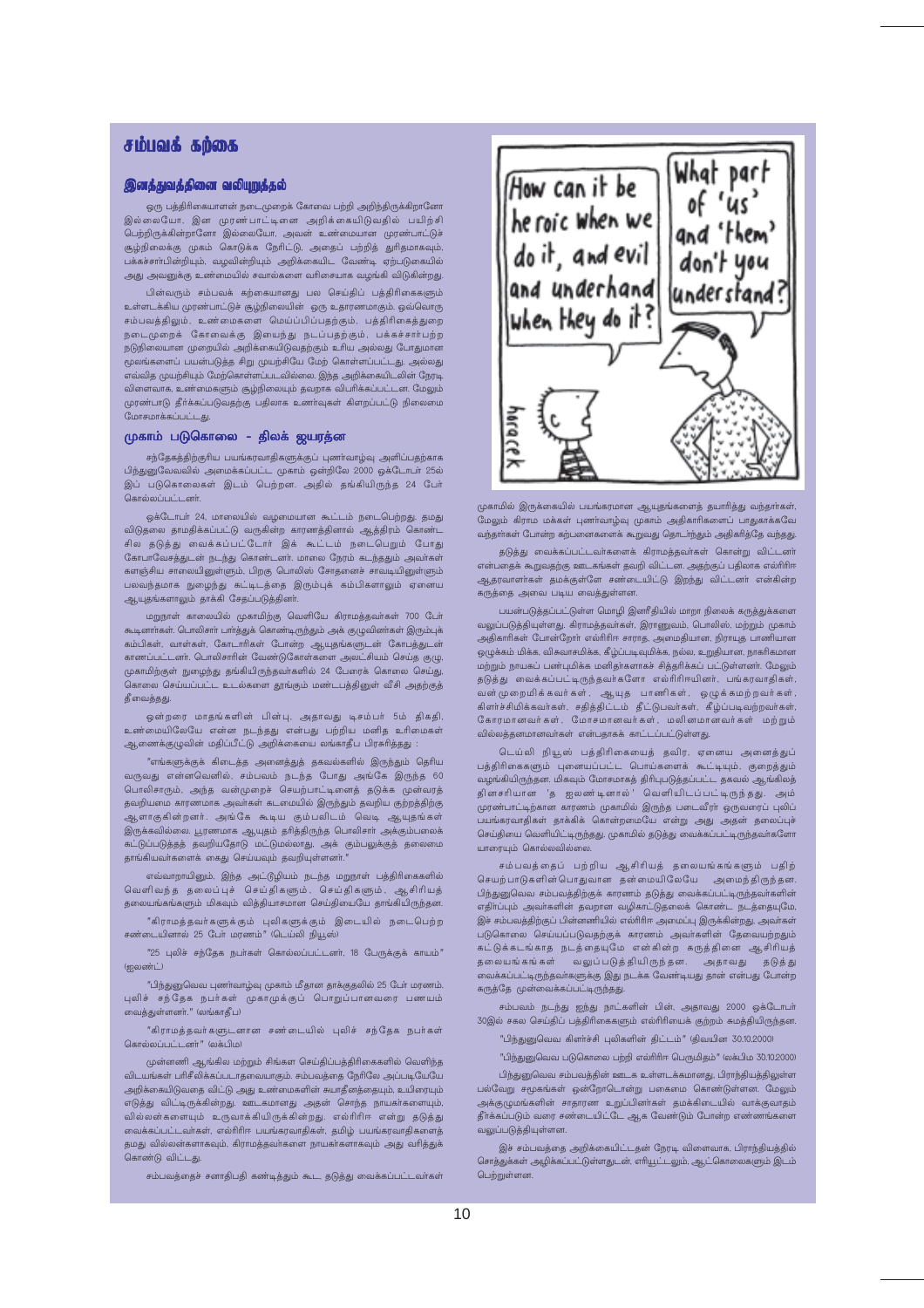# $\delta$ ujak; foton

# இனத்துவத்தினை வலியுறுத்தல்

.<br>ஒரு பத்திரிகையாளன் நடைமுறைக் கோவை பற்றி அறிந்திருக்கிறானோ இல்லையோ, இன முரண்பாட்டினை அறிக்கையிடுவதில் பயிற்சி பெற்றிருக்கின்றானோ இல்லையோ, அவன் உண்மையான முரண்பாட்டுச் "குழ்நிலைக்கு முகம் கொடுக்க நேரிட்டு, அதைப் பற்றித் துரிதமாகவும். பக்கச்சாாபின்றியும், வழவின்றியும் அறிக்கையிட வேண்டி ஏற்படுகையில் அது அவனுக்கு உண்மையில் சவால்களை வரிசையாக வழங்கி விடுகின்றது.

பின்வரும் சம்பவக் கற்கையானது பல செய்திப் பத்திரிகைகளும் .<br>உள்ளடக்கிய முரண்பாட்டுச் சூழ்நிலையின் ஒரு உதாரணமாகும். ஒவ்வொரு சம்பவத்திலும், உண்மைகளை மெய்ப்பிப்பதற்கும், பத்திரிகைத்துறை நடைமுறைக் கோவைக்கு இயைந்து நடப்பதற்கும், பக்கச்சார்பற்ற  $\overline{B}$ டுநிலையான முறையில் அறிக்கையிடுவதற்கும் உரிய அல்லது போதுமான மூலங்களைப் பயன்படுத்த சிறு முயற்சியே மேற் கொள்ளப்பட்டது. அல்லது எவ்வித முயற்சியும் மேற்கொள்ளப்படவில்லை. இந்த அறிக்கையிடலின் நேரடி ்<br>விளைவாக, உண்மைகளும் சூழ்நிலையும் தவறாக விபரிக்கப்பட்டன. மேலும் .<br>புரண்பாடு தீர்க்கப்படுவதற்கு பதிலாக உணர்வுகள் கிளறப்பட்டு நிலைமை  $G$ <sub>LO</sub>T#LOT<del>&</del>ailULi\_&L

## முகாம் படுகொலை – திலக் ஜயரத்ன

சந்தேகத்திற்குரிய பயங்கரவாதிகளுக்குப் புணர்வாழ்வு அளிப்பதற்காக பிந்துனுவேவவில் அமைக்கப்பட்ட முகாம் ஒன்றிலே 2000 ஓக்டோபா 25ல் ,<br>இப் படுகொலைகள் இடம் பெற்றன. அதில் தங்கியிருந்த 24 போ கொல்லப்பட்டனா்

.<br>ஒக்டோபா் 24, மாலையில் வழமையான கூட்டம் நடைபெற்றது. தமது விடுதலை தாமதிக்கப்பட்டு வருகின்ற காரணத்தினால் ஆத்திரம் கொண்ட சில தடுத்து வைக்கப்பட்டோர் இக் கூட்டம் நடைபெறும் போது கோபாவேசத்துடன் நடந்து கொண்டனா். மாலை நேரம் கடந்ததும் அவாகள் ்களஞ்சிய சாலையினுள்ளும். பிறகு பொலிஸ் சோதனைச் சாவடியினுள்ளும் gyte;jkhf Eioe;J fl;blj;ij ,Uk;Gf; fk;gpfshYk; Vida ஆயுதங்களாலும் தாக்கி சேதப்படுத்தினா

மறுநாள் காலையில் முகாமிற்கு வெளியே கிராமத்தவாகள் 700 போ கூடினாா்கள். பொலிசாா் பாா்த்துக் கொண்டிருந்தும் அக் குழுவினா்கள் இரும்புக் கம்பிகள், வாள்கள், கோடாரிகள் போன்ற ஆயுதங்களுடன் கோபத்துடன் .<br>காணப்பட்டனா். பொலிசாரின் வேண்டுகோள்களை அலட்சியம் செய்த குழு. முகாமிற்குள் நுழைந்து தங்கியிருந்தவாகளில் 24 பேரைக் கொலை செய்து, கொலை செய்யப்பட்ட உடல்களை தூங்கும் மண்டபத்தினுள் வீசி அதற்குத் **f** mouth

ஒன்றரை மாதங்களின் பின்பு, அதாவது டிசம்பர் 5ம் திகதி, உண்மையிலேயே என்ன நடந்தது என்பது பற்றிய மனித உரிமைகள் ஆணைக்குழுவின் மதிப்பீட்டு அறிக்கையை லங்காதீப பிரசுரித்தது :

"எங்களுக்குக் கிடைத்த அனைத்துத் தகவல்களில் இருந்தும் தெரிய வருவது என்னவெனில், சம்பவம் நடந்த போது அங்கே இருந்த 60 பொலிசாரும், அந்த வன்முறைச் செயற்பாட்டினைத் தடுக்க முன்வரத் .<br>தவறியமை காரணமாக அவாகள் கடமையில் இருந்தும் தவறிய குற்றத்திற்கு .<br>ஆளாகுகின்றனர். அங்கே கூடிய கும்பலிடம் வெடி ஆயுதங்கள் இருக்கவில்லை. பூரணமாக ஆயுதம் தரித்திருந்த பொலிசாா் அக்கும்பலைக் கட்டுப்படுத்தத் தவறியதோடு மட்டுமல்லாது, அக் கும்பலுக்குத் தலைமை தாங்கியவா்களைக் கைது செய்யவும் தவறியுள்ளனா்.

.<br>எவ்வாறாயினும், இந்த அட்டூழியம் நடந்த மறுநாள் பத்திரிகைகளில் .<br>வெளிவந்த தலைப்புச் செய்திகளும், செய்திகளும், ஆசிரியத் .<br>தலையங்கங்களும் மிகவும் வித்தியாசமான செய்தியையே தாங்கியிருந்தன.

"கிராமத்தவர்களுக்கும் புலிகளுக்கும் இடையில் நடைபெற்ற சண்டையினால் 25 போ் மரணம்" (டெய்லி நியூஸ்)

"25 புலிச் சந்தேக நபா்கள் கொல்லப்பட்டனா். 18 பேருக்குக் காயம்" (ஐலண்ட்)

"பிந்துனுவெவ புணா்வாழ்வு முகாம் மீதான தாக்குதலில் 25 போ் மரணம். புலிச் சந்தேக நபர்கள் முகாமுக்குப் பொறுப்பானவரை பணயம் ்<br>வைத்துள்ளனா்." (லங்காதீப)

.<br>"கிராமத்தவர்களுடனான சண்டையில் புலிச் சந்தேக நபர்கள் கொல்லப்பட்டனா்" (லக்பிம)

முன்னணி ஆங்கில மற்றும் சிங்கள செய்திப்பத்திரிகைகளில் வெளிந்த ் விடயங்கள் பரிசீலிக்கப்படாதவையாகும். சம்பவத்தை நேரிலே அப்படியேயே அறிக்கையிடுவதை விட்டு <u>அது</u> உண்மைகளின் சுயாதீனத்தையும், உயிரையும் எடுத்து விட்டிருக்கின்றது. ஊடகமானது அதன் சொந்த நாயகாகளையும். .<br>வில்லன்களையும் உருவாக்கியிருக்கின்றது. எல்ரிரிஈ என்று தடுத்து ்<br>வைக்கப்பட்டவாகள், எல்ரிரிஈ பயங்கரவாதிகள், தமிழ் பயங்கரவாதிகளைத் தமது வில்லன்களாகவும், கிராமத்தவா்களை நாயகா்களாகவும் அது வாித்துக் கொண்டு விட்டக<mark>ு</mark>

சம்பவத்தைச் சனாதிபதி கண்டித்தும் கூட, தடுத்து வைக்கப்பட்டவா்கள்



முகாமில் இருக்கையில் பயங்கரமான ஆயுதங்களைத் தயாரித்து வந்தாா்கள். மேலும் கிராம மக்கள் புணாவாழ்வு முகாம் அதிகாரிகளைப் பாதுகாக்கவே வந்தாாகள் போன்ற கற்பனைகளைக் கூறுவது தொடாந்தும் அதிகரித்தே வந்தது.

தடுத்து வைக்கப்பட்டவா்களைக் கிராமத்தவா்கள் கொன்று விட்டனா் என்பதைக் கூறுவதற்கு ஊடகங்கள் தவறி விட்டன. அதற்குப் பதிலாக எல்ரிரிஈ ஆதரவாளா்கள் தமக்குள்ளே சண்டையிட்டு இறந்து விட்டனா் என்கின்ற கருத்தை அவை படிய வைத்துள்ளன.

பயன்படுத்தப்பட்டுள்ள மொழி இனரீதியில் மாறா நிலைக் கருத்துக்களை வலுப்படுத்தியுள்ளது. கிராமத்தவாகள், இராணுவம், பொலிஸ், மற்றும் முகாம் ு<br>அதிகாரிகள் போன்றோர் எல்ரிரிஈ சாராத, அமைதியான, நிராயுத பாணியான ஒழுக்கம் மிக்க, விசுவாசமிக்க, கீழ்ப்படிவுமிக்க, நல்ல, உறுதியான, நாகரிகமான மற்றும் நாயகப் பண்புமிக்க மனிதா்களாகச் சித்தரிக்கப் பட்டுள்ளனா். மேலும் தடுத்து வைக்கப்பட்டிருந்தவர்களோ எல்ரிரிஈயினர், பங்கரவாதிகள், வன்முறைமிக்கவர்கள், ஆயுத பாணிகள், ஒழுக்கமற்றவர்கள், கிளர்ச்சிமிக்கவர்கள், சதித்திட்டம் தீட்டுபவர்கள், கீழ்ப்படிவற்றவர்கள், .<br>கோரமானவர்கள், மோசமானவர்கள், மலினமானவர்கள் மற்றும் ்<br>வில்லக்கனமானவர்கள் என்பதாகக் காட்டப்பட்டுள்ளது.

டெய்லி நியூஸ் பத்திரிகையைத் தவிர, ஏனைய அனைத்துப் பத்திரிகைகளும் புனையப்பட்ட பொய்களைக் கூட்டியும். குறைத்தும் வழங்கியிருந்தன. மிகவும் மோசமாகத் திரிபுபடுத்தப்பட்ட தகவல் ஆங்கிலத் .<br>தினசரியான 'த ஐலண்டினால்' வெளியிடப்பட்டிருந்தது. அம் .<br>முரண்பாட்டிற்கான காரணம் முகாமில் இருந்த படைவீரா ஒருவரைப் புலிப் .<br>பயங்கரவாதிகள் தாக்கிக் கொன்றமையே என்று அது அதன் தலைப்புச் .<br>செய்தியை வெளியிட்டிருந்தது. முகாமில் தடுத்து வைக்கப்பட்டிருந்தவாகளோ u நடையம், கொல்லவில்லை

சம்பவத்தைப் பற்றிய ஆசிரியத் தலையங்கங்களும் பதிற் செயற்பாடுகளின்பொதுவான தன்மையிலேயே அமைந்திருந்தன. ்<br>பிந்துனுவெவ சம்பவத்திற்குக் காரணம் தடுத்து வைக்கப்பட்டிருந்தவாகளின் ு<br>எதிாப்பும் அவாகளின் தவறான வழிகாட்டுதலைக் கொண்ட நடத்தையுமே. இச் சம்பவத்திற்குப் பின்னணியில் எல்ரிரிஈ அமைப்பு இருக்கின்றது, அவர்கள் படுகொலை செய்யப்படுவகற்குக் காரணம் அவர்களின் கேவையற்றதும் கட்டுக்கடங்காத நடத்தையுமே என்கின்ற கருத்தினை ஆசிரியத் தலையங்கங்கள் வலுப்படுத்தியிருந்தன. அதாவது தடுத்து .<br>வைக்கப்பட்டிருந்தவாகளுக்கு இது நடக்க வேண்டியது தான் என்பது போன்ற கருத்தே முன்வைக்கப்பட்டிருந்தது.

சம்பவம் நடந்து ஐந்து நாட்களின் பின், அதாவது 2000 ஓக்டோபா் 30,y; rfy nra;jpg; gj;jphpiffSk; vy;hphpiaf; Fw;wk; Rkj;jpapUe;jd.

"பிந்துனுவெவ கிளர்ச்சி புலிகளின் திட்டம்" (திவயின 30.10.2000)

"பிந்துனுவெவ படுகொலை பற்றி எல்ரிரிஈ பெருமிதம்" (லக்பிம 30.10.2000)

பிந்துனுவெவ சம்பவத்தின் ஊடக உள்ளடக்கமானது, பிராந்தியத்திலுள்ள பல்வேறு சமூகங்கள் ஒன்றோடொன்று பகைமை கொண்டுள்ளன. மேலும் அக்குழுமங்களின் சாதாரண உறுப்பினா்கள் தமக்கிடையில் வாக்குவாதம் .<br>தீர்க்கப்படும் வரை சண்டையிட்டே ஆக வேண்டும் போன்ற எண்ணங்களை .<br>வலுப்படுத்தியுள்ளன.

இச் சம்பவத்தை அறிக்கையிட்டதன் நேரடி விளைவாக, பிராந்தியத்தில் சொத்துக்கள் அழிக்கப்பட்டுள்ளதுடன், எரியூட்டலும், ஆட்கொலைகளும் இடம் பெற்றுள்ளன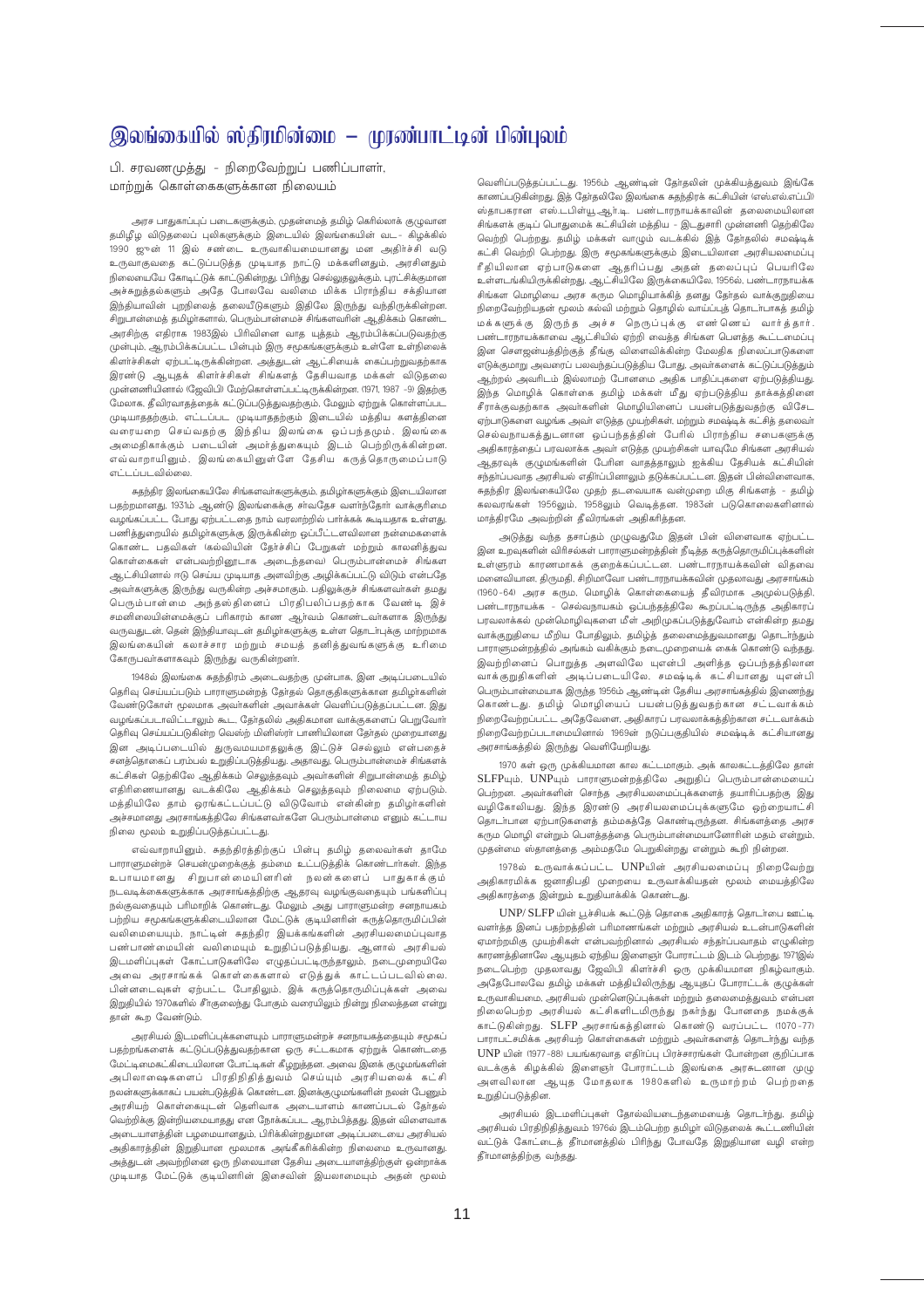# இலங்கையில் ஸ்திரமின்மை — முரண்பாட்டின் பின்புலம்

பி. சரவணமுத்து - நிறைவேற்றுப் பணிப்பாளா். மாற்றுக் கொள்கைகளுக்கான நிலையம்

அரச பாதுகாப்புப் படைகளுக்கும், முதன்மைத் தமிழ் கெரில்லாக் குழுவான தமிழீழ விடுதலைப் புலிகளுக்கும் இடையில் இலங்கையின் வட- கிழக்கில் .<br>1990 ஜுன் 11 இல் சண்டை உருவாகியமையானது மன அதிர்ச்சி வடு உருவாகுவதை கட்டுப்படுத்த முடியாத நாட்டு மக்களினதும். அரசினதும் நிலையையே கோடிட்டுக் காட்டுகின்றது. பிரிந்து செல்லுதலுக்கும், புரட்சிக்குமான அச்சுறுத்தல்களும் அதே போலவே வலிமை மிக்க பிராந்திய சக்தியான இந்தியாவின் புறநிலைத் தலையீடுகளும் இதிலே இருந்து வந்திருக்கின்றன. ு.<br>சிறுபான்மைத் தமிழாகளால், பெரும்பான்மைச் சிங்களவரின் ஆதிக்கம் கொண்ட ு<br>அரசிற்கு எதிராக 1983இல் பிரிவினை வாத யுத்தம் ஆரம்பிக்கப்படுவதற்கு முன்பும், ஆரம்பிக்கப்பட்ட பின்பும் இரு சமூகங்களுக்கும் உள்ளே உள்நிலைக் .<br>கிளாச்சிகள் ஏற்பட்டிருக்கின்றன. அத்துடன் ஆட்சியைக் கைப்பற்றுவதற்காக .<br>இரண்டு ஆயுதக் கிளாச்சிகள் சிங்களத் தேசியவாத மக்கள் விடுதலை --<br>முன்னணியினால் (ஜேவிபி) மேற்கொள்ளப்பட்டிருக்கின்றன. (1971, 1987 -9) இதற்கு மேலாக, தீவிரவாதத்தைக் கட்டுப்படுத்துவதற்கும், மேலும் ஏற்றுக் கொள்ளப்பட முடியாததற்கும், எட்டப்பட முடியாததற்கும் இடையில் மத்திய களத்தினை .<br>வரையறை செய்வதற்கு இந்திய இலங்கை ஒப்பந்தமும், இலங்கை அமைதிகாக்கும் படையின் அமர்த்துகையும் இடம் பெற்றிருக்கின்றன. .<br>எவ்வாறாயினும், இலங்கையினுள்ளே தேசிய கருத்தொருமைப்பாடு cui uiu oloimo)

சுதந்திர இலங்கையிலே சிங்களவாகளுக்கும், தமிழாகளுக்கும் இடையிலான பதற்றமானது, 1931ம் ஆண்டு இலங்கைக்கு சாவதேச வளாந்தோா் வாக்குரிமை ்வழங்கப்பட்ட போது ஏற்பட்டதை நாம் வரலாற்றில் பார்க்கக் கூடியதாக உள்ளது. பணித்துறையில் தமிழாகளுக்கு இருக்கின்ற ஒப்பீட்டளவிலான நன்மைகளைக் கொண்ட பதவிகள் (கல்வியின் தேர்ச்சிப் பேறுகள் மற்றும் காலனித்துவ கொள்கைகள் என்பவற்றினூடாக அடைந்தவை) பெரும்பான்மைச் சிங்கள ஆட்சியினால் ஈடு செய்ய முடியாத அளவிற்கு அழிக்கப்பட்டு விடும் என்பதே .<br>அவர்களுக்கு இருந்து வருகின்ற அச்சமாகும். பதிலுக்குச் சிங்களவாகள் தமது பெரும்பான்மை அந்தஸ்தினைப் பிரதிபலிப்பதற்காக வேண்டி இச் சமனிலையின்மைக்குப் பரிகாரம் காண ஆர்வம் கொண்டவா்களாக இருந்து வருவதுடன், தென் இந்தியாவுடன் தமிழா்களுக்கு உள்ள தொடா்புக்கு மாற்றமாக .<br>இலங்கையின் கலாச்சார மற்றும் சமயத் தனித்துவங்களுக்கு உரிமை கோருபவாகளாகவும் இருந்து வருகின்றனா்.

1948ல் இலங்கை சுதந்திரம் அடைவதற்கு முன்பாக, இன அடிப்படையில் தெரிவு செய்யப்படும் பாராளுமன்றத் தோதல் தொகுதிகளுக்கான தமிழாகளின் வேண்டுகோள் மூலமாக அவாகளின் அவாக்கள் வெளிப்படுத்தப்பட்டன. இது வழங்கப்படாவிட்டாலும் கூட, தோதலில் அதிகமான வாக்குகளைப் பெறுவோா் தெரிவு செய்யப்படுகின்ற வெஸ்ற் மினிஸ்ரா் பாணியிலான தோதல் முறையானது இன அடிப்படையில் துருவமயமாதலுக்கு இட்டுச் செல்லும் என்பதைச் சனத்தொகைப் பரம்பல் உறுதிப்படுத்தியது. அதாவது, பெரும்பான்மைச் சிங்களக் கட்சிகள் தெற்கிலே ஆதிக்கம் செலுத்தவும் அவா்களின் சிறுபான்மைத் தமிழ் எதிரிணையானது வடக்கிலே ஆதிக்கம் செலுத்தவும் நிலைமை ஏற்படும். மத்தியிலே தாம் ஓரங்கட்டப்பட்டு விடுவோம் என்கின்ற தமிழர்களின் அச்சமானது அரசாங்கத்திலே சிங்களவாகளே பெரும்பான்மை எனும் கட்டாய நிலை மூலம் உறுதிப்படுத்தப்பட்டது.

எவ்வாறாயினும், சுதந்திரத்திற்குப் பின்பு தமிழ் தலைவாகள் தாமே பாராளுமன்றச் செயன்முறைக்குத் தம்மை உட்படுத்திக் கொண்டார்கள். இந்த eya@enpostane@apa@pigp; gene eeegppostanaaeeday.gp<br>உபாயமானது சிறுபான்மையினரின் நலன்களைப் பாதுகாக்கும் நடவடிக்கைகளுக்காக அரசாங்கத்திற்கு ஆதரவு வழங்குவதையும் பங்களிப்ப<mark>ு</mark> .<br>நல்குவதையும் பாிமாறிக் கொண்டது. மேலும் அது பாராளுமன்ற சனநாயகம் பற்றிய சமூகங்களுக்கிடையிலான மேட்டுக் குடியினரின் கருத்தொருமிப்பின் ்வலிமையையும், நாட்டின் சுதந்திர இயக்கங்களின் அரசியலமைப்புவாத பண்பாண்மையின் வலிமையும் உறுதிப்படுத்தியது. ஆனால் அரசியல் இடமளிப்புகள் கோட்பாடுகளிலே எழுதப்பட்டிருந்தாலும், நடைமுறையிலே --<br>அவை அரசாங்கக் கொள்கைகளால் எடுத்துக் காட்டப்படவில்லை. பின்னடைவுகள் ஏற்பட்ட போதிலும், இக் கருத்தொருமிப்புக்கள் அவை இறுதியில் 1970களில் சீாகுலைந்து போகும் வரையிலும் நின்று நிலைத்தன என்று கான் குற வேண்டும்

அரசியல் இடமளிப்புக்களையும் பாராளுமன்றச் சனநாயகத்தையும் சமூகப<mark>்</mark> பதற்றங்களைக் கட்டுப்படுத்துவதற்கான ஒரு சட்டகமாக ஏற்றுக் கொண்டதை மேட்டிமைகட்கிடையிலான போட்டிகள் கீழ்றுத்தன. அவை இனக் குழுமங்களின் அபிலாஷைகளைப் பிரதிநிதித்துவம் செய்யும் அரசியலைக் கட்சி நலன்களுக்காகப் பயன்படுத்திக் கொண்டன. இனக்குழுமங்களின் நலன் பேணும் murpaw; nfhs;ifAld; njspthf milahsk; fhzg;gly; Njh;jy; வெற்றிக்கு இன்றியமையாதது என நோக்கப்பட ஆரம்பித்தது. இதன் விளைவாக அடையாளத்தின் பழமையானதும், பிரிக்கின்றதுமான அடிப்படையை அரசியல்<br>அடையாளத்தின் பழமையானதும், பிரிக்கின்றதுமான அடிப்படையை அரசியல் அதிகாரத்தின் இறுதியான மூலமாக அங்கீகாிக்கின்ற நிலைமை உருவானது. அத்துடன் அவற்றினை ஒரு நிலையான தேசிய அடையாளத்திற்குள் ஒன்றாக்க முடியாத மேட்டுக் குடியினரின் இசைவின் இயலாமையும் அதன் மூலம்

வெளிப்படுத்தப்பட்டது. 1956ம் ஆண்டின் தோதலின் முக்கியத்துவம் இங்கே ் படும் படுது.<br>காணப்படுகின்றது. இத தோதலிலே இலங்கை சுதந்திரக் கட்சியின் (எஸ்.எல்.எப்.பி) ஸ்தாபகரான எஸ்.டபிள்யூ.ஆர்.டி. பண்டாரநாயக்காவின் தலைமையிலான சிங்களக் குடிப் பொதுமைக் கட்சியின் மத்திய - இடதுசாரி முன்னணி தெற்கிலே வெற்றி பெற்றது. தமிழ் மக்கள் வாழும் வடக்கில் இத் தோதலில் சமஷ்டிக் கட்சி வெற்றி பெற்றது. இரு சமூகங்களுக்கும் இடையிலான அரசியலமைப்பு .<br>ரீதியிலான ஏற்பாடுகளை ஆதரிப்பது அதன் தலைப்புப் பெயரிலே cs;slq;fpapUf;fpd;wJ. Ml;rpapNy ,Uf;ifapNy> 1956y;> gz;lhuehaf;f சிங்கள மொழியை அரச கரும மொழியாக்கித் தனது தோ்தல் வாக்குறுதியை நிறைவேற்றியதன் மூலம் கல்வி மற்றும் தொழில் வாய்ப்புத் தொடா்பாகத் தமிழ் .<br>மக்களுக்கு இருந்த அச்ச நெருப்புக்கு எண ணெய் வார்த்தார். .<br>பண்டாரநாயக்காவை ஆட்சியில் ஏற்றி வைத்த சிங்கள பௌத்த கூட்டமைப்பு இன சௌஜன்யத்திற்குத் தீங்கு விளைவிக்கின்ற மேலதிக நிலைப்பாடுகளை எடுக்குமாறு அவரைப் பலவந்தப்படுத்திய போது, அவா்களைக் கட்டுப்படுத்தும் ஆற்றல் அவரிடம் இல்லாமற் போனமை அதிக பாதிப்புகளை ஏற்படுத்தியது. ,<br>இந்த மொழிக் கொள்கை தமிழ் மக்கள் மீது ஏற்படுத்திய தாக்கத்தினை .<br>சீராக்குவதற்காக அவாகளின் மொழியினைப் பயன்படுத்துவதற்கு விசேட ஏற்பாடுகளை வழங்க அவா் எடுத்த முயற்சிகள், மற்றும் சமஷ்டிக் கட்சித் தலைவா் செல்வநாயகத்துடனான ஒப்பந்தத்தின் பேரில் பிராந்திய சபைகளுக்கு .<br>அதிகாரத்தைப் பரவலாக்க அவா் எடுத்த முயற்சிகள் யாவுமே சிங்கள அரசியல் ஆதரவுக் குழுமங்களின் பேரின வாதத்தாலும் ஐக்கிய தேசியக் கட்சியின் ு;<br>சந்தாப்பவாத அரசியல் எதிாப்பினாலும் தடுக்கப்பட்டன. இதன் பின்விளைவாக, சுதந்திர இலங்கையிலே முதற் தடவையாக வன்முறை மிகு சிங்களத் - தமிழ் கலவரங்கள் 1956லும், 1958லும் வெடித்தன. 1983ன் படுகொலைகளினால் .<br>மாத்திரமே அவற்றின் தீவிரங்கள் அதிகரித்தன.

.<br>அடுத்து வந்த தசாப்தம் முழுவதுமே இதன் பின் விளைவாக ஏற்பட்ட ,<br>இன உறவுகளின் விரிசல்கள் பாராளுமன்றத்தின் நீடித்த கருத்தொருமிப்புக்களின் உள்ளுரம் காரணமாகக் குறைக்கப்பட்டன. பண்டாரநாயக்கவின் விதவை மனைவியான, திருமதி, சிறிமாவோ பண்டாரநாயக்கவின் முதலாவது அரசாங்கம் (1960-64) அரச கரும, மொழிக் கொள்கையைத் தீவிரமாக அமுல்படுத்தி, ்டு.<br>பண்டாரநாயக்க - செல்வநாயகம் ஒப்பந்தத்திலே கூறப்பட்டிருந்த அதிகாரப் பரவலாக்கல் முன்மொழிவுகளை மீள் அறிமுகப்படுத்துவோம் என்கின்ற தமது வாக்குறுதியை மீறிய போதிலும், தமிழ்த் தலைமைத்துவமானது தொடா்ந்தும் பாராளுமன்றத்தில் அங்கம் வகிக்கும் நடைமுறையைக் கைக் கொண்டு வந்தது. இவற்றினைப் பொறுத்த அளவிலே யுஎன்பி அளித்த ஒப்பந்தத்திலான .<br>வாக்குறுகிகளின் அடிப்படையிலே, சமஷ்டிக் கட்சியானது யுஎன்பி பெரும்பான்மையாக இருந்த 1956ம் ஆண்டின் தேசிய அரசாங்கத்தில் இணைந்து கொண்டது. தமிழ் மொழியைப் பயன்படுத்துவதற்கான சட்டவாக்கம் நிறைவேற்றப்பட்ட அதேவேளை, அதிகாரப் பரவலாக்கத்திற்கான சட்டவாக்கம் நிறைவேற்றப்படாமையினால் 1969ன் நடுப்பகுதியில் சமஷ்டிக் கட்சியானது .<br>அரசாங்கத்தில் இருந்து வெளியேறியது.

1970 கள் ஒரு முக்கியமான கால கட்டமாகும். அக் காலகட்டத்திலே தான் SLFPயும், UNPயும் பாராளுமன்றத்திலே அறுதிப் பெரும்பான்மையைப் பெற்றன. அவாகளின் சொந்த அரசியலமைப்புக்களைத் தயாரிப்பதற்கு இது ்வழிகோலியது. இந்த இரண்டு அரசியலமைப்புக்களுமே ஒற்றையாட்சி தொடாபான ஏற்பாடுகளைத் தம்மகத்தே கொண்டிருந்தன. சிங்களத்தை அரச கரும மொழி என்றும் பௌத்தத்தை பெரும்பான்மையானோரின் மதம் என்றும், முதன்மை ஸ்தானத்தை அம்மதமே பெறுகின்றது என்றும் கூறி நின்றன.

1978ல் உருவாக்கப்பட்ட  $\text{UNP}$ யின் அரசியலமைப்பு நிறைவேற்று அதிகாரமிக்க ஜனாதிபதி முறையை உருவாக்கியதன் மூலம் மையத்திலே அதிகாரத்தை இன்றும் உறுதியாக்கிக் கொண்டது.

 $\text{UNP}/\text{SLFP}$  யின் பூச்சியக் கூட்டுத் தொகை அதிகாரத் தொடா்பை ஊட்டி ்வளர்த்த இனப் பதற்றத்தின் பரிமாணங்கள் மற்றும் அரசியல் உடன்பாடுகளின் .<br>ஏமாற்றமிகு முயற்சிகள் என்பவற்றினால் அரசியல் சந்தாப்பவாதம் எழுகின்ற காரணத்தினாலே ஆயுதம் ஏந்திய இளைஞா் போராட்டம் இடம் பெற்றது. 1971இல் நடைபெற்ற முதலாவது ஜேவிபி கிளா்ச்சி ஒரு முக்கியமான நிகழ்வாகும். அதேபோலவே தமிழ் மக்கள் மத்தியிலிருந்து ஆயுதப் போராட்டக் குழுக்கள் .<br>உருவாகியமை, அரசியல் முன்னெடுப்புக்கள் மற்றும் தலைமைத்துவம் என்பன .<br>நிலைபெற்ற அரசியல் கட்சிகளிடமிருந்து நகாந்து போனதை நமக்குக் காட்டுகின்றது.  $SLFP$  அரசாங்கத்தினால் கொண்டு வரப்பட்ட (1070-77) பாராபட்சமிக்க அரசியற் கொள்கைகள் மற்றும் அவாகளைத் தொடா்ந்து வந்த  $UNP$  யின் (1977-88) பயங்கரவாத எதிர்ப்பு பிரச்சாரங்கள் போன்றன குறிப்பாக வடக்குக் கிழக்கில் இளைஞா போராட்டம் இலங்கை அரசுடனான முழு அளவிலான ஆயுத மோதலாக 1980களில் உருமாற்றம் பெற்றதை – .<br>உறுதிப்படுத்தின.

.<br>அரசியல் இடமளிப்புகள் தோல்வியடைந்தமையைத் தொடா்ந்து, தமிழ். .<br>அரசியல் பிரதிநிதித்துவம் 1976ல் இடம்பெற்ற தமிழா விடுதலைக் கூட்டணியின் வட்டுக் கோட்டைத் தீர்மானத்தில் பிரிந்து போவதே <u>இறு</u>தியான வழி என்ற தீாமானத்திற்கு வந்தது.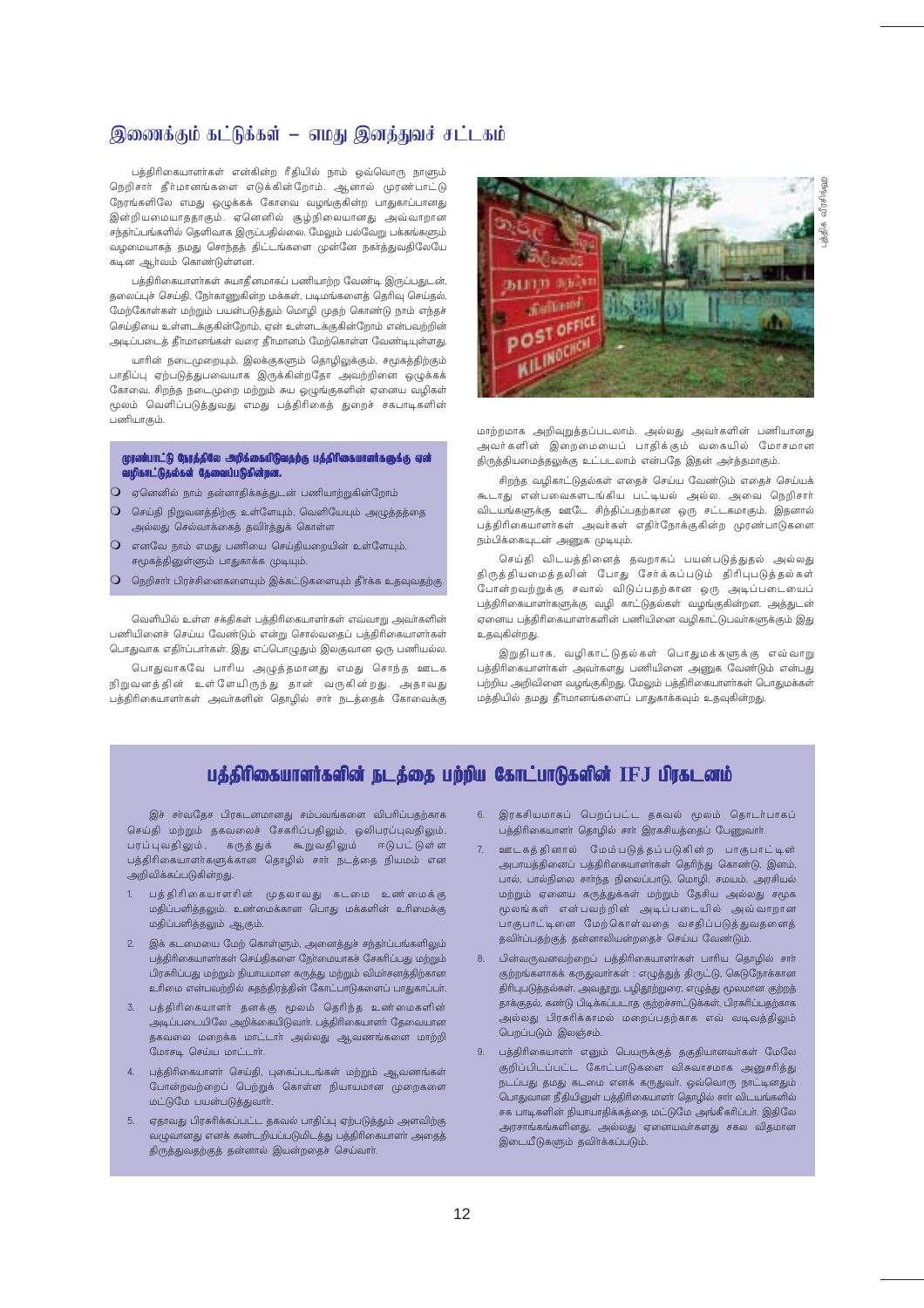# இணைக்கும் கட்டுக்கள் – எமது இனத்துவச் சட்டகம்

பத்திரிகையாளர்கள் என்கின்ற ரீதியில் நாம் ஒவ்வொரு நாளும் நெறிசார் தீர்மானங்களை எடுக்கின்றோம். ஆனால் முரண்பாட்டு நேரங்களிலே எமது ஒழுக்கக் கோவை வழங்குகின்ற பாதுகாப்பானது இன்றியமையாததாகும். ஏனெனில் சூழ்நிலையானது அவ்வாறான சந்தாப்பங்களில் தெளிவாக இருப்பதில்லை. மேலும் பல்வேறு பக்கங்களும் வழமையாகத் தமது சொந்தத் திட்டங்களை முன்னே நகாத்துவதிலேயே கடின ஆர்வம் கொண்டுள்ளன.

பத்திரிகையாளர்கள் சுயாதீனமாகப் பணியாற்ற வேண்டி இருப்பதுடன், .<br>தலைப்புச் செய்தி, நோகாணுகின்ற மக்கள், படிமங்களைத் தெரிவு செய்தல், மேற்கோள்கள் மற்றும் பயன்படுத்தும் மொழி முதற் கொண்டு நாம் எந்தச் செய்தியை உள்ளடக்குகின்றோம், ஏன் உள்ளடக்குகின்றோம் என்பவற்றின் அடிப்படைத் தீாமானங்கள் வரை தீாமானம் மேற்கொள்ள வேண்டியுள்ள<u>து</u>.

யாரின் நடைமுறையும், இலக்குகளும் தொழிலுக்கும், சமூகத்திற்கும் பாதிப்பு ஏற்படுத்துபவையாக இருக்கின்றதோ அவற்றினை ஒழுக்கக் கோவை, சிறந்த நடைமுறை மற்றும் சுய ஒழுங்குகளின் ஏனைய வழிகள் மூலம் வெளிப்படுத்துவது எமது பத்திரிகைத் துறைச் சகபாடிகளின் பணியாகும்.

## $\eta$ ண்பாட்டு நேரத்திலே அறிக்கையிடுவதற்கு பத்திரிகையாளர்களுக்கு ஏன் .<br>நிகாட்டுதல்கள் தேவைப்படுகின்றன.

- $\bigcirc$  ஏனெனில் நாம் தன்னாதிக்கத்துடன் பணியாற்றுகின்றோம்
- $\overline{\textbf{Q}}$  செய்தி நிறுவனத்திற்கு உள்ளேயும், வெளியேயும் அழுத்தத்தை அல்லது செல்வாக்கைத் தவிாத்துக் கொள்ள
- $\overline{\textbf{Q}}$  எனவே நாம் எமது பணியை செய்தியறையின் உள்ளேயும், சமூகத்தினுள்ளும் பாதுகாக்க முடியும்.
- $O$  நெறிசாா பிரச்சினைகளையும் இக்கட்டுகளையும் தீாக்க உதவுவதற்கு

வெளியில் உள்ள சக்திகள் பத்திரிகையாளா்கள் எவ்வாறு அவா்களின் பணியினைச் செய்ய வேண்டும் என்று சொல்வதைப் பத்திரிகையாளர்கள் பொதுவாக எதிாப்பாா்கள். இது எப்பொழுதும் இலகுவான ஒரு பணியல்ல.

பொதுவாகவே பாரிய அழுத்தமானது எமது சொந்த ஊடக நிறுவனத்தின் உள்ளேயிருந்து தான் வருகின்றது. அதாவது பத்திரிகையாளா்கள் அவா்களின் தொழில் சாா் நடத்தைக் கோவைக்கு



மாற்றமாக அறிவுறுத்தப்படலாம். அல்லது அவா்களின் பணியானது அவர்களின் இறைமையைப் பாதிக்கும் வகையில் மோசமான திருத்தியமைத்தலுக்கு உட்படலாம் என்பதே இதன் அா்த்தமாகும்.

சிறந்த வழிகாட்டுதல்கள் எதைச் செய்ய வேண்டும் எதைச் செய்யக் கூடாது என்பவைகளடங்கிய பட்டியல் அல்ல. அவை நெறிசார் விடயங்களுக்கு ஊடே சிந்திப்பதற்கான ஒரு சட்டகமாகும். இதனால் பத்திரிகையாளர்கள் அவர்கள் எதிர்நோக்குகின்ற முரண்பாடுகளை நம்பிக்கையுடன் அணுக முடியும்.

செய்தி விடயத்தினைத் தவறாகப் பயன்படுத்துதல் அல்லது திருத்தியமைத்தலின் போது சேர்க்கப்படும் திரிபுபடுத்தல்கள் போன்றவற்றுக்கு சவால் விடுப்பதற்கான ஒரு அடிப்படையைப் பத்திரிகையாளா்களுக்கு வழி காட்டுதல்கள் வழங்குகின்றன. அத்துடன் ஏனைய பத்திரிகையாளர்களின் பணியினை வழிகாட்டுபவாகளுக்கும் இது உகவகின்றது.

,<br>இறுதியாக, வழிகாட்டுதல்கள் பொதுமக்களுக்கு எவ்வாறு பத்திரிகையாளா்கள் அவா்களது பணியினை அணுக வேண்டும் என்பது பற்றிய அறிவினை வழங்குகிறது. மேலும் பத்திரிகையாளர்கள் பொதுமக்கள் மத்தியில் தமது தீர்மானங்களைப் பாதுகாக்கவும் உதவுகின்றது.

# uத்திரிகையாளர்களின் நடத்தை பற்றிய கோட்பாடுகளின் IFJ பிரகடனம்

இச் சாவதேச பிரகடனமானது சம்பவங்களை விபரிப்பதற்காக செய்தி மற்றும் தகவலைச் சேகரிப்பதிலும், ஒலிபரப்புவதிலும், பரப்புவதிலும், கருத்துக் கூறுவதிலும் ஈடுபட்டுள்ள ்பத்திரிகையாளாகளுக்கான தொழில் சார் நடத்தை நியமம் என அறிவிக்கப்படுகின்றது.

- 1. பத்திரிகையாளரின் முதலாவது கடமை உண்மைக்கு மதிப்பளித்தலும், உண்மைக்கான பொது மக்களின் உரிமைக்கு மதிப்பளித்தலும் ஆகும்.
- 2. இக் கடமையை மேற் கொள்ளும். அனைத்துச் சந்தாப்பங்களிலும் பத்திரிகையாளாகள் செய்திகளை நோமையாகச் சேகரிப்பது மற்றும் பிரசுரிப்பது மற்றும் நியாயமான கருத்து மற்றும் விமாசனத்திற்கான உரிமை என்பவற்றில் சுதந்திரத்தின் கோட்பாடுகளைப் பாதுகாப்பா்.
- 3. பத்திரிகையாளர் தனக்கு மூலம் தெரிந்த உண்மைகளின் அடிப்படையிலே அறிக்கையிடுவார். பத்திரிகையாளர் தேவையான தகவலை மறைக்க மாட்டாா் அல்லது ஆவணங்களை மாற்றி  $G$ மாசடி செய்ய மாட்டார்.
- 4. பத்திரிகையாளா் செய்தி, புகைப்படங்கள் மற்றும் ஆவணங்கள் போன்றவற்றைப் பெற்றுக் கொள்ள நியாயமான முறைகளை மட்டுமே பயன்படுத்துவாா்.
- 5. ஏதாவது பிரசுரிக்கப்பட்ட தகவல் பாதிப்பு ஏற்படுத்தும் அளவிற்கு வழுவானது எனக் கண்டறியப்படுமிடத்து பத்திரிகையாளா் அதைத் திருத்துவதற்குத் தன்னால் இயன்றதைச் செய்வாா்.
- 6. இரகசியமாகப் பெறப்பட்ட தகவல் மூலம் தொடாபாகப் பத்திரிகையாளா் தொழில் சாா் இரகசியத்தைப் பேணுவாா்.
- 7. ஊடகத்தினால் மேம்படுத்தப்படுகின்ற பாகுபாட்டின் அபாயத்தினைப் பத்திரிகையாளாகள் தெரிந்து கொண்டு, இனம், பால், பால்நிலை சாா்ந்த நிலைப்பாடு, மொழி, சமயம், அரசியல் மற்றும் ஏனைய கருத்துக்கள் மற்றும் தேசிய அல்லது சமூக மூலங்கள் என்பவற்றின் அடிப்படையில் அவ்வாறான ு<br>பாகுபாட்டினை மேற்கொள்வதை வசதிப்படுத்துவதனைத் .<br>தவிாப்பதற்குத் தன்னாலியன்றதைச் செய்ய வேண்டும்.
- 8. பின்வருவனவற்றைப் பத்திரிகையாளா்கள் பாரிய தொழில் சாா் குற்றங்களாகக் கருதுவாாகள் : எழுத்துத் திருட்டு, கெடுநோக்கான திரிபுபடுத்தல்கள், அவதூறு, பழிதூற்றுரை, எழுத்து மூலமான குற்றத் தாக்குதல், கண்டு பிடிக்கப்படாத குற்றச்சாட்டுக்கள், பிரசுரிப்பதற்காக அல்லது பிரசுரிக்காமல் மறைப்பதற்காக எவ் வடிவத்திலும் பெறப்படும் இலஞ்சம்.
- 9. பத்திரிகையாளா் எனும் பெயருக்குத் தகுதியானவா்கள் மேலே குறிப்பிடப்பட்ட கோட்பாடுகளை விசுவாசமாக அனுசரித்து .<br>நடப்பது தமது கடமை எனக் கருதுவா. ஒவ்வொரு நாட்டினதும் பொதுவான நீதியினுள் பத்திரிகையாளா் தொழில் சாா் விடயங்களில் சக பாடிகளின் நியாயாதிக்கத்தை மட்டுமே அங்கீகரிப்பா. இதிலே அரசாங்கங்களினது, அல்லது ஏனையவாகளது சகல விதமான இடையீடுகளும் தவிாக்கப்படும்.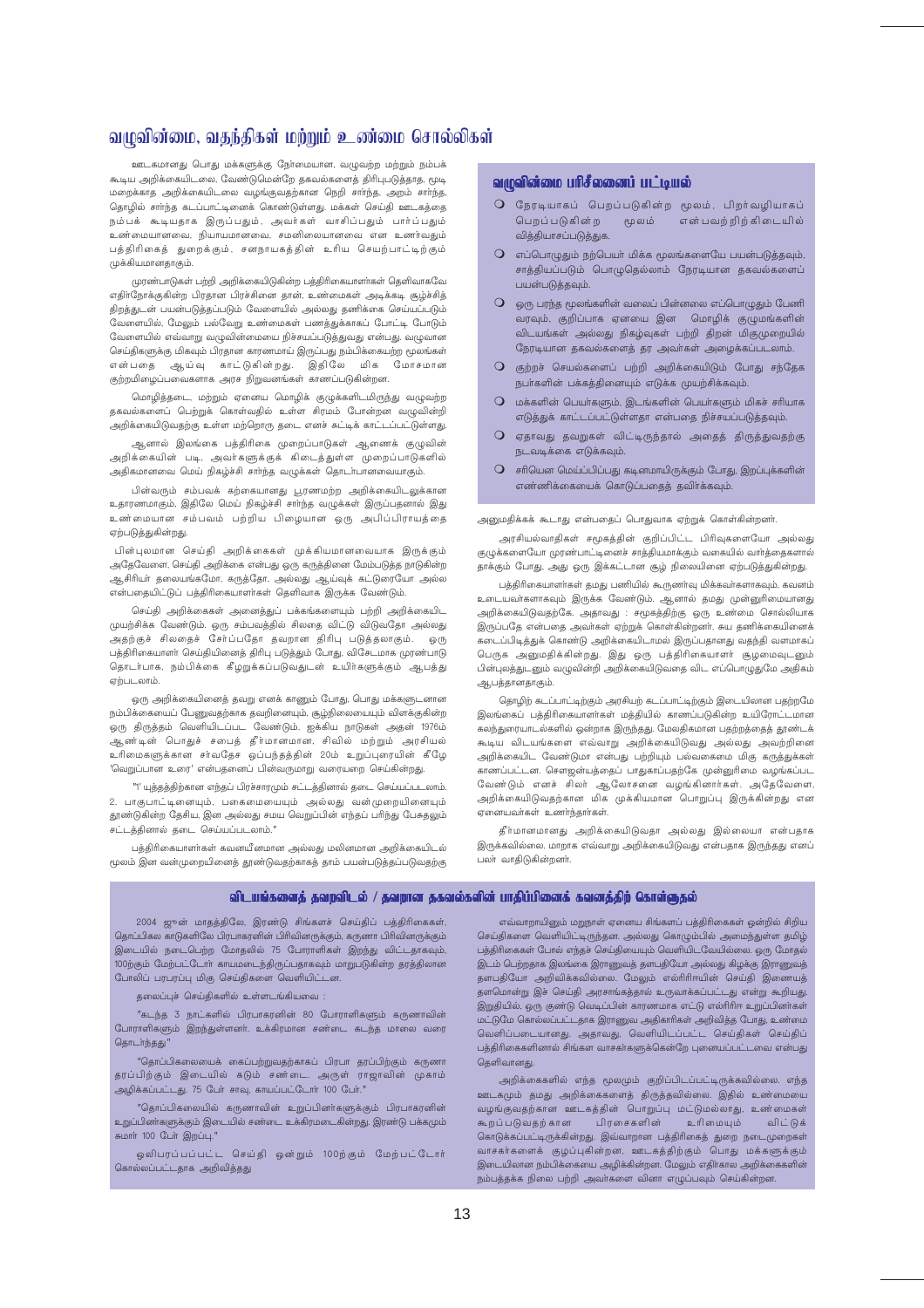# வழவின்மை, வதந்திகள் மற்றும் உண்மை சொல்லிகள்

.<br>ஊடகமானது பொது மக்களுக்கு நோமையான, வழுவற்ற மற்றும் நம்பக் .<br>கூடிய அறிக்கையிடலை, வேண்டுமென்றே தகவல்களைத் திரிபுபடுத்தாத, மூடி மறைக்காத அறிக்கையிடலை வழங்குவதற்கான நெறி சார்ந்த, அறம் சார்ந்த, தொழில் சாாந்த கடப்பாட்டினைக் கொண்டுள்ளது. மக்கள் செய்தி ஊடகத்தை நம்பக் கூடியதாக இருப்பதும், அவர்கள் வாசிப்பதும் பார்ப்பதும் உண்மையானவை, நியாயமானவை, சமனிலையானவை என உணர்வதும் .<br>பத்திரிகைத் துறைக்கும், சனநாயகத்தின் உரிய செயற்பாட்டிற்கும் முக்கியமானதாகும்.

முரண்பாடுகள் பற்றி அறிக்கையிடுகின்ற பத்திரிகையாளர்கள் தெளிவாகவே எதிாநோக்குகின்ற பிரதான பிரச்சினை தான், உண்மைகள் அடிக்கடி சூழ்ச்சித் திறத்துடன் பயன்படுத்தப்படும் வேளையில் அல்லது தணிக்கை செய்யப்படும் .<br>வேளையில், மேலும் பல்வேறு உண்மைகள் பணத்துக்காகப் போட்டி போடும் வேளையில் எவ்வாறு வமுவின்மையை நிச்சயப்படுக்குவகு என்பது. வமுவான .<br>செய்திகளுக்கு மிகவும் பிரதான காரணமாய் இருப்பது நம்பிக்கையற்ற மூலங்கள் என்பதை ஆய்வு காட்டுகின்றது. இதிலே மிக மோசமான .<br>சுற்றமிழைப்பவைகளாக அரச நிறுவனங்கள் காணப்படுகின்றன.

மொழித்தடை, மற்றும் ஏனைய மொழிக் குழுக்களிடமிருந்து வழுவற்ற தகவல்களைப் பெற்றுக் கொள்வதில் உள்ள சிரமம் போன்றன வழுவின்றி அறிக்கையிடுவதற்கு உள்ள மற்றொரு தடை எனச் சுட்டிக் காட்டப்பட்டுள்ளது.

ஆனால் இலங்கை பத்திரிகை முறைப்பாடுகள் ஆணைக் குழுவின் அறிக்கையின் படி, அவர்களுக்குக் கிடைத்துள்ள முறைப்பாடுகளில் அதிகமானவை மெய் நிகழ்ச்சி சார்ந்த வழுக்கள் தொடாபானவையாகும்.

பின்வரும் சம்பவக் கற்கையானது பூரணமற்ற அறிக்கையிடலுக்கான உதாரணமாகும், இதிலே மெய் நிகழ்ச்சி சாா்ந்த வழுக்கள் இருப்பதனால் இது .<br>உண்மையான சம்பவம் பற்றிய பிழையான ஒரு அபிப்பிராயத்தை ஏற்படுத்துகின்றது.

பின்புலமான செய்தி அறிக்கைகள் முக்கியமானவையாக இருக்கும் அதேவேளை, செய்தி அறிக்கை என்பது ஒரு கருத்தினை மேம்படுத்த நாடுகின்ற ஆசிரியா தலையங்கமோ, கருத்தோ, அல்லது ஆய்வுக் கட்டுரையோ அல்ல ்<br>என்பதையிட்டுப் பத்திரிகையாளர்கள் தெளிவாக இருக்க வேண்டும்.

செய்தி அறிக்கைகள் அனைத்துப் பக்கங்களையும் பற்றி அறிக்கையிட முயற்சிக்க வேண்டும். ஒரு சம்பவத்தில் சிலதை விட்டு விடுவதோ அல்லது<br>புரிவதோ அல்லது அதற்குச் சிலதைச் சேர்ப்பதோ தவறான திரிபு படுத்தலாகும். ஒரு பத்திரிகையாளர் செய்தியினைத் திரிபு படுத்தும் போது, விசேடமாக முரண்பாடு தொடர்பாக, நம்பிக்கை கீழறுக்கப்படுவதுடன் உயிர்களுக்கும் ஆபத்து  $\pi$ ற்படலாம்

ஒரு அறிக்கையினைத் தவறு எனக் காணும் போது, பொது மக்களுடனான நம்பிக்கையைப் பேணுவதற்காக தவறினையும், சூழ்நிலையையும் விளக்குகின்ற ஓரு திருத்தம் வெளியிடப்பட வேண்டும். ஐக்கிய நாடுகள் அதன் 1976ம் ஆண்டின் பொதுச் சபைத் தீர்மானமான, சிவில் மற்றும் அரசியல் chpikfSf;fhd rh;tNjr xg;ge;jj;jpd; 20k; cWg;Giuapd; fPNo 'வெறுப்பான உரை' என்பதனைப் பின்வருமாறு வரையறை செய்கின்றது.

"1' யுத்தத்திற்கான எந்தப் பிரச்சாரமும் சட்டத்தினால் தடை செய்யப்படலாம். 2. பாகுபாட்டினையும், பகைமையையும் அல்லது வன்முறையினையும் தூண்டுகின்ற தேசிய, இன அல்லது சமய வெறுப்பின் எந்தப் பரிந்து பேசுதலும் சட்டத்தினால் தடை செய்யப்படலாம்.'

பக்கிரிகையாளர்கள் கவனயீனமான அல்லது மலினமான அறிக்கையிடல் மூலம் இன வன்முறையினைத் தூண்டுவதற்காகத் தாம் பயன்படுத்தப்படுவதற்கு

# வமவின்மை பரிசீலனைப் பட்டியல்

- $O$  நேரடியாகப் பெறப்படுகின்ற மூலம், பிறர்வழியாகப் பெறப்படுகின்ற மூலம் என்பவற்றிற்கிடையில் விக்கியாசப்படுக்கு
- $\Omega$  எப்பொழுதும் நற்பெயா் மிக்க மூலங்களையே பயன்படுத்தவும், சாத்தியப்படும் பொழுதெல்லாம் நேரடியான தகவல்களைப் .<br>பயன்படுக்கவம்.
- $\mathsf O$  ஒரு பரந்த மூலங்களின் வலைப் பின்னலை எப்பொழுதும் பேணி வரவும், குறிப்பாக ஏனயை இன மொழிக் குழுமங்களின் விடயங்கள் அல்லது நிகழ்வுகள் பற்றி திறன் மிகுமுறையில் நேரடியான தகவல்களைத் தர அவாகள் அழைக்கப்படலாம்.
- $\overline{Q}$  குற்றச் செயல்களைப் பற்றி அறிக்கையிடும் போது சந்தேக நபா்களின் பக்கத்தினையும் எடுக்க முயற்சிக்கவும்.
- $\mathsf O$  மக்களின் பெயாகளும், இடங்களின் பெயாகளும் மிகச் சரியாக எடுத்துக் காட்டப்பட்டுள்ளதா என்பதை நிச்சயப்படுத்தவும்.
- $\mathsf O$  ஏகாவது தவறுகள் விட்டிருந்தால் அகைத் திருத்துவதற்கு நடவடிக்கை எடுக்கவும்.
- $\mathsf O$  சரியென மெய்ப்பிப்பது கடினமாயிருக்கும் போது, இறப்புக்களின்  $\sigma$ எண்ணிக்கையைக் கொடுப்பதைத் தவிாக்கவும்.

#### அனுமதிக்கக் கூடாது என்பதைப் பொதுவாக ஏற்றுக் கொள்கின்றனா

அரசியல்வாதிகள் சமூகத்தின் குறிப்பிட்ட பிரிவுகளையோ அல்லது குழுக்களையோ முரண்பாட்டினைச் சாத்தியமாக்கும் வகையில் வார்த்தைகளால் தாக்கும் போது, அது ஒரு இக்கட்டான சூழ் நிலையினை ஏற்படுத்துகின்றது.

பத்திரிகையாளாகள் தமது பணியில் கூருணாவு மிக்கவாகளாகவும், கவனம் உடையவாகளாகவும் இருக்க வேண்டும். ஆனால் தமது முன்னுரிமையானது அறிக்கையிடுவதற்கே, அதாவது : சமூகத்திற்கு ஒரு உண்மை சொல்லிய<mark>ா</mark>க இருப்பதே என்பதை அவர்கள் ஏற்றுக் கொள்கின்றனர். சுய தணிக்கையினைக் .<br>கடைப்பிடித்துக் கொண்டு அறிக்கையிடாமல் இருப்பதானது வதந்தி வளமாகப் பெருக அனுமதிக்கின்றது. இது ஒரு பத்திரிகையாளர் சூழமைவுடனும் ்பின்புலத்துடனும் வழுவின்றி அறிக்கையிடுவதை விட எப்பொழுதுமே அதிகம் ஆபத்தானதாகும்.

தொழிற் கடப்பாட்டிற்கும் அரசியற் கடப்பாட்டிற்கும் இடையிலான பதற்றமே இலங்கைப் பத்திரிகையாளாகள் மத்தியில் காணப்படுகின்ற உயிரோட்டமான கலந்துரையாடல்களில் ஒன்றாக இருந்தது. மேலதிகமான பதற்றத்தைத் தூண்டக் கூடிய விடயங்களை எவ்வாறு அறிக்கையிடுவது அல்லது அவற்றினை அறிக்கையிட வேண்டுமா என்பது பற்றியும் பல்வகைமை மிகு கருத்துக்கள<mark>்</mark> காணப்பட்டன. சௌஜன்யத்தைப் பாதுகாப்பதற்கே முன்னுரிமை வழங்கப்பட வேண்டும் எனச் சிலர் ஆலோசனை வழங்கினார்கள். அதேவேளை, அறிக்கையிடுவதற்கான மிக முக்கியமான பொறுப்பு இருக்கின்றது என  $\sigma$ னையவாகள் உணர்ந்தார்கள்.

தீர்மானமானது அறிக்கையிடுவதா அல்லது இல்லையா என்பதாக இருக்கவில்லை. மாறாக எவ்வாறு அறிக்கையிடுவது என்பதாக இருந்தது எனப்  $L$ லா வாகிடுகின்றனா்

# **விடயங்களைத் தவறவிடல் / தவறான தகவல்களின் பாதிப்பினைக் கவனத்திற் கொள்ளுதல்**

2004 ஜுன் மாதத்திலே, இரண்டு சிங்களச் செய்திப் பத்திரிகைகள், தொப்பிகல காடுகளிலே பிரபாகரனின் பிரிவினருக்கும், கருணா பிரிவினருக்கும் இடையில் நடைபெற்ற மோதலில் 75 போராளிகள் இறந்து விட்டதாகவும், 100ற்கும் மேற்பட்டோா் காயமடைந்திருப்பதாகவும் மாறுபடுகின்ற தரத்திலான .<br>போலிப் பரபரப்பு மிகு செய்திகளை வெளியிட்டன.

தலைப்புச் செய்திகளில் உள்ளடங்கியவை

"கடந்த 3 நாட்களில் பிரபாகரனின் 80 போராளிகளும் கருணாவின் போராளிகளும் இறந்துள்ளனர். உக்கிரமான சண்டை கடந்த மாலை வரை தொடாந்தது"

"தொப்பிகலையைக் கைப்பற்றுவதற்காகப் பிரபா தரப்பிற்கும் கருணா தரப்பிற்கும் இடையில் கடும் சண்டை. அருள் ராஜாவின் முகாம் அழிக்கப்பட்டது. 75 பேர் சாவு, காயப்பட்டோர் 100 பேர்."

.<br>"தொப்பிகலையில் கருணாவின் உறுப்பினர்களுக்கும் பிரபாகரனின் உறுப்பினாகளுக்கும் இடையில் சண்டை உக்கிரமடைகின்றது. இரண்டு பக்கமும் சுமார் 100 பேர் இறப்பு."

ஒலிபரப்பப்பட்ட செய்தி ஒன்றும் 100ற்கும் மேற்பட்டோர் கொல்லப்பட்டதாக அறிவித்தது

எவ்வாறாயினும் மறுநாள் ஏனைய சிங்களப் பத்திரிகைகள் ஒன்றில் சிறிய செய்திகளை வெளியிட்டிருந்தன. அல்லது கொழும்பில் அமைந்துள்ள தமிழ் பத்திரிகைகள் போல் எந்தச் செய்தியையும் வெளியிடவேயில்லை. ஒரு மோதல் ,<br>இடம் பெற்றதாக இலங்கை இராணுவத் தளபதியோ அல்லது கிழக்கு இராணுவத் தளபதியோ அறிவிக்கவில்லை. மேலும் எல்ரிரிஈயின் செய்தி இணையத் தளமொன்று இச் செய்தி அரசாங்கத்தால் உருவாக்கப்பட்டது என்று கூறியது. ,<br>இறுதியில், ஒரு குண்டு வெடிப்பின் காரணமாக எட்டு எல்ரிரிஈ உறுப்பினா்கள் மட்டுமே கொல்லப்பட்டதாக இராணுவ அதிகாரிகள் அறிவித்த போது, உண்மை வெளிப்படையானது. அதாவது, வெளியிடப்பட்ட செய்திகள் செய்திப் பத்திரிகைகளினால் சிங்கள வாசகாகளுக்கென்றே புனையப்பட்டவை என்பது கெளிவானது.

அறிக்கைகளில் எந்த மூலமும் குறிப்பிடப்பட்டிருக்கவில்லை. எந்த .<br>ஊடகமும் தமது அறிக்கைகளைத் திருத்தவில்லை. இதில் உண்மையை வழங்குவதற்கான ஊடகத்தின் பொறுப்பு மட்டுமல்லாது, உண்மைகள் .<br>கூறப்படுவதற்கான பிரசைகளின் உரிமையும் விட்டுக் கொடுக்கப்பட்டிருக்கின்றது. இவ்வாறான பத்திரிகைத் துறை நடைமுறைகள் வாசகர்களைக் குழப்புகின்றன, ஊடகத்திற்கும் பொது மக்களுக்கும் .<br>இடையிலான நம்பிக்கையை அழிக்கின்றன, மேலும் எதிாகால அறிக்கைகளின் நம்பத்தக்க நிலை பற்றி அவா்களை வினா எழுப்பவும் செய்கின்றன.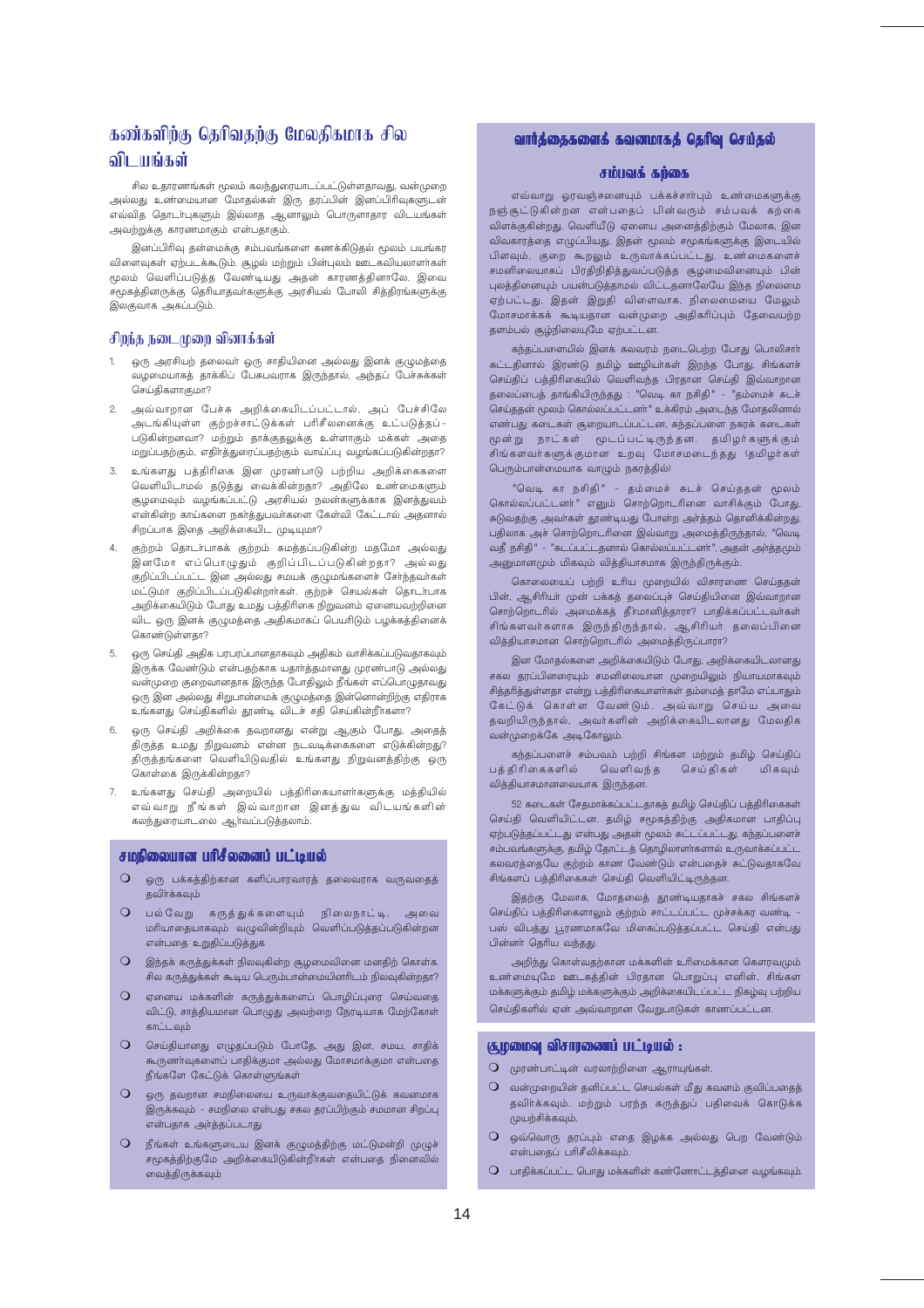# $\bm{f}$ கண்களிற்கு தெரிவதற்கு மேலதிகமாக சில விடயங்கள்

சில உதாரணங்கள் மூலம் கலந்துரையாடப்பட்டுள்ளதாவது, வன்முறை .<br>அல்லது உண்மையான மோதல்கள் இரு தரப்பின் இனப்பிரிவுகளுடன் எவ்வித தொடா்புகளும் இல்லாத ஆனாலும் பொருளாதார விடயங்கள் அவற்றுக்கு காரணமாகும் என்பதாகும்.

இனப்பிரிவு தன்மைக்கு சம்பவங்களை கணக்கிடுதல் மூலம் பயங்கர விளைவுகள் ஏற்படக்கூடும். சூழல் மற்றும் பின்புலம் ஊடகவியலாளா்கள் மூலம் வெளிப்படுத்த வேண்டியது அதன் காரணத்தினாலே. இவை சமூகத்தினருக்கு தெரியாதவாகளுக்கு அரசியல் போலி சித்திரங்களுக்கு இலகுவாக அகப்படும்.

# சிறந்த நடைமுறை வினாக்கள்

- ஒரு அரசியற் தலைவா் ஒரு சாதியினை அல்லது இனக் குழுமத்தை .<br>வழமையாகத் தாக்கிப் பேசுபவராக இருந்தால், அந்தப் பேச்சுக்கள் செய்கிகளாகுமா?
- அவ்வாறான பேச்சு அறிக்கையிடப்பட்டால், அப் பேச்சிலே —<br>அடங்கியுள்ள குற்றச்சாட்டுக்கள் பரிசீலனைக்கு உட்படுத்தப்-படுகின்றனவா? மற்றும் தாக்குதலுக்கு உள்ளாகும் மக்கள் அதை மறுப்பதற்கும், எதிர்த்துரைப்பதற்கும் வாய்ப்பு வழங்கப்படுகின்றதா?
- 3. உங்களது பக்கிரிகை இன முரண்பாடு பற்றிய அறிக்கைகளை .<br>வெளியிடாமல் தடுத்து வைக்கின்றதா? அதிலே உண்மைகளும் சூழமைவும் வழங்கப்பட்டு அரசியல் நலன்களுக்காக இனத்துவம் என்கின்ற காய்களை நகர்த்துபவர்களை கேள்வி கேட்டால் அதனால் சிறப்பாக இதை அறிக்கையிட முடியுமா?
- 4. குற்றம் தொடா்பாகக் குற்றம் சுமத்தப்படுகின்ற மதமோ அல்லது இனமோ எப்பொழுதும் குறிப்பிடப்படுகின்றதா? அல்லது .<br>குறிப்பிடப்பட்ட இன அல்லது சமயக் குழுமங்களைச் சோந்தவாகள் மட்டுமா குறிப்பிடப்படுகின்றார்கள். குற்றச் செயல்கள் தொடர்பாக அறிக்கையிடும் போது உமது பத்திரிகை நிறுவனம் ஏனையவற்றினை ்விட ஒரு இனக் குழுமத்தை அதிகமாகப் பெயரிடும் பழக்கத்தினைக் கொண்டுள்ளதா?
- ஒரு செய்தி அதிக பரபரப்பானதாகவும் அதிகம் வாசிக்கப்படுவதாகவும் ,<br>இருக்க வேண்டும் என்பதற்காக யதாாத்தமானது முரண்பாடு அல்லது வன்முறை குறைவானதாக இருந்த போதிலும் நீங்கள் எப்பொழுதாவது ஒரு இன அல்லது சிறுபான்மைக் குழுமத்தை இன்னொன்றிற்கு எதிராக .<br>உங்களது செய்திகளில் தூண்டி விடச் சதி செய்கின்றீாகளா?
- ஒரு செய்தி அறிக்கை தவறானது என்று ஆகும் போது, அதைத் .<br>திருத்த உமது நிறுவனம் என்ன நடவடிக்கைகளை எடுக்கின்றது? ,<br>திருத்தங்களை வெளியிடுவதில் உங்களது நிறுவனத்திற்கு ஒரு கொள்கை இருக்கின்றதா?
- 7. உங்களது செய்தி அறையில் பத்திரிகையாளர்களுக்கு மத்தியில் .<br>எவ்வாறு நீங்கள் இவ்வாறான இனத்துவ விடயங்களின் .<br>சுலந்துரையாடலை ஆர்வப்படுத்தலாம்.

## சமநிலையான பரிசீலனைப் பட்டியல்

- $\mathsf O$  ஒரு பக்கத்திற்கான களிப்பாரவாரத் தலைவராக வருவதைத் தவிா்க்கவும்
- $Q$  பல்வேறு கருத்துக்களையும் நிலைநாட்டி, அவை மரியாதையாகவும் வழுவின்றியும் வெளிப்படுத்தப்படுகின்றன என்பதை உறுதிப்படுத்துக
- $\mathsf O$  இந்தக் கருத்துக்கள் நிலவுகின்ற சூழமைவினை மனதிற் கொள்க. .<br>சில கருத்துக்கள் கூடிய பெரும்பான்மையினரிடம் நிலவுகின்றதா?
- $\bigcirc$  ஏனைய மக்களின் கருத்துக்களைப் பொழிப்புரை செய்வதை விட்டு, சாத்தியமான பொழுது அவற்றை நேரடியாக மேற்கோள்  $F$
- $Q$  செய்தியானது எழுதப்படும் போதே, அது இன, சமய, சாதிக் கூருணாவுகளைப் பாதிக்குமா அல்லது மோசமாக்குமா என்பதை நீங்களே கேட்டுக் கொள்ளுங்கள்
- $\overline{Q}$  ஒரு தவறான சமநிலையை உருவாக்குவதையிட்டுக் கவனமாக இருக்கவும் - சமநிலை என்பது சகல தரப்பிற்கும் சமமான சிறப்பு என்பதாக அாத்தப்படாது
- நீங்கள் உங்களுடைய இனக் குழுமத்திற்கு மட்டுமன்றி முழுச் சமூகத்திற்குமே அறிக்கையிடுகின்றீர்கள் என்பதை நினைவில் வைத்திருக்கவும்

# $\boldsymbol{\mathrm{a}}$ infrå $\boldsymbol{\mathrm{a}}$ asagana; aalonunas, Gafiai, G $\boldsymbol{\mathrm{s}}$ ujas $\boldsymbol{\mathrm{a}}$

# சம்பவக் கற்கை

எவ்வாறு ஓரவஞ்சனையும் பக்கச்சாா்பும் உண்மைகளுக்கு .<br>நஞ்சூட்டுகின்றன என்பதைப் பின்வரும் சம்பவக் கற்கை விளக்குகின்றது. வெளியீடு ஏனைய அனைத்திற்கும் மேலாக, இன விவகாரத்தை எழுப்பியது. இதன் மூலம் சமூகங்களுக்கு இடையில் பிளவும், குறை கூறலும் உருவாக்கப்பட்டது. உண்மைகளைச் சமனிலையாகப் பிரதிநிதித்துவப்படுத்த சூழமைவினையும் பின் .<br>புலத்தினையும் பயன்படுத்தாமல் விட்டதனாலேயே இந்த நிலைமை ஏற்பட்டது. இதன் இறுதி விளைவாக, நிலைமையை மேலும் மோசமாக்கக் கூடியதான வன்முறை அதிகரிப்பும் தேவையற்ற தளம்பல் சூழ்நிலையுமே ஏற்பட்டன

கந்தப்பளையில் இனக் கலவரம் நடைபெற்ற போது பொலிசாா் சுட்டதினால் இரண்டு தமிழ் ஊழியாகள் இறந்த போது, சிங்களச் செய்திப் பத்திரிகையில் வெளிவந்த பிரதான செய்தி இவ்வாறான தலைப்பைத் தாங்கியிருந்தது : "வெடி கா நசிதி" - "தம்மைச் சுடச் செய்ததன் மூலம் கொல்லப்பட்டனா்" உக்கிரம் அடைந்த மோதலினால் .<br>எண்பது கடைகள் சூறையாடப்பட்டன, கந்தப்பளை நகரக் கடைகள் மூன்று நாட்கள் மூடப்பட்டிருந்தன. தமிழர்களுக்கும் .<br>சிங்களவாகளுக்குமான உறவு மோசமடைந்தது (தமிழா்கள் பெரும்பான்மையாக வாழும் நகரத்தில்)

"வெடி கா நசிதி" - தம்மைச் சுடச் செய்ததன் மூலம் கொல்லப்பட்டனா<sup>,</sup>" எனும் சொற்றொடரினை வாசிக்கும் போது, சுடுவதற்கு அவா்கள் தூண்டியது போன்ற அா்த்தம் தொனிக்கின்றது. பதிலாக அச் சொற்றொடரினை இவ்வாறு அமைத்திருந்தால், "வெடி வதீ நசிதி" - "சுடப்பட்டதனால் கொல்லப்பட்டனா்", அதன் அாத்தமும் அனுமானமும் மிகவும் வித்தியாசமாக இருந்திருக்கும்.

கொலையைப் பற்றி உரிய முறையில் விசாரணை செய்ததன் பின், ஆசிரியா் முன் பக்கத் தலைப்புச் செய்தியினை இவ்வாறான .<br>சொற்றொடரில் அமைக்கத் தீாமானித்தாரா? பாதிக்கப்பட்டவாகள் சிங்களவர்களாக இருந்திருந்தால், ஆசிரியர் தலைப்பினை .<br>வித்தியாசமான சொற்றொடரில் அமைத்திருப்பாரா?

இன மோதல்களை அறிக்கையிடும் போது, அறிக்கையிடலானது .<br>சகல தரப்பினரையும் சமனிலையான முறையிலும் நியாயமாகவும் .<br>சித்தரித்துள்ளதா என்று பத்திரிகையாளாகள் தம்மைத் தாமே எப்பாதும் கேட்டுக் கொள்ள வேண்டும். அவ்வாறு செய்ய அவை .<br>தவறியிருந்தால், அவாகளின் அறிக்கையிடலானது மேலதிக வன்முறைக்கே அடிகோலும்.

கந்தப்பளைச் சம்பவம் பற்றி சிங்கள மற்றும் தமிழ் செய்திப் பத்திரிகைகளில் வெளிவந்த செய்திகள் மிகவும் வித்தியாசமானவையாக இருந்தன.

52 கடைகள் சேதமாக்கப்பட்டதாகத் தமிழ் செய்திப் பத்திரிகைகள் செய்தி வெளியிட்டன. தமிழ் சமூகத்திற்கு அதிகமான பாதிப்பு ஏற்படுத்தப்பட்டது என்பது அதன் மூலம் சுட்டப்பட்டது. கந்தப்பளைச் சம்பவங்களுக்கு, தமிழ் தோட்டத் தொழிலாளா்களால் உருவாக்கப்பட்ட .<br>சுலவரத்தையே குற்றம் காண வேண்டும் என்பதைச் சுட்டுவதாகவே .<br>சிங்களப் பத்திரிகைகள் செய்தி வெளியிட்டிருந்தன.

இதற்கு மேலாக, மோதலைத் தூண்டியதாகச் சகல சிங்களச் nra;jpg; gj;jphpifshYk; Fw;wk; rhl;lg;gl;l Kr;rf;fu tz;b - பஸ் விபத்து பூரணமாகவே மிகைப்படுத்தப்பட்ட செய்தி என்பது பின்னா் தெரிய வந்<u>தது</u>.

அறிந்து கொள்வதற்கான மக்களின் உரிமைக்கான கௌரவமும் .<br>உண்மையுமே ஊடகத்தின் பிரதான பொறுப்பு எனின், சிங்கள மக்களுக்கும் தமிழ் மக்களுக்கும் அறிக்கையிடப்பட்ட நிகழ்வு பற்றிய .<br>செய்திகளில் ஏன் அவ்வாறான வேறுபாடுகள் காணப்பட்டன.

# குழமைவு விசாரணைப் பட்டியல் :

- $\mathbf Q$  முரண்பாட்டின் வரலாற்றினை ஆராயுங்கள்.
- $\Omega$  வன்முறையின் தனிப்பட்ட செயல்கள் மீது கவனம் குவிப்பதைத் தவிர்க்கவும். மற்றும் பரந்த கருத்துப் பதிவைக் கொடுக்க .<br>முயற்சிக்கவும்.
- $\Omega$  ஓவ்வொரு தரப்பும் எதை இழக்க அல்லது பெற வேண்டும் .<br>என்பகைப் பரிசீலிக்கவம்.
- $\Theta$  பாதிக்கப்பட்ட பொது மக்களின் கண்ணோட்டத்தினை வழங்கவும்.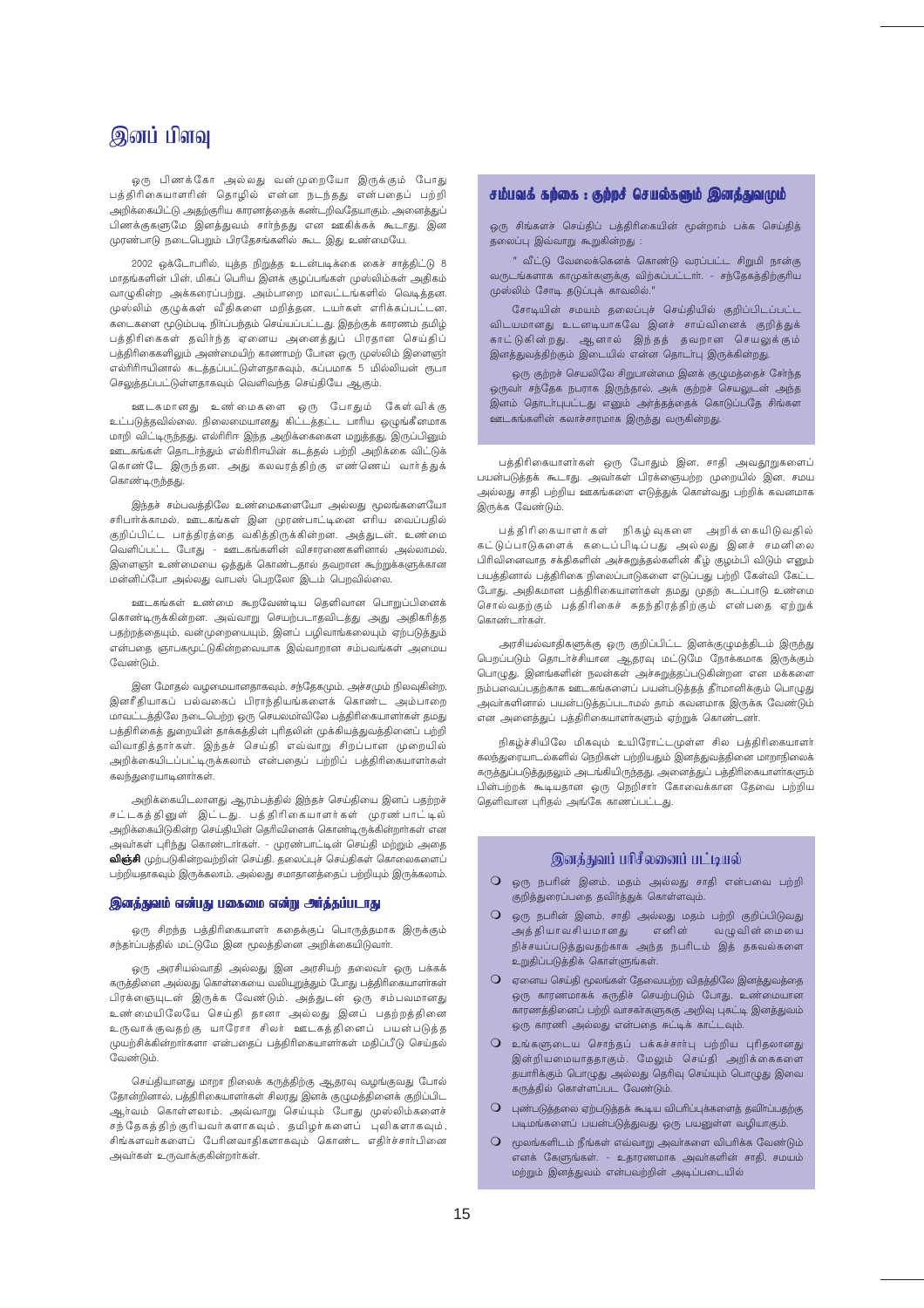# இனப் பிளவு

,<br>ஒரு பிணக்கோ அல்லது வன்முறையோ இருக்கும் போது பத்திரிகையாளரின் தொழில் என்ன நடந்தது என்பதைப் பற்றி அறிக்கையிட்டு அதற்குரிய காரணத்தைக் கண்டறிவதேயாகும். அனைத்துப் பிணக்குகளுமே இனத்துவம் சார்ந்தது என ஊகிக்கக் கூடாது. இன முரண்பாடு நடைபெறும் பிரதேசங்களில் கூட இது உண்மையே.

2002 ஓக்டோபரில், யுத்த நிறுத்த உடன்படிக்கை கைச் சாத்திட்டு 8 மாதங்களின் பின், மிகப் பெரிய இனக் குழப்பங்கள் முஸ்லிம்கள் அதிகம் ்வாழுகின்ற அக்கரைப்பற்று, அம்பாறை மாவட்டங்களில் வெடித்தன. முஸ்லிம் குழுக்கள் வீதிகளை மறித்தன, டயாகள் எரிக்கப்பட்டன, கடைகளை மூடும்படி நிாப்பந்தம் செய்யப்பட்டது. இதற்குக் காரணம் தமிழ் பத்திரிகைகள் தவிர்ந்த ஏனைய அனைத்துப் பிரதான செய்திப் பத்திரிகைகளிலும் அண்மையிற் காணாமற் போன ஒரு முஸ்லிம் இளைஞா எல்ரிரிஈயினால் கடத்தப்பட்டுள்ளதாகவும், கப்பமாக 5 மில்லியன் ரூபா செலுத்தப்பட்டுள்ளதாகவும் வெளிவந்த செய்தியே ஆகும்.

ஊடகமானது உண்மைகளை ஒரு போதும் கேள்விக்கு உட்படுத்தவில்லை. நிலைமையானது கிட்டத்தட்ட பாரிய ஒழுங்கீனமாக மாறி விட்டிருந்தது. எல்ரிரிஈ இந்த அறிக்கைகளை மறுத்தது. இருப்பினும் ஊடகங்கள் தொடாந்தும் எல்ரிரிஈயின் கடத்தல் பற்றி அறிக்கை விட்டுக் .<br>கொண்டே இருந்தன. அது கலவரத்திற்கு எண்ணெய் வார்த்துக் கொண்டிருந்தது.

இந்தச் சம்பவத்திலே உண்மைகளையோ அல்லது மூலங்களையோ சரிபார்க்காமல், ஊடகங்கள் இன முரண்பாட்டினை எரிய வைப்பதில் குறிப்பிட்ட பாத்திரத்தை வகித்திருக்கின்றன. அத்துடன், உண்மை வெளிப்பட்ட போது - ஊடகங்களின் விசாரணைகளினால் அல்லாமல், இளைஞர் உண்மையை ஒத்துக் கொண்டதால் தவறான கூற்றுக்களுக்கான மன்னிப்போ அல்லது வாபஸ் பெறலோ இடம் பெறவில்லை.

ஊடகங்கள் உண்மை கூறவேண்டிய தெளிவான பொறுப்பினைக் கொண்டிருக்கின்றன. அவ்வாறு செயற்படாதவிடத்து அது அதிகரித்த பதற்றத்தையும், வன்முறையையும், இனப் பழிவாங்கலையும் ஏற்படுத்தும் என்பதை ஞாபகமூட்டுகின்றவையாக இவ்வாறான சம்பவங்கள் அமைய வேண்டும்.

இன மோதல் வழமையானதாகவும், சந்தேகமும், அச்சமும் நிலவுகின்ற, இனரீதியாகப் பல்வகைப் பிராந்தியங்களைக் கொண்ட அம்பாறை .<br>மாவட்டத்திலே நடைபெற்ற ஒரு செயலமாவிலே பத்திரிகையாளாகள் தமது பத்திரிகைத் துறையின் தாக்கத்தின் புரிதலின் முக்கியத்துவத்தினைப் பற்றி விவாதித்தார்கள். இந்தச் செய்தி எவ்வாறு சிறப்பான முறையில் அறிக்கையிடப்பட்டிருக்கலாம் என்பதைப் பற்றிப் பத்திரிகையாளர்கள் கலந்துரையாடினார்கள்

அறிக்கையிடலானது ஆரம்பத்தில் இந்தச் செய்தியை இனப் பதற்றச் சட்டகத்தினுள் இட்டது. பத்திரிகையாளர்கள் முரணப்ாட்டில் அறிக்கையிடுகின்ற செய்கியின் தெரிவினைக் கொண்டிருக்கின்றார்கள் என அவாகள் புரிந்து கொண்டாாகள். - முரண்பாட்டின் செய்தி மற்றும் அதை விஞ்சி முற்படுகின்றவற்றின் செய்தி. தலைப்புச் செய்திகள் கொலைகளைப் பற்றியதாகவும் இருக்கலாம். அல்லது சமாதானத்தைப் பற்றியும் இருக்கலாம்.

#### இனத்துவம் என்பது பகைமை என்று அர்த்தப்படாது

ாட சிறந்த பக்கிரிகையாளர் ககைக்குப் பொருக்கமாக இருக்கும் சந்தாப்பத்தில் மட்டுமே இன மூலத்தினை அறிக்கையிடுவாா்.

ஒரு அரசியல்வாதி அல்லது இன அரசியற் தலைவா் ஒரு பக்கக் கருத்தினை அல்லது கொள்கையை வலியுறுத்தும் போது பத்திரிகையாளா்கள் .<br>பிரக்ஞையுடன் இருக்க வேண்டும். அத்துடன் ஒரு சம்பவமானது .<br>உண்மையிலேயே செய்தி தானா அல்லது இனப் பதற்றத்தினை .<br>உருவாக்குவதற்கு யாரோா சிலா் ஊடகத்தினைப் பயன்படுத்த .<br>முயற்சிக்கின்றாா்களா என்பதைப் பத்திாிகையாளா்கள் மதிப்பீடு செய்தல் Gelerian

செய்தியானது மாறா நிலைக் கருத்திற்கு ஆதரவு வழங்குவது போல் தோன்றினால், பத்திரிகையாளாகள் சிலரது இனக் குழுமத்தினைக் குறிப்பிட ஆர்வம் கொள்ளலாம். அவ்வாறு செய்யும் போது முஸ்லிம்களைச் சந்தேகத்திற்குரியவர்களாகவும், தமிழர்களைப் புலிகளாகவும், சிங்களவர்களைப் பேரினவாதிகளாகவும் கொண்ட எதிர்ச்சார்பினை அவாகள் உருவாக்குகின்றாாகள்.

# சம்பவக் கற்கை : குற்றச் செயல்களும் இனத்துவமும்

ஒரு சிங்களச் செய்திப் பத்திரிகையின் மூன்றாம் பக்க செய்தித் தலைப்பு இவ்வாறு கூறுகின்றது :

 $"$  வீட்டு வேலைக்கெனக் கொண்டு வரப்பட்ட சிறுமி நான்கு வருடங்களாக காமுகா்களுக்கு விற்கப்பட்டாா். - சந்தேகத்திற்குாிய முஸ்லிம் சோடி தடுப்புக் காவலில்."

சோடியின் சமயம் தலைப்புச் செய்தியில் குறிப்பிடப்பட்ட விடயமானது உடனடியாகவே இனச் சாய்வினைக் குறித்துக் காட்டுகின்றது. ஆனால் இந்தத் தவறான செயலுக்கும் .<br>இனத்துவத்திற்கும் இடையில் என்ன தொடாபு இருக்கின்றது.

ஒரு குற்றச் செயலிலே சிறுபான்மை இனக் குழுமத்தைச் சோந்த .<br>ஒருவா சந்தேக நபராக இருந்தால், அக் குற்றச் செயலுடன் அந்த இனம் தொடா்புபட்டது எனும் அா்த்தத்தைக் கொடுப்பதே சிங்கள \_\_\_<br>ஊடகங்களின் கலாச்சாரமாக இருந்து வருகின்றது.

பத்திரிகையாளர்கள் ஒரு போதும் இன, சாதி அவதூறுகளைப் பயன்படுத்தக் கூடாது. அவா்கள் பிரக்ஞையற்ற முறையில் இன, சமய அல்லது சாதி பற்றிய ஊகங்களை எடுத்துக் கொள்வது பற்றிக் கவனமாக .<br>இருக்க வேண்டும்.

பத்திரிகையாளர்கள் நிகழ்வுகளை அறிக்கையிடுவதில் கட்டுப்பாடுகளைக் கடைப்பிடிப்பது அல்லது இனச் சமனிலை பிரிவினைவாத சக்திகளின் அச்சுறுத்தல்களின் கீழ் குழம்பி விடும் எனும் பயத்தினால் பத்திரிகை நிலைப்பாடுகளை எடுப்பது பற்றி கேள்வி கேட்ட ு.<br>போது, அதிகமான பத்திரிகையாளாகள் தமது முதற் கடப்பாடு உண்மை சொல்வதற்கும் பத்திரிகைச் சுதந்திரத்திற்கும் என்பதை ஏற்றுக் கொண்டார்கள்.

அரசியல்வாதிகளுக்கு ஒரு குறிப்பிட்ட இனக்குழுமத்திடம் இருந்து பெறப்படும் தொடா்ச்சியான ஆதரவு மட்டுமே நோக்கமாக இருக்கும் பொழுது, இனங்களின் நலன்கள் அச்சுறுத்தப்படுகின்றன என மக்களை .<br>நம்பவைப்பதற்காக ஊடகங்களைப் பயன்படுத்தத் தீாமானிக்கும் பொழுது அவாகளினால் பயன்படுத்தப்படாமல் தாம் கவனமாக இருக்க வேண்டும் என அனைத்துப் பத்திரிகையாளா்களும் ஏற்றுக் கொண்டனா்.

நிகம்ச்சியிலே மிகவும் உயிரோட்டமுள்ள சில பக்கிரிகையாளர் கலந்துரையாடல்களில் நெறிகள் பற்றியதும் இனத்துவத்தினை மாறாநிலைக் கருத்துப்படுத்துதலும் அடங்கியிருந்தது. அனைத்துப் பத்திரிகையாளா்களும் பின்பற்றக் கூடியதான ஒரு நெறிசாா் கோவைக்கான தேவை பற்றிய தெளிவான புரிதல் அங்கே காணப்பட்டது.

# இனத்துவப் பரிசீலனைப் பட்டியல்

- $\overline{Q}$  ஒரு நபரின் இனம், மதம் அல்லது சாதி என்பவை பற்றி குறித்துரைப்பதை தவிாத்துக் கொள்ளவும்.
- $\mathsf O$  ஒரு நபரின் இனம், சாதி அல்லது மதம் பற்றி குறிப்பிடுவது அத்தியாவசியமானது எனின் வழுவின்மையை .<br>நிச்சயப்படுத்துவதற்காக அந்த நபரிடம் இத் தகவல்களை உறுதிப்படுத்திக் கொள்ளுங்கள்.
- $\mathsf O$  ஏனைய செய்தி மூலங்கள் தேவையற்ற விதத்திலே இனத்துவத்தை ஒரு காரணமாகக் கருதிச் செயற்படும் போது, உண்மையான காரணத்தினைப் பற்றி வாசகாகளுககு அறிவு புகட்டி இனத்துவம் ஒரு காரணி அல்லது என்பதை சுட்டிக் காட்டவும்.
- $\Omega$  உங்களுடைய சொந்தப் பக்கச்சார்பு பற்றிய புரிதலானது இன்றியமையாததாகும். மேலும் செய்தி அறிக்கைகளை தயாரிக்கும் பொழுது அல்லது தெரிவு செய்யும் பொழுது இவை கருத்தில் கொள்ளப்பட வேண்டும்.
- $\Omega$  புண்படுத்தலை ஏற்படுத்தக் கூடிய விபரிப்புக்களைத் தவிாப்பதற்கு படிமங்களைப் பயன்படுத்துவது ஒரு பயனுள்ள வழியாகும்.
- மூலங்களிடம் நீங்கள் எவ்வாறு அவாகளை விபரிக்க வேண்டும் எனக் கேளுங்கள். - உதாரணமாக அவாகளின் சாதி, சமயம் மற்றும் இனத்துவம் என்பவற்றின் அடிப்படையில்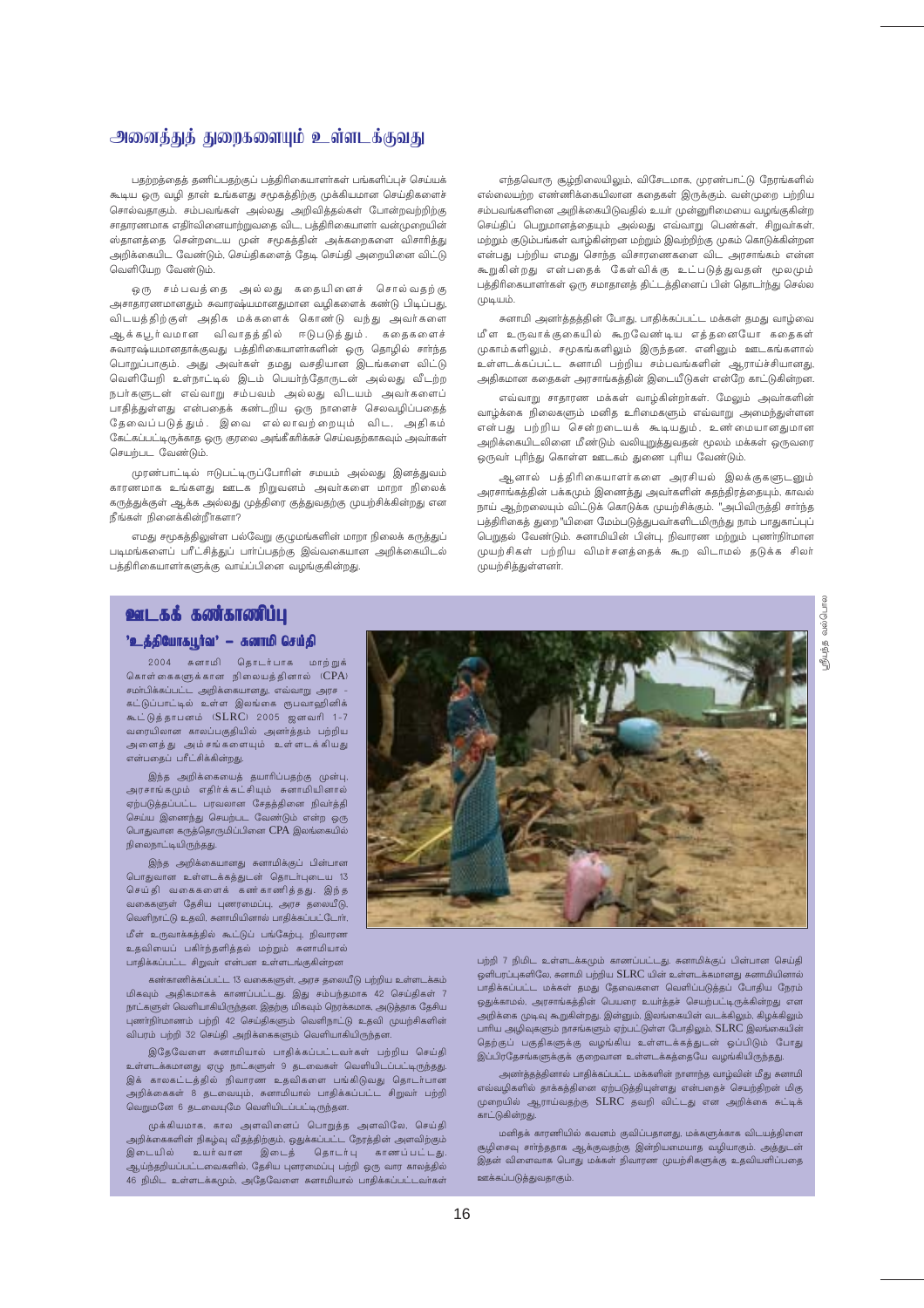# \_அனைத்துத் துறைகளையும் உள்ளடக்குவது

பதற்றத்தைத் தணிப்பதற்குப் பத்திரிகையாளர்கள் பங்களிப்புச் செய்யக் கூடிய ஒரு வழி தான் உங்களது சமூகத்திற்கு முக்கியமான செய்திகளைச் சொல்வதாகும். சம்பவங்கள் அல்லது அறிவித்தல்கள் போன்றவற்றிற்கு சாதாரணமாக எதிாவினையாற்றுவதை விட, பத்திரிகையாளா் வன்முறையின் ஸ்தானத்தை சென்றடைய முன் சமூகத்தின் அக்கறைகளை விசாரித்து அறிக்கையிட வேண்டும், செய்திகளைத் தேடி செய்தி அறையினை விட்டு வெளியோ வேண்டும்.

ஒரு சம்பவத்தை அல்லது கதையினைச் சொல்வதற்கு அசாதாரணமானதும் சுவாரஷ்யமானதுமான வழிகளைக் கண்டு பிடிப்பது, விடயத்திற்குள் அதிக மக்களைக் கொண்டு வந்து அவர்களை ஆக்கபூர்வமான விவாதத்தில் ஈடுபடுத்தும். கதைகளைச் சுவாரஷ்யமானதாக்குவது பத்திரிகையாளாகளின் ஒரு தொழில் சாாந்த .<br>பொறுப்பாகும். அது அவாகள் தமது வசதியான இடங்களை விட்டு வெளியேறி உள்நாட்டில் இடம் பெயர்ந்தோருடன் அல்லது வீடற்ற நபாகளுடன் எவ்வாறு சம்பவம் அல்லது விடயம் அவா்களைப் பாதித்துள்ளது என்பதைக் கண்டறிய ஒரு நாளைச் செலவழிப்பதைத் தேவைப்படுத்தும். இவை எல்லாவற்றையும் விட, அதிகம் கேட்கப்பட்டிருக்காத ஒரு குரலை அங்கீகரிக்கச் செய்வதற்காகவும் அவாகள் செயற்பட வேண்டும்

முரண்பாட்டில் ஈடுபட்டிருப்போரின் சமயம் அல்லது இனத்துவம் காரணமாக உங்களது ஊடக நிறுவனம் அவர்களை மாறா நிலைக் ்கருத்துக்குள் ஆக்க அல்லது முத்திரை குத்துவதற்கு முயற்சிக்கின்றது என  $\mathfrak f$ ங்கள் நினைக்கின்றீர்களா?

எமது சமூகத்திலுள்ள பல்வேறு குழுமங்களின் மாறா நிலைக் கருத்துப் படிமங்களைப் பரீட்சித்துப் பாா்ப்பதற்கு இவ்வகையான அறிக்கையிடல் பத்திரிகையாளா்களுக்கு வாய்ப்பினை வழங்குகின்றது

எந்தவொரு சூழ்நிலையிலும், விசேடமாக, முரண்பாட்டு நேரங்களில் எல்லையற்ற எண்ணிக்கையிலான கதைகள் இருக்கும். வன்முறை பற்றிய சம்பவங்களினை அறிக்கையிடுவதில் உயா முன்னுரிமையை வழங்குகின்ற .<br>செய்திப் பெறுமானத்தையும் அல்லது எவ்வாறு பெண்கள், சிறுவாகள், .<br>மற்றும் குடும்பங்கள் வாழ்கின்றன மற்றும் இவற்றிற்கு முகம் கொடுக்கின்றன என்பது பற்றிய எமது சொந்த விசாரணைகளை விட அரசாங்கம் என்ன .<br>கூறுகின்றது என்பதைக் கேள்விக்கு உட்படுத்துவதன் மூலமும் .<br>பத்திரிகையாளாகள் ஒரு சமாதானத் திட்டத்தினைப் பின் தொடாந்து செல்ல .<br>تاسىمى

சுனாமி அனர்த்தத்தின் போது, பாதிக்கப்பட்ட மக்கள் தமது வாம்வை மீள உருவாக்குகையில் கூறவேண்டிய எத்தனையோ கதைகள் முகாம்களிலும், சமூகங்களிலும் இருந்தன. எனினும் ஊடகங்களால் ்<br>உள்ளடக்கப்பட்ட சுனாமி பற்றிய சம்பவங்களின் ஆராய்ச்சியானது. அதிகமான கதைகள் அரசாங்கத்தின் இடையீடுகள் என்றே காட்டுகின்றன.

எவ்வாறு சாதாரண மக்கள் வாழ்கின்றாகள். மேலும் அவாகளின் வாழ்க்கை நிலைகளும் மனித உரிமைகளும் எவ்வாறு அமைந்துள்ளன என்பது பற்றிய சென்றடையக் கூடியதும், உண்மையானதுமான அறிக்கையிடலினை மீண்டும் வலியுறுத்துவதன் மூலம் மக்கள் ஒருவரை ஒருவா் புரிந்து கொள்ள ஊடகம் துணை புரிய வேண்டும்.

ஆனால் பத்திரிகையாளர்களை அரசியல் இலக்குகளுடனும் அரசாங்கத்தின் பக்கமும் இணைத்து அவாகளின் சுதந்திரத்தையும், காவல் .<br>நாய் ஆற்றலையும் விட்டுக் கொடுக்க முயற்சிக்கும். "அபிவிருத்தி சாா்ந்த பத்திரிகைத் துறை"யினை மேம்படுத்துபவாகளிடமிருந்து நாம் பாதுகாப்புப் பெறுதல் வேண்டும். சுனாமியின் பின்பு, நிவாரண மற்றும் புணா்நிாமான முயற்சிகள் பற்றிய விமா்சனத்தைக் கூற விடாமல் தடுக்க சிலா் முயற்சித்துள்ளனர்.

# வல்பொல மூயந்த வல்பொல நீயந்த

# ஊடகக் கண்காணிப்ப

# 'உத்தியோகபூர்வ' - சுனாமி செய்தி

 $2004$  சுனாமி தொடர்பாக மாற்றுக் கொள்கைகளுக்கான நிலையத்தினால்  $(CPA)$ .<br>சமாபிக்கப்பட்ட அறிக்கையானது, எவ்வாறு அரச கட்டுப்பாட்டில் உள்ள இலங்கை ரூபவாஹினிக் கூட்டுத்தாபனம் (SLRC) 2005 ஜனவரி 1-7 வரையிலான காலப்பகுதியில் அனர்த்தம் பற்றிய அனைத்து அம்சங்களையும் உள்ளடக்கியது என்பதைப் பரீட்சிக்கின்றது.

இந்த அறிக்கையைத் தயாரிப்பதற்கு முன்பு, அரசாங்கமும் எதிர்க்கட்சியும் சுனாமியினால் ஏற்படுத்தப்பட்ட பரவலான சேதத்தினை நிவாத்தி செய்ய இணைந்து செயற்பட வேண்டும் என்ற ஒரு பொதுவான கருத்தொருமிப்பினை CPA இலங்கையில் .<br>நிலைநாட்டியிருந்தது

இந்த அறிக்கையானது சுனாமிக்குப் பின்பான பொதுவான உள்ளடக்கத்துடன் தொடர்புடைய 13 .<br>செய்தி வகைகளைக் கண்காணித்தது. இந்த வகைகளுள் தேசிய புணரமைப்பு, அரச தலையீடு, வெளிநாட்டு உதவி, சுனாமியினால் பாதிக்கப்பட்டோா், .<br>மீள் உருவாக்கக்கில் கூட்டுப் பங்கேற்பு, நிவாரண உகவியைப் பதிர்ந்தளிக்கல் மற்றும் சுனாமியால் பாதிக்கப்பட்ட சிறுவா் என்பன உள்ளடங்குகின்றன

கண்காணிக்கப்பட்ட 13 வகைகளுள், அரச தலையீடு பற்றிய உள்ளடக்கம் .<br>மிகவும் அதிகமாகக் காணப்பட்டது. இது சம்பந்தமாக 42 செய்திகள் 7 நாட்களுள் வெளியாகியிருந்தன. இதற்கு மிகவும் நெரக்கமாக, அடுத்தாக தேசிய புணாநிாமாணம் பற்றி 42 செய்திகளும் வெளிநாட்டு உதவி முயற்சிகளின் .<br>விபரம் பற்றி 32 செய்தி அறிக்கைகளும் வெளியாகியிருந்தன.

இதேவேளை சுனாமியால் பாதிக்கப்பட்டவர்கள் பற்றிய செய்தி உள்ளடக்கமானது ஏழு நாட்களுள் 9 தடவைகள் வெளியிடப்பட்டிருந்தது. .<br>இக் காலகட்டத்தில் நிவாரண உதவிகளை பங்கிடுவது தொடாபான .<br>அறிக்கைகள் 8 தடவையும், சுனாமியால் பாதிக்கப்பட்ட சிறுவா் பற்றி வெறுமனே 6 தடவையுமே வெளியிடப்பட்டிருந்தன

முக்கியமாக, கால அளவினைப் பொறுத்த அளவிலே, செய்தி அறிக்கைகளின் நிகழ்வு வீதத்திற்கும், ஒதுக்கப்பட்ட நேரத்தின் அளவிற்கும் ,<br>இடையில் உயர்வான இடைத் தொடர்பு காணப்பட்டது. ஆய்ந்தறியப்பட்டவைகளில், தேசிய புனரமைப்பு பற்றி ஒரு வார காலத்தில் 46 நிமிட உள்ளடக்கமும். அதேவேளை சுனாமியால் பாதிக்கப்பட்டவா்கள்



பற்றி 7 நிமிட உள்ளடக்கமும் காணப்பட்டது. சுனாமிக்குப் பின்பான செய்தி ஓளிபரப்புகளிலே, சுனாமி பற்றிய SLRC யின் உள்ளடக்கமானது சுனாமியினால் பாதிக்கப்பட்ட மக்கள் தமது தேவைகளை வெளிப்படுத்தப் போதிய நேரம் ஓதுக்காமல், அரசாங்கத்தின் பெயரை உயர்த்தச் செயற்பட்டிருக்கின்றது என அறிக்கை முடிவு கூறுகின்றது. இன்னும், இலங்கையின் வடக்கிலும், கிழக்கிலும் பாரிய அழிவுகளும் நாசங்களும் ஏற்பட்டுள்ள போதிலும்,  $SLRC$  இலங்கையின் நெற்குப் பகுதிகளுக்கு வழங்கிய உள்ளடக்கத்துடன் ஒப்பிடும் போது இப்பிரதேசங்களுக்குக் குறைவான உள்ளடக்கத்தையே வழங்கியிருந்தது.

அனாத்தத்தினால் பாதிக்கப்பட்ட மக்களின் நாளாந்த வாழ்வின் மீது சுனாமி. எவ்வழிகளில் தாக்கத்தினை ஏற்படுத்தியுள்ளது என்பதைச் செயற்திறன் மிகு முறையில் ஆராய்வதற்கு SLRC தவறி விட்டது என அறிக்கை சுட்டிக் –<br>காட்டுகின்றது

மனிதக் காரணியில் கவனம் குவிப்பதானது, மக்களுக்காக விடயத்தினை .<br>சூழிசைவு சாாந்ததாக ஆக்குவதற்கு இன்றியமையாத வழியாகும். அத்துடன் ்கள் விளைவாக பொது மக்கள் நிவாரண முயற்சிகளுக்கு உதவியளிப்பதை ஊக்கப்படுத்துவதாகும்.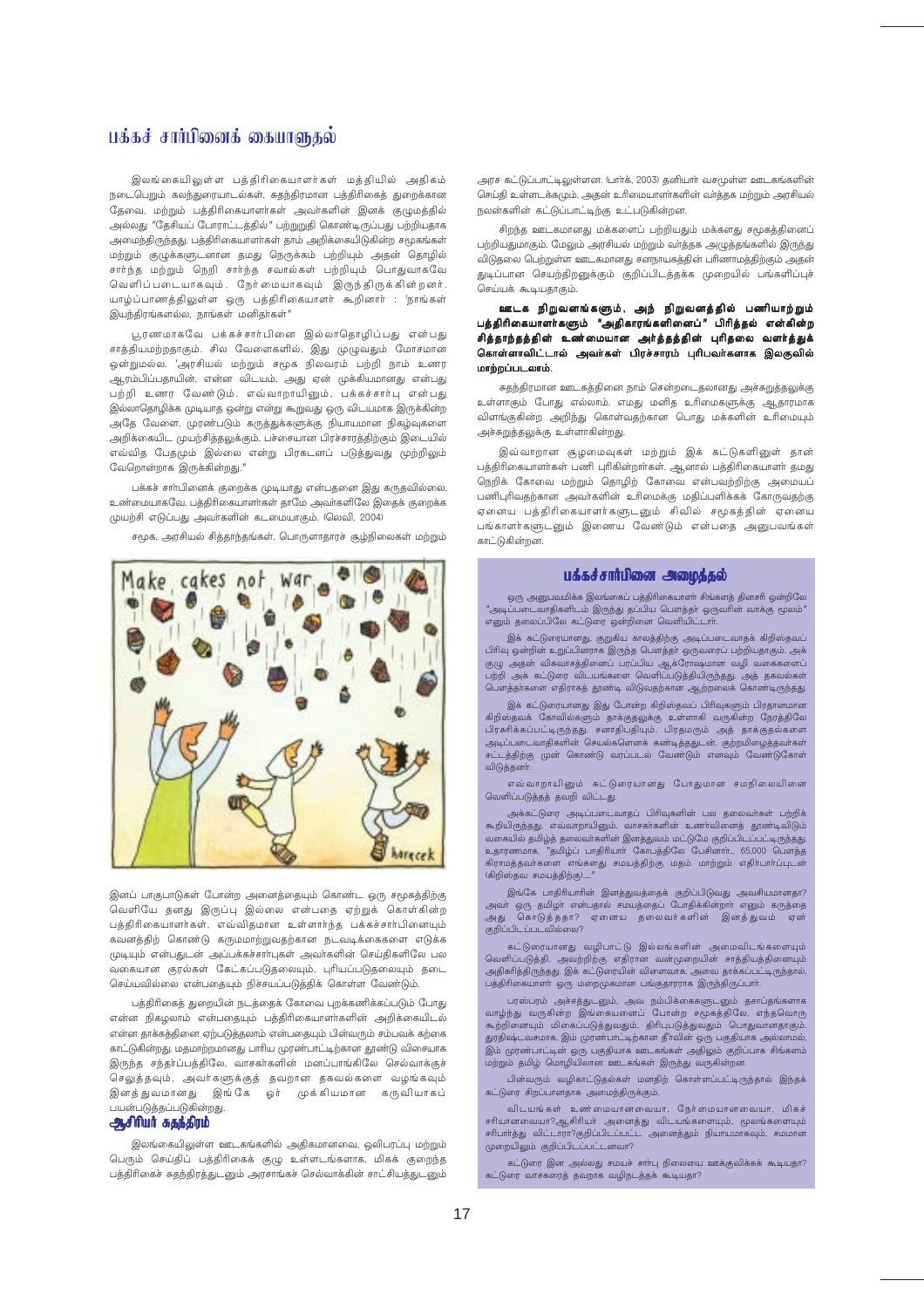# பக்கச் சார்பினைக் கையாளுகல்

இலங்கையிலுள்ள பத்திரிகையாளர்கள் மத்தியில் அதிகம் நடைபெறும் கலந்துரையாடல்கள், சுதந்திரமான பத்திரிகைத் துறைக்கான தேவை, மற்றும் பத்திரிகையாளர்கள் அவர்களின் இனக் குழுமத்தில் அல்லது "தேசியப் போராட்டத்தில்" பற்றுறுதி கொண்டிருப்பது பற்றியதாக அமைந்திருந்தது. பத்திரிகையாளாகள் தாம் அறிக்கையிடுகின்ற சமூகங்கள் மற்றும் குழுக்களுடனான தமது நெருக்கம் பற்றியும் அதன் தொழில் சார்ந்த மற்றும் நெறி சார்ந்த சவால்கள் பற்றியும் பொதுவாகவே ்<br>வெளிப்படையாகவும், நேர்மையாகவும் இருந்திருக்கின்றனர். யாழ்ப்பாணத்திலுள்ள ஒரு பத்திரிகையாளர் கூறினார் : 'நாங்கள் இயந்திரங்களல்ல, நாங்கள் மனிதாகள்"

பூரணமாகவே பக்கச்சார்பினை இல்லாதொழிப்பது என்பது சாத்தியமற்றதாகும். சில வேளைகளில், இது முழுவதும் மோசமான .<br>ஒன்றுமல்ல. 'அரசியல் மற்றும் சமூக நிலவரம் பற்றி நாம் உணர ஆரம்பிப்பதாயின், என்ன விடயம், அது ஏன் முக்கியமானது என்பது பற்றி உணர வேண்டும். எவ்வாறாயினும், பக்கச்சார்பு என்பது இல்லாதொழிக்க முடியாத ஒன்று என்று கூறுவது ஒரு விடயமாக இருக்கின்ற அதே வேளை, முரண்படும் கருத்துக்களுக்கு நியாயமான நிகழ்வுகளை அறிக்கையிட முயற்சித்தலுக்கும், பச்சையான பிரச்சாரத்திற்கும் இடையில் .<br>எவ்வித பேதமும் இல்லை என்று பிரகடனப் படுத்துவது முற்றிலும் வேறொன்றாக இருக்கின்றது."

பக்கச் சாா்பினைக் குறைக்க முடியாது என்பதனை இது கருதவில்லை. உண்மையாகவே, பத்திரிகையாளாகள் தாமே அவாகளிலே இதைக் குறைக்க முயற்சி எடுப்பது அவாகளின் கடமையாகும். (லெவி, 2004)

சமூக, அரசியல் சித்தாந்தங்கள், பொருளாதாரச் சூழ்நிலைகள் மற்றும்



இனப் பாகுபாடுகள் போன்ற அனைத்தையும் கொண்ட ஒரு சமூகத்திற்கு வெளியே தனது இருப்பு இல்லை என்பதை ஏற்றுக் கொள்கின்ற பத்திரிகையாளர்கள், எவ்விதமான உள்ளார்ந்த பக்கச்சார்பினையும் கவனத்திற் கொண்டு கருமமாற்றுவதற்கான நடவடிக்கைகளை எடுக்க முடியும் என்பதுடன் அப்பக்கச்சாா்புகள் அவா்களின் செய்திகளிலே பல ்<br>வகையான குரல்கள் கேட்கப்படுகலையும். புரியப்படுகலையும் கடை செய்யவில்லை என்பதையும் நிச்சயப்படுத்திக் கொள்ள வேண்டும்.

பத்திரிகைத் துறையின் நடத்தைக் கோவை புறக்கணிக்கப்படும் போது என்ன நிகழலாம் என்பதையும் பத்திரிகையாளர்களின் அறிக்கையிடல் என்ன தாக்கத்தினை ஏற்படுத்தலாம் என்பதையும் பின்வரும் சம்பவக் கற்கை காட்டுகின்றது. மதமாற்றமானது பாரிய முரண்பாட்டிற்கான தூண்டு விசையாக இருந்த சந்தாப்பத்திலே, வாசகாகளின் மனப்பாங்கிலே செல்வாக்குச் செலுத்தவும், அவாகளுக்குத் தவறான தகவல்களை வழங்கவும் இனத்துவமானது இங்கே ஓர் முக்கியமான கருவியாகப் பயன்படுத்தப்படுகின்றது.

# அசிரியர் சுதந்திரம்

இலங்கையிலுள்ள ஊடகங்களில் அதிகமானவை, ஒலிபரப்பு மற்றும் பெரும் செய்திப் பத்திரிகைக் குழு உள்ளடங்களாக, மிகக் குறைந்த ்பத்திரிகைச் சுதந்திரத்துடனும் அரசாங்கச் செல்வாக்கின் சாட்சியத்<u>குடனு</u>ம்

அரச கட்டுப்பாட்டிலுள்ளன. (பார்க், 2003) தனியாா் வசமுுள்ள ஊடகங்களின் செய்தி உள்ளடக்கமும், அதன் உரிமையாளாகளின் வாத்தக மற்றும் அரசியல் நலன்களின் கட்டுப்பாட்டிற்கு உட்படுகின்றன.

சிறந்த ஊடகமானது மக்களைப் பற்றியதும் மக்களது சமூகத்தினைப் பற்றியதுமாகும். மேலும் அரசியல் மற்றும் வாத்தக அழுத்தங்களில் இருந்து விடுதலை பெற்றுள்ள ஊடகமானது சனநாயகத்தின் பரிணாமத்திற்கும் அதன் துடிப்பான செயற்திறனுக்கும் குறிப்பிடத்தக்க முறையில் பங்களிப்புச் செய்யக் கூடியகாகும்

#### ஊடக நிறுவனங்களும். அந் நிறுவனத்தில் பணியாற்றும் பத்திரிகையாளர்களும் "அதிகாரங்களினைப்" பிரித்தல் என்கின்ற சித்தாந்தத்தின் உண்மையான அர்த்தத்தின் புரிதலை வளர்த்துக் .<br>கொள்ளாவிட்டால் அவாகள் பிரச்சாரம் புரிபவாகளாக இலகுவில் khwi;www.weighti.com

சுதந்திரமான ஊடகத்தினை நாம் சென்றடைதலானது அச்சுறுத்தலுக்கு உள்ளாகும் போது எல்லாம், எமது மனித உரிமைகளுக்கு ஆதாரமாக .<br>விளங்குகின்ற அறிந்து கொள்வதற்கான பொது மக்களின் உரிமையும் .<br>அச்சுறுத்தலுக்கு உள்ளாகின்றது.

.<br>இவ்வாறான சூழமைவுகள் மற்றும் இக் கட்டுகளினுள் தான் பத்திரிகையாளா்கள் பணி புரிகின்றாா்கள். ஆனால் பத்திரிகையாளா் தமது நெறிக் கோவை மற்றும் தொழிற் கோவை என்பவற்றிற்கு அமையப் பணிபுரிவதற்கான அவா்களின் உரிமைக்கு மதிப்பளிக்கக் கோருவதற்கு .<br>ஏனைய பத்திரிகையாளா்களுடனும் சிவில் சமூகத்தின் ஏனைய பங்காளர்களுடனும் இணைய வேண்டும் என்பதை அனுபவங்கள் காட்டுகின்றன.

## பக்கச்சார்பினை அழைத்தல்

ஒரு அனுபவமிக்க இலங்கைப் பத்திரிகையாளா் சிங்களத் தினசரி ஒன்றிலே  $"$ அடிப்படைவாதிகளிடம் இருந்து தப்பிய பௌத்தா ஒருவரின் வாக்கு மூலம் $"$ எனும் தலைப்பிலே கட்டுரை ஒன்றினை வெளியிட்டாா்.

இக் கட்டுரையானது. குறுகிய காலத்திற்கு அடிப்படைவாதக் கிறிஸ்தவப்<br>பிரிவு ஒன்றின் உறுப்பினராக இருந்த பௌத்தா் ஒருவரைப் பற்றியதாகும். அக் .<br>சுழு அதன் விசுவாசத்தினைப் பரப்பிய ஆக்ரோஷமான வழி வகைகளைப் ு பார்ப்பான பிரிப்பார்களை வெளிப்படுத்தியிருந்தது. அத் தகவல்கள்<br>பற்றி அக் கட்டுரை விடயங்களை வெளிப்படுத்தியிருந்தது. அத் தகவல்கள் பௌத்தாகளை எதிராகத் தூண்டி விடுவதற்கான ஆற்றலைக் கொண்டிருந்தது.

இக் கட்டுரையானது இது போன்ற கிறிஸ்தவப் பிரிவுகளும் பிரதானமான கிறிஸ்தவக் கோவில்களும் தாக்குதலுக்கு உள்ளாகி வருகின்ற நேரத்திலே பிரசுரிக்கப்பட்டிருந்தது. சனாகிபதியம், பிரகமரும் அக் காக்குகல்களை படியானட்டப்படித்தது.<br>அடிப்படைவாதிகளின் செயல்களெனக் கண்டித்ததுடன், குற்றமிழைத்தவாகள் சட்டத்திற்கு முன் கொண்டு வரப்படல் வேண்டும் எனவும் வேண்டுகோள் விடுக்க

எவ்வாறாயினும் கட்டுரையானது போதுமான சமநிலையினை வெளிப்படுத்தத் தவறி விட்டது.

அக்கட்டுரை அடிப்படைவாதப் பிரிவுகளின் பல தலைவா்கள் பற்றிக் கூறியிருந்தது. எவ்வாறாயினும், வாசகா்களின் உணா்வினைத் தூண்டிவிடும் வகையில் தமிழ்த் தலைவா்களின் இனத்துவம் மட்டுமே குறிப்பிடப்பட்டிருந்தது.<br>உதாரணமாக, "தமிழ்ப் பாதிரியாா் கோபத்திலே பேசினாா்... 65,000 பெளத்த .<br>கிராமத்தவாகளை எங்களது சமயத்திற்கு மதம் மாற்றும் எதிா்பாா்ப்புடன் (fpwp];jt rkaj;jpw;F)....."

இங்கே பாதிரியாரின் இனத்துவத்தைக் குறிப்பிடுவது அவசியமானதா?<br>அவா் ஒரு தமிழா் என்பதால் சமயத்தைப் போதிக்கின்றாா் எனும் கருத்தை ்பை பெரும்பத்தா? ஏனைய தலைவர்களின் இனக்துவம் என் குறிப்பிடப்படவில்லை?

கட்டுரையானது வழிபாட்டு இல்லங்களின் அமைவிடங்களையும் .<br>ளிப்படுத்தி, அவற்றிற்கு எதிரான வன்முறையின் சாத்தியத்தினையும் அதிகரித்திருந்தது. இக் கட்டுரையின் விளைவாக, அவை தாக்கப்பட்டிருந்தால், பத்திரிகையாளா் ஒரு மறைமுகமான பங்குதாரராக இருந்திருப்பாா்.

பரஸ்பரம் அச்சத்துடனும், அவ நம்பிக்கைகளுடனும் தசாப்தங்களாக வாழ்ந்து வருகின்ற இங்கையனைப் போன்ற சமூகத்திலே, எந்தவொரு<br>கூற்றினையும் மிகைப்படுத்துவதும், திரிபுபடுத்துவதும் பொதுவானதாகும். துரதிஷ்டவசமாக, இம் முரண்பாட்டிற்கான தீாவின் ஒரு பகுதியாக அல்லாமல். இம் முரண்பாட்டின் ஒரு பகுதியாக ஊடகங்கள் அதிலும் குறிப்பாக சிங்களம் ,<br>மற்றும் தமிழ் மொழியிலான ஊடகங்கள் இருந்து வருகின்றன

பின்வரும் வழிகாட்டுதல்கள் மனதிற் கொள்ளப்பட்டிருந்தால் இந்தக் .<br>கட்டுரை சிறப்பானதாக அமைந்திருக்கும்.

.<br>விடயங்கள் உண்மையானவையா, நோ்மையானவையா, மிகச் rehimaha; midi dan midi dan menunjukan; " sepasan menunjukan menangkat pahditan mengakukan perangan dan mengak<br>Bilangkan mengantan yang dalam mengantak yang dalam mengantak yang dalam mengantak yang dalam mengantak yang d சரிபார்த்து விட்டாரா?குறிப்பிடப்பட்ட அனைத்தும் நியாயமாகவும். சமமான முறையிலும் குறிப்பிடப்பட்டனவா?

கட்டுரை இன அல்லது சமயச் சாா்பு நிலையை ஊக்குவிக்கக் கூடியதா? கட்டுரை வாசகரைத் தவறாக வழிநடத்தக் கூடியதா?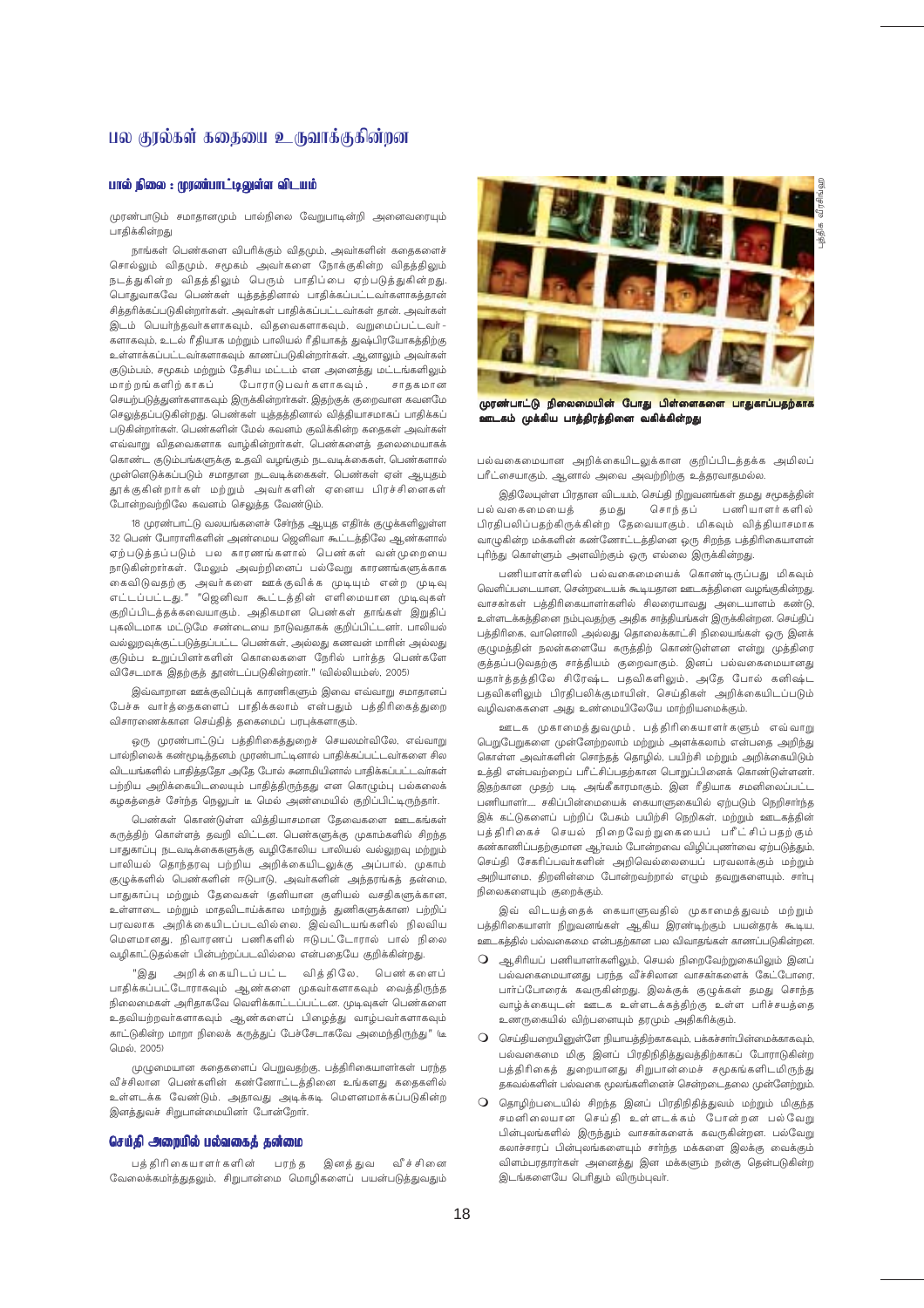# பல குரல்கள் கதையை உருவாக்குகின்றன

# una) நிலை : முரண்பாட்டிலுள்ள விடயம்

முரண்பாடும் சமாதானமும் பால்நிலை வேறுபாடின்றி அனைவரையும் பாதிக்கின்றது

நாங்கள் பெண்களை விபரிக்கும் விதமும், அவாகளின் கதைகளைச் சொல்லும் விதமும், சமூகம் அவாகளை நோக்குகின்ற விதத்திலும் நடத்துகின்ற விதத்திலும் பெரும் பாதிப்பை ஏற்படுத்துகின்றது. பொதுவாகவே பெண்கள் யுத்தத்தினால் பாதிக்கப்பட்டவாகளாகத்தான் சித்தரிக்கப்படுகின்றார்கள். அவர்கள் பாதிக்கப்பட்டவர்கள் தான். அவர்கள் இடம் பெயர்ந்தவர்களாகவும், விதவைகளாகவும், வறுமைப்பட்டவர்-களாகவும், உடல் ரீதியாக மற்றும் பாலியல் ரீதியாகத் துஷ்பிரயோகத்திற்கு உள்ளாக்கப்பட்டவாகளாகவும் காணப்படுகின்றாாகள். ஆனாலும் அவாகள் குடும்பம், சமூகம் மற்றும் தேசிய மட்டம் என அனைத்து மட்டங்களிலும் மாற்றங்களிற்காகப் போராடுபவர்களாகவும். சாககமான செயற்படுத்துனா்களாகவும் இருக்கின்றாா்கள். இதற்குக் குறைவான கவனமே செலுத்தப்படுகின்றது. பெண்கள் யுத்தத்தினால் வித்தியாசமாகப் பாதிக்கப்  $\sqcup$ டுகின்றாா்கள். பெண்களின் மேல் கவனம் குவிக்கின்ற கதைகள் அவா்கள் எவ்வாறு விதவைகளாக வாழ்கின்றாாகள், பெண்களைத் தலைமையாகக் கொண்ட குடும்பங்களுக்கு உதவி வழங்கும் நடவடிக்கைகள், பெண்களால் முன்னெடுக்கப்படும் சமாதான நடவடிக்கைகள், பெண்கள் ஏன் ஆயுதம் .<br>தூக்குகின்றார்கள் மற்றும் அவர்களின் ஏனைய பிரச்சினைகள் போன்றவற்றிலே கவனம் செலுத்த வேண்டும்.

.<br>18 முரண்பாட்டு வலயங்களைச் சேர்ந்த ஆயுத எதிர்க் குழுக்களிலுள்ள .<br>32 பெண் போராளிகளின் அண்மைய ஜெனிவா கூட்டத்திலே ஆண்களால் .<br>ஏற்படுத்தப்படும் பல காரணங்களால் பெண்கள் வன்முறையை நாடுகின்றார்கள். மேலும் அவற்றினைப் பல்வேறு காரணங்களுக்காக கைவிடுவதற்கு அவர்களை ஊக்குவிக்க முடியும் என்ற முடிவு எட்டப்பட்டது." "ஜெனிவா கூட்டத்தின் எளிமையான முடிவுகள் குறிப்பிடத்தக்கவையாகும். அதிகமான பெண்கள் தாங்கள் இறுதிப் புகலிடமாக மட்டுமே சண்டையை நாடுவதாகக் குறிப்பிட்டனா். பாலியல் வல்லுறவுக்குட்படுத்தப்பட்ட பெண்கள், அல்லது கணவன் மாரின் அல்லது குடும்ப உறுப்பினர்களின் கொலைகளை நேரில் பார்த்த பெண்களே .<br>விசேடமாக இதற்குத் தூண்டப்படுகின்றனா்." (வில்லியம்ஸ். 2005)

,<br>இவ்வாறான ஊக்குவிப்புக் காரணிகளும் இவை எவ்வாறு சமாதானப் பேச்சு வார்த்தைகளைப் பாதிக்கலாம் என்பதும் பத்திரிகைத்துறை விசாரணைக்கான செய்தித் தகைமைப் பரபுக்களாகும்.

ஒரு முரண்பாட்டுப் பத்திரிகைத்துறைச் செயலமாவிலே, எவ்வாறு பால்நிலைக் கண்மூடித்தனம் முரண்பாட்டினால் பாதிக்கப்பட்டவாகளை சில விடயங்களில் பாதித்ததோ அதே போல் சுனாமியினால் பாதிக்கப்பட்டவாகள் பற்றிய அறிக்கையிடலையும் பாதித்திருந்தது என கொழும்பு பல்கலைக் கழகத்தைச் சேர்ந்த நெலுபா் டீ மெல் அண்மையில் குறிப்பிட்டிருந்தாா்.

பெண்கள் கொண்டுள்ள வித்தியாசமான தேவைகளை ஊடகங்கள் கருத்திற் கொள்ளத் தவறி விட்டன. பெண்களுக்கு முகாம்களில் சிறந்த பாதுகாப்பு நடவடிக்கைகளுக்கு வழிகோலிய பாலியல் வல்லுறவு மற்றும் பாலியல் தொந்தரவு பற்றிய அறிக்கையிடலுக்கு அப்பால், முகாம் குமுக்களில் பெண்களின் ஈடுபாடு, அவாகளின் அந்தரங்கத் தன்மை, .<br>பாதுகாப்பு மற்றும் தேவைகள் (தனியான குளியல் வசதிகளுக்கான, உள்ளாடை மற்றும் மாதவிடாய்க்கால மாற்றுத் துணிகளுக்கான) பற்றிப் பரவலாக அறிக்கையிடப்படவில்லை. இவ்விடயங்களில் நிலவிய மௌமானது, நிவாரணப் பணிகளில் ஈடுபட்டோரால் பால் நிலை வழிகாட்டுதல்கள் பின்பற்றப்படவில்லை என்பதையே குறிக்கின்றது.

.<br>"இது அறிக்கையிடப்பட்ட வித்திலே, பெண்களைப்" பாதிக்கப்பட்டோராகவும் ஆண்களை முகவாகளாகவும் வைத்திருந்த .<br>நிலைமைகள் அரிதாகவே வெளிக்காட்டப்பட்டன. முடிவுகள் பெண்களை உதவியற்றவா்களாகவும் ஆண்களைப் பிழைத்து வாழ்பவா்களாகவும் .<br>காட்டுகின்ற மாறா நிலைக் கருத்துப் பேச்சேடாகவே அமைந்திருந்து" (டீ ໄດເດລ໌), 2005)

முழுமையான கதைகளைப் பெறுவதற்கு, பத்திரிகையாளா்கள் பரந்த வீச்சிலான பெண்களின் கண்ணோட்டக்கினை உங்களகு ககைகளில் .<br>உள்ளடக்க வேண்டும். அதாவது அடிக்கடி மௌனமாக்கப்படுகின்ற .<br>இனத்துவச் சிறுபான்மையினா போன்றோா்.

#### செய்தி அறையில் பல்வகைத் தன்மை

பத்திரிகையாளர்களின் பரந்த இனத்துவ வீச்சினை வேலைக்கமாத்துதலும், சிறுபான்மை மொழிகளைப் பயன்படுத்துவதும்



முரண்பாட்டு நிலைமையின் போது பிள்ளைகளை பாதுகாப்பதற்காக -<br>ஊடகம் முக்கிய பாத்திரத்தினை வகிக்கின்றது

பல்வகைமையான அறிக்கையிடலுக்கான குறிப்பிடத்தக்க அமிலப் பரீட்சையாகும், ஆனால் அவை அவற்றிற்கு உத்தரவாதமல்ல

இதிலேயுள்ள பிரதான விடயம், செய்தி நிறுவனங்கள் தமது சமூகத்தின் பல்வகைமையைத் தமது சொந்தப் பணியாளர்களில் பிரதிபலிப்பதற்கிருக்கின்ற தேவையாகும். மிகவும் வித்தியாசமாக வாழுகின்ற மக்களின் கண்ணோட்டத்தினை ஒரு சிறந்த பத்திரிகையாளன் புரிந்து கொள்ளும் அளவிற்கும் ஒரு எல்லை இருக்கின்றது.

பணியாளர்களில் பல்வகைமையைக் கொண்டிருப்பது மிகவும் வெளிப்படையான, சென்றடையக் கூடியதான ஊடகத்தினை வழங்குகின்றது. .<br>வாசகாகள் பத்திரிகையாளா்களில் சிலரையாவது அடையாளம் கண்டு, உள்ளடக்கத்தினை நம்புவதற்கு அதிக சாத்தியங்கள் இருக்கின்றன. செய்திப் பத்திரிகை, வானொலி அல்லது தொலைக்காட்சி நிலையங்கள் ஒரு இனக் குழுமத்தின் நலன்களையே கருத்திற் கொண்டுள்ளன என்று முத்திரை குத்தப்படுவதற்கு சாத்தியம் குறைவாகும். இனப் பல்வகைமையானது யதார்த்தத்திலே சிரேஷ்ட பதவிகளிலும், அதே போல் கனிஷ்ட பதவிகளிலும் பிரதிபலிக்குமாயின், செய்திகள் அறிக்கையிடப்படும் ்<br>வழிவகைகளை அது உண்மையிலேயே மாற்றியமைக்கும்.

உடைக முகாமைத்துவமும், பத்திரிகையாளர்களும் எவ்வாறு பெறுபேறுகளை முன்னேற்றலாம் மற்றும் அளக்கலாம் என்பதை அறிந்து கொள்ள அவாகளின் சொந்தத் தொழில், பயிற்சி மற்றும் அறிக்கையிடும் .<br>உத்தி என்பவற்றைப் பரீட்சிப்பதற்கான பொறுப்பினைக் கொண்டுள்ளனா். இதற்கான முதற் படி அங்கீகாரமாகும். இன ரீதியாக சமனிலைப்பட்ட பணியாளா்..... சகிப்பின்மையைக் கையாளுகையில் ஏற்படும் நெறிசாா்ந்த இக் கட்டுகளைப் பற்றிப் பேசும் பயிற்சி நெறிகள், மற்றும் ஊடகத்தின் பத்திரிகைச் செயல் நிறைவேற்றுகையைப் பரீட்சிப்பதற்கும் .<br>கண்காணிப்பதற்குமான ஆர்வம் போன்றவை விழிப்புணர்வை ஏற்படுத்தும். செய்தி சேகரிப்பவாகளின் அறிவெல்லையைப் பரவலாக்கும் மற்றும் அறியாமை, திறனின்மை போன்றவற்றால் எழும் தவறுகளையும். சாாபு நிலைகளையும் குறைக்கும்.

இவ் விடயத்தைக் கையாளுவதில் முகாமைத்துவம் மற்றும் பத்திரிகையாளா் நிறுவனங்கள் ஆகிய இரண்டிற்கும் பயன்தரக் கூடிய, ஊடகத்தில் பல்வகைமை என்பதற்கான பல விவாதங்கள் காணப்படுகின்றன.

- ஆசிரியப் பணியாளா்களிலும், செயல் நிறைவேற்றுகையிலும் இனப் பல்வகைமையானது பரந்த வீச்சிலான வாசகா்களைக் கேட்போரை, பார்ப்போரைக் கவருகின்றது. இலக்குக் குழுக்கள் தமது சொந்த வாழ்க்கையுடன் ஊடக உள்ளடக்கத்திற்கு உள்ள பரிச்சயத்தை உணருகையில் விற்பனையும் தரமும் அதிகரிக்கும்.
- $\mathsf O$  செய்தியறையினுள்ளே நியாயத்திற்காகவும், பக்கச்சாாபின்மைக்காகவும், பல்வகைமை மிகு இனப் பிரதிநிதித்துவத்திற்காகப் போராடுகின்ற .<br>பத்திரிகைத் துறையானது சிறுபான்மைச் சமூகங்களிடமிருந்து தகவல்களின் பல்வகை மூலங்களினைச் சென்றடைதலை முன்னேற்றும்.
- $\Omega$  தொழிற்படையில் சிறந்த இனப் பிரதிநிதித்துவம் மற்றும் மிகுந்த சமனிலையான செய்தி உள்ளடக்கம் போன்றன பல்வேறு பின்புலங்களில் இருந்தும் வாசகா்களைக் கவருகின்றன. பல்வேறு கலாச்சாரப் பின்புலங்களையும் சாாந்த மக்களை இலக்கு வைக்கும் விளம்பரதாரா்கள் அனைத்து இன மக்களும் நன்கு தென்படுகின்ற இடங்களையே பெரிதும் விரும்புவா்.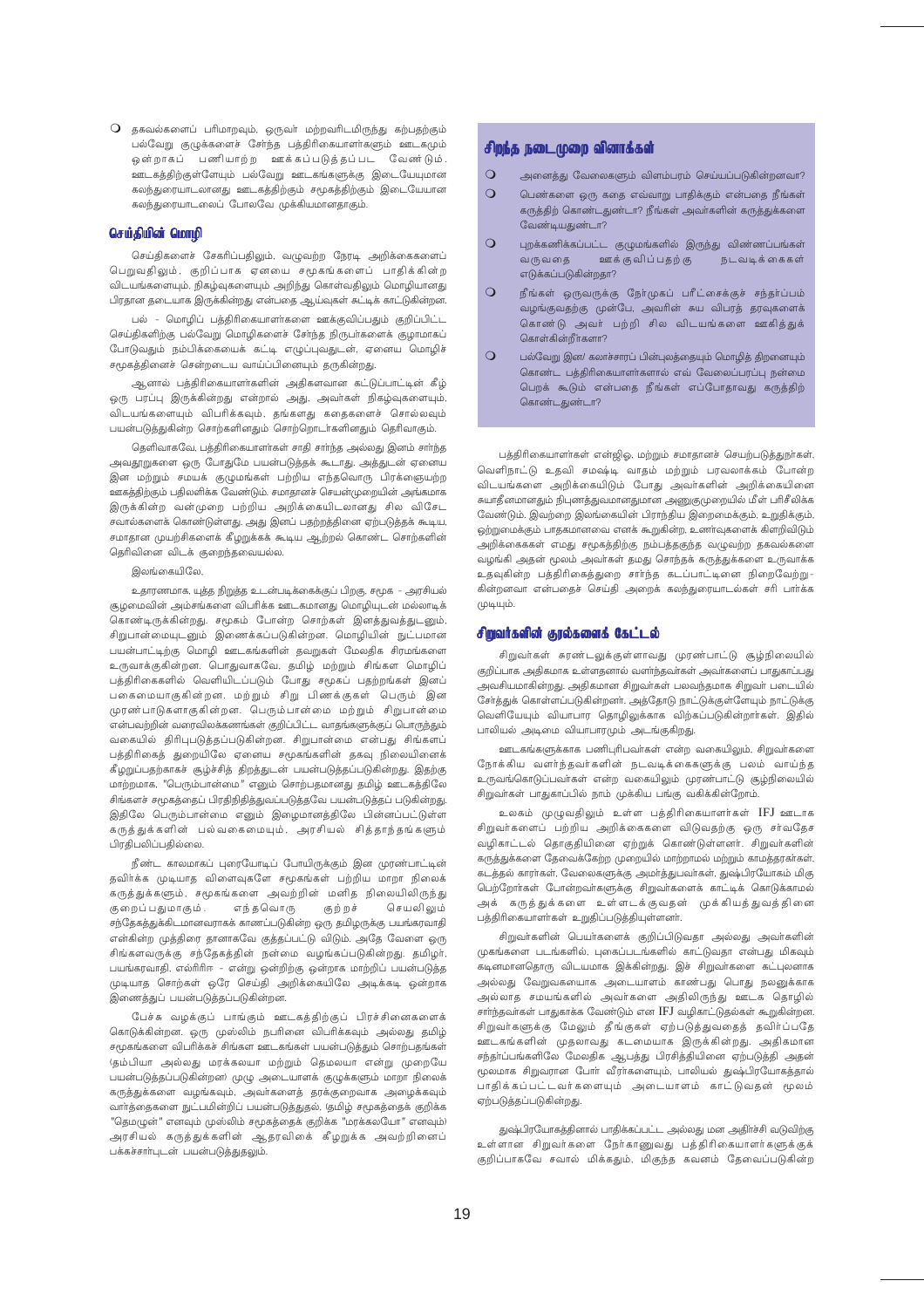$\bigcirc$  தகவல்களைப் பரிமாறவும், ஒருவா் மற்றவரிடமிருந்து கற்பதற்கும் ்பல்வேறு குழுக்களைச் சோந்த பத்திரிகையாளாகளும் ஊடகமும் ஒன்றாகப் பணியாற்ற ஊக்கப்படுத்தப்பட வேண்டும். ஊடகத்திற்குள்ளேயும் பல்வேறு ஊடகங்களுக்கு இடையேயுமான கலந்துரையாடலானது ஊடகத்திற்கும் சமூகத்திற்கும் இடையேயான கலந்துரையாடலைப் போலவே முக்கியமானதாகும்.

# செய்கியின் மொமி

செய்திகளைச் சேகரிப்பதிலும், வழுவற்ற நேரடி அறிக்கைகளைப் பெறுவதிலும், குறிப்பாக ஏனயை சமூகங்களைப் பாதிக்கின்ற ்<br>விடயங்களையும், நிகழ்வுகளையும் அறிந்து கொள்வதிலும் மொழியானது பிரதான தடையாக இருக்கின்றது என்பதை ஆய்வுகள் சுட்டிக் காட்டுகின்றன.

பல் - மொழிப் பத்திரிகையாளா்களை ஊக்குவிப்பதும் குறிப்பிட்ட செய்திகளிற்கு பல்வேறு மொழிகளைச் சேர்ந்த நிருபாகளைக் குழாமாகப் போடுவதும் நம்பிக்கையைக் கட்டி எழுப்புவதுடன், ஏனைய மொழிச் சமூகத்தினைச் சென்றடைய வாய்ப்பினையும் தருகின்றது.

ஆனால் பத்திரிகையாளா்களின் அதிகளவான கட்டுப்பாட்டின் கீழ் ஒரு பரப்பு இருக்கின்றது என்றால் அது, அவாகள் நிகழ்வுகளையும், விடயங்களையும் விபரிக்கவும், தங்களது கதைகளைச் சொல்லவும் பயன்படுத்துகின்ற சொற்களினதும் சொற்றொடாகளினதும் தெரிவாகும்.

தெளிவாகவே, பத்திரிகையாளா்கள் சாதி சாா்ந்த அல்லது இனம் சாா்ந்த அவதூறுகளை ஒரு போதுமே பயன்படுத்தக் கூடாது. அத்துடன் ஏனைய இன மற்றும் சமயக் குழுமங்கள் பற்றிய எந்தவொரு பிரக்ஞையற்ற ஊகத்திற்கும் பதிலளிக்க வேண்டும். சமாதானச் செயன்முறையின் அங்கமாக இருக்கின்ற வன்முறை பற்றிய அறிக்கையிடலானது சில விசேட சவால்களைக் கொண்டுள்ளது. அது இனப் பதற்றத்தினை ஏற்படுத்தக் கூடிய, சமாதான முயற்சிகளைக் கீழறுக்கக் கூடிய ஆற்றல் கொண்ட சொற்களின் தெரிவினை விடக் குறைந்தவையல்ல.

#### இலங்கையிலே,

உதாரணமாக, யுத்த நிறுத்த உடன்படிக்கைக்குப் பிறகு, சமூக - அரசியல் .<br>சூழமைவின் அம்சங்களை விபரிக்க ஊடகமானது மொழியுடன் மல்லாடிக் கொண்டிருக்கின்றது. சமூகம் போன்ற சொற்கள் இனத்துவத்துடனும், சிறுபான்மையுடனும் இணைக்கப்படுகின்றன. மொழியின் நுட்பமான பயன்பாட்டிற்கு மொழி ஊடகங்களின் தவறுகள் மேலதிக சிரமங்களை உருவாக்குகின்றன. பொதுவாகவே, தமிழ் மற்றும் சிங்கள மொழிப் பத்திரிகைகளில் வெளியிடப்படும் போது சமூகப் பதற்றங்கள் இனப் பகைமையாகுகின்றன. மற்றும் சிறு பிணக்குகள் பெரும் இன முரண்பாடுகளாகுகின்றன. பெரும்பான்மை மற்றும் சிறுபான்மை ு<br>என்பவற்றின் வரைவிலக்கணங்கள் குறிப்பிட்ட வாதங்களுக்குப் பொருந்தும் வகையில் திரிபுபடுத்தப்படுகின்றன. சிறுபான்மை என்பது சிங்களப் .<br>பத்திரிகைத் துறையிலே ஏனைய சமூகங்களின் தகவு நிலையினைக் கீழறுப்பதற்காகச் சூழ்ச்சித் திறத்துடன் பயன்படுத்தப்படுகின்றது. இதற்கு மாற்றமாக, "பெரும்பான்மை" எனும் சொற்பதமானது தமிழ் ஊடகத்திலே சிங்களச் சமூகத்தைப் பிரதிநிதித்துவப்படுத்தவே பயன்படுத்தப் படுகின்றது. இதிலே பெரும்பான்மை எனும் இழைமானத்திலே பின்னப்பட்டுள்ள கருத்துக்களின் பல்வகைமையும், அரசியல் சித்தாந்தங்களும் பிரதிபலிப்பதில்லை.

நீண்ட காலமாகப் புரையோடிப் போயிருக்கும் இன முரண்பாட்டின் தவிர்க்க முடியாத விளைவுகளே சமூகங்கள் பற்றிய மாறா நிலைக் ்கருத்துக்களும், சமூகங்களை அவற்றின் மனித நிலையிலிருந்து<br>குறைப்பதுமாகும். எந்தவொரு குற்றச் செயலிலும் குறைப்பதுமாகும். எந்தவொரு குற்றச் செயலிலும் சந்தேகத்துக்கிடமானவராகக் காணப்படுகின்ற ஒரு தமிழருக்கு பயங்கரவாதி என்கின்ற முத்திரை தானாகவே குத்தப்பட்டு விடும். அதே வேளை ஒரு சிங்களவருக்கு சந்தேகத்தின் நன்மை வழங்கப்படுகின்றது. தமிழர், .<br>பயங்கரவாதி, எல்ரிரிஈ - என்று ஒன்றிற்கு ஒன்றாக மாற்றிப் பயன்படுத்த முடியாத சொற்கள் ஒரே செய்தி அறிக்கையிலே அடிக்கடி ஒன்றாக இணைத்துப் பயன்படுத்தப்படுகின்றன.

.<br>பேச்சு வழக்குப் பாங்கும் ஊடகத்திற்குப் பிரச்சினைகளைக் கொடுக்கின்றன. ஒரு முஸ்லிம் நபரினை விபரிக்கவும் அல்லது தமிழ் சமூகங்களை விபரிக்கச் சிங்கள ஊடகங்கள் பயன்படுத்தும் சொற்பதங்கள் (தம்பியா அல்லது மரக்கலயா மற்றும் தெமலயா என்று முறையே பயன்படுத்தப்படுகின்றன) முழு அடையாளக் குழுக்களும் மாறா நிலைக் கருத்துக்களை வழங்கவும், அவாகளைத் தரக்குறைவாக அழைக்கவும் வார்த்தைகளை நுட்பமின்றிப் பயன்படுத்துதல், (தமிழ் சமூகத்தைக் குறிக்க  $"$ தெமமுன்" எனவும் முஸ்லிம் சமூகத்தைக் குறிக்க "மரக்கலயோ" எனவும்) அரசியல் கருத்துக்களின் ஆதரவிகை கீழறுக்க அவற்றினைப் பக்கச்சார்படன் பயன்படுக்குகலும்.

# $f$ றந்த நடைமுறை வினாக்கள்

- $\mathsf O$  அனைத்து வேலைகளும் விளம்பரம் செய்யப்படுகின்றனவா?
- $\mathbf O$  வெண்களை ஒரு கதை எவ்வாறு பாதிக்கும் என்பதை நீங்கள் கருத்திற் கொண்டதுண்டா? நீங்கள் அவாகளின் கருத்துக்களை வேண்டியதுண்டா?
- $\mathbf{Q}$  புறக்கணிக்கப்பட்ட குழுமங்களில் இருந்து விண்ணப்பங்கள் வருவதை ஊக்குவிப்பதற்கு நடவடிக்கைகள் எடுக்கப்படுகின்றதா?
- $\Theta$  நீங்கள் ஒருவருக்கு நோமுகப் பரீட்சைக்குச் சந்தாப்பம் வழங்குவதற்கு முன்பே, அவரின் சுய விபரத் தரவுகளைக் .<br>கொண்டு அவர் பற்றி சில விடயங்களை ஊகித்துக் கொள்கின்றீர்களா?
- பல்வேறு இன/ கலாச்சாரப் பின்புலத்தையும் மொழித் திறனையும் கொண்ட பத்திரிகையாளாகளால் எவ் வேலைப்பரப்பு நன்மை பெறக் கூடும் என்பதை நீங்கள் எப்போதாவது கருத்திற் கொண்டதுண்டா?

பத்திரிகையாளா்கள் என்ஜிஓ, மற்றும் சமாதானச் செயற்படுத்துநா்கள், வெளிநாட்டு உதவி சமஷ்டி வாதம் மற்றும் பரவலாக்கம் போன்ற ்.<br>விடயங்களை அறிக்கையிடும் போது அவாகளின் அறிக்கையினை சுயாதீனமானதும் நிபுணத்துவமானதுமான அணுகுமுறையில் மீள் பரிசீலிக்க வேண்டும். இவற்றை இலங்கையின் பிராந்திய இறைமைக்கும், உறுதிக்கும், ஒற்றுமைக்கும் பாதகமானவை எனக் கூறுகின்ற, உணாவுகளைக் கிளறிவிடும் அறிக்கைககள் எமது சமூகத்திற்கு நம்பத்தகுந்த வழுவற்ற தகவல்களை வழங்கி அதன் மூலம் அவா்கள் தமது சொந்தக் கருத்துக்களை உருவாக்க உதவுகின்ற பத்திரிகைத்துறை சார்ந்த கடப்பாட்டினை நிறைவேற்று-கின்றனவா என்பகைச் செய்கி அறைக் கலந்துரையாடல்கள் சரி பார்க்க முடியும்.

#### $f$ manitaafkoit (aguista) and  $f$ anitaafkoites (aguista) and  $f$

சிறுவர்கள் சுரண்டலுக்குள்ளாவது முரண்பாட்டு சூழ்நிலையில் குறிப்பாக அதிகமாக உள்ளதனால் வளாந்தவாகள் அவாகளைப் பாதுகாப்பது அவசியமாகின்றது. அதிகமான சிறுவாகள் பலவந்தமாக சிறுவா் படையில் சேர்த்துக் கொள்ளப்படுகின்றனர். அத்தோடு நாட்டுக்குள்ளேயும் நாட்டுக்கு வெளியேயும் வியாபார தொழிலுக்காக விற்கப்படுகின்றார்கள். இதில் பாலியல் அடிமை வியாபாரமும் அடங்குகிறது.

ஊடகங்களுக்காக பணிபுரிபவாகள் என்ற வகையிலும், சிறுவாகளை .<br>நோக்கிய வளர்ந்தவர்களின் நடவடிக்கைகளுக்கு பலம் வாய்ந்த உருவங்கொடுப்பவா்கள் என்ற வகையிலும் முரண்பாட்டு சூழ்நிலையில் சிறுவாகள் பாதுகாப்பில் நாம் முக்கிய பங்கு வகிக்கின்றோம்.

உலகம் முழுவதிலும் உள்ள பத்திரிகையாளர்கள்  $\operatorname{IFJ}$  ஊடாக .<br>சிறுவாகளைப் பற்றிய அறிக்கைகளை விடுவதற்கு ஒரு சாவதேச வழிகாட்டல் தொகுதியினை ஏற்றுக் கொண்டுள்ளனர். சிறுவர்களின் கருத்துக்களை தேவைக்கேற்ற முறையில் மாற்றாமல் மற்றும் காமத்தரகாகள், கடத்தல் காராகள், வேலைகளுக்கு அமாத்துபவாகள், துஷ்பிரயோகம் மிகு பெற்றோர்கள் போன்றவர்களுக்கு சிறுவர்களைக் காட்டிக் கொடுக்காமல் .<br>அக் கருத்துக்களை உள்ளடக்குவதன் முக்கியத்துவத்தினை பத்திரிகையாளா்கள் உறுதிப்படுத்தியுள்ளனா்.

சிறுவாகளின் பெயா்களைக் குறிப்பிடுவதா அல்லது அவா்களின் முகங்களை படங்களில், புகைப்படங்களில் காட்டுவதா என்பது மிகவும் கடினமானதொரு விடயமாக இக்கின்றது. இச் சிறுவாகளை கட்புலனாக .<br>அல்லது வேறுவகயைாக அடையாளம் காண்பது பொது நலனுக்காக அல்லாத சமயங்களில் அவர்களை அதிலிருந்து ஊடக தொழில் சார்ந்தவாகள் பாதுகாக்க வேண்டும் என IFJ வழிகாட்டுதல்கள் கூறுகின்றன. சிறுவாகளுக்கு மேலும் தீங்குகள் ஏற்படுத்துவதைத் தவிாப்பதே ஊடகங்களின் முதலாவது கடமையாக இருக்கின்றது. அதிகமான சந்தாப்பங்களிலே மேலதிக ஆபத்து பிரசித்தியினை ஏற்படுத்தி அதன் மூலமாக சிறுவரான போா் வீரா்களையும், பாலியல் துஷ்பிரயோகத்தால் பாதிக்கப்பட்டவர்களையும் அடையாளம் காட்டுவதன் மூலம் எற்படுக்கப்படுகின்றது.

துஷ்பிரயோகத்தினால் பாதிக்கப்பட்ட அல்லது மன அதிாச்சி வடுவிற்கு உள்ளான சிறுவர்களை நேர்காணுவது பத்திரிகையாளர்களுக்குக் குறிப்பாகவே சவால் மிக்கதும், மிகுந்த கவனம் தேவைப்படுகின்ற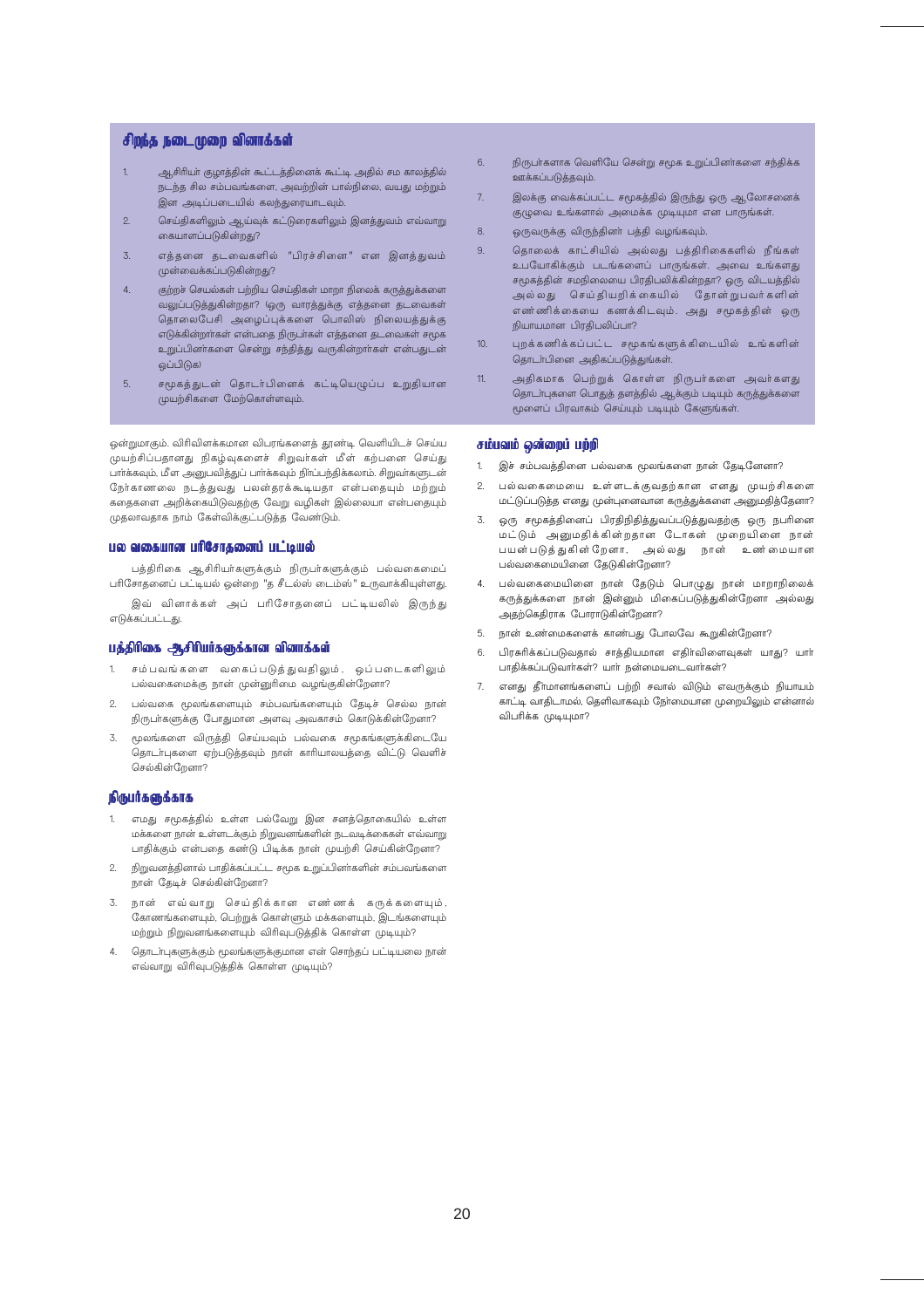# $f$ றந்த நடைமுறை வினாக்கள்

- 1. ஆசிரியா குழாத்தின் கூட்டத்தினைக் கூட்டி அதில் சம காலத்தில் .<br>நடந்த சில சம்பவங்களை, அவற்றின் பால்நிலை, வயது மற்றும் இன அடிப்படையில் கலந்துரையாடவும்.
- 2. செய்திகளிலும் ஆய்வுக் கட்டுரைகளிலும் இனத்துவம் எவ்வாறு கையாளப்படுகின்றது?
- 3. எத்தனை தடவைகளில் "பிரச்சினை" என இனத்துவம் முன்வைக்கப்படுகின்<u>றது</u>?
- 4. சூற்றச் செயல்கள் பற்றிய செய்திகள் மாறா நிலைக் கருத்துக்களை வலுப்படுத்துகின்றதா? (ஒரு வாரத்துக்கு எத்தனை தடவைகள் தொலைபேசி அழைப்புக்களை பொலிஸ் நிலையத்துக்கு எடுக்கின்றார்கள் என்பதை நிருபாகள் எத்தனை தடவைகள் சமூக .<br>உறுப்பினாகளை சென்று சந்தித்து வருகின்றாாகள் என்பதுடன் ஒப்பிடுக)
- 5. சமூகத்துடன் தொடர்பினைக் கட்டியெழுப்ப உறுதியான  $(\text{pump*A}$ களை மேற்கொள்ளவும்.

ஒன்றுமாகும். விரிவிளக்கமான விபரங்களைத் தூண்டி வெளியிடச் செய்ய முயற்சிப்பதானது நிகழ்வுகளைச் சிறுவாகள் மீள் கற்பனை செய்<u>து</u> பார்க்கவும், மீள அனுபவித்துப் பார்க்கவும் நிர்ப்பந்திக்கலாம். சிறுவாகளுடன் நோ்காணலை நடத்துவது பலன்தரக்கூடியதா என்பதையும் மற்றும் ்.<br>கதைகளை அறிக்கையிடுவதற்கு வேறு வழிகள் இல்லையா என்பதையும் முதலாவதாக நாம் கேள்விக்குட்படுத்த வேண்டும்.

#### பல வகையான பரிசோதனைப் பட்டியல்

பத்திரிகை ஆசிரியா்களுக்கும் நிருபா்களுக்கும் பல்வகைமைப் பரிசோதனைப் பட்டியல் ஒன்றை "த சீடல்ஸ் டைம்ஸ்" உருவாக்கியுள்ளது. .<br>இவ் வினாக்கள் அப் பரிசோதனைப் பட்டியலில் இருந்து

எடுக்கப்பட்டது

# $\mu$ ந்திரிகை ஆசிரியர்களுக்கான வினாக்கள்

- 1. சம்பவங்களை வகைப்படுத்துவதிலும், ஒப்படைகளிலும் பல்வகைமைக்கு நான் முன்னுரிமை வழங்குகின்றேனா?
- 2. பல்வகை மூலங்களையும் சம்பவங்களையும் தேடிச் செல்ல நான் நிருபாகளுக்கு போதுமான அளவு அவகாசம் கொடுக்கின்றேனா?
- 3. மூலங்களை விருத்தி செய்யவும் பல்வகை சமூகங்களுக்கிடையே தொடா்புகளை ஏற்படுத்தவும் நான் காாியாலயத்தை விட்டு வெளிச்  $G$ சல்கின்றேனா?

# நிருபர்களுக்காக

- எமது சமூகத்தில் உள்ள பல்வேறு இன சனத்தொகையில் உள்ள மக்களை நான் உள்ளடக்கும் நிறுவனங்களின் நடவடிக்கைகள் எவ்வாறு பாதிக்கும் என்பதை கண்டு பிடிக்க நான் முயற்சி செய்கின்றேனா?
- 2. நிறுவனத்தினால் பாதிக்கப்பட்ட சமூக உறுப்பினாகளின் சம்பவங்களை நான் தேடிச் செல்கின்றேனா?
- 3. நான் எவ்வாறு செய்திக்கான எண்ணக் கருக்களையும், கோணங்களையும், பெற்றுக் கொள்ளும் மக்களையும், இடங்களையும் மற்றும் நிறுவனங்களையும் விரிவுபடுத்திக் கொள்ள முடியும்?
- 4. தொடாபுகளுக்கும் மூலங்களுக்குமான என் சொந்தப் பட்டியலை நான் எவ்வாறு விரிவுபடுத்திக் கொள்ள முடியும்?
- 6. நிருபாகளாக வெளியே சென்று சமூக உறுப்பினாகளை சந்திக்க ஊக்கப்படுத்தவும்.
- 7. இலக்கு வைக்கப்பட்ட சமூகத்தில் இருந்து ஒரு ஆலோசனைக் குழுவை உங்களால் அமைக்க முடியுமா என பாருங்கள்.
- 8.  $\qquad$  ஒருவருக்கு விருந்தினா பத்தி வழங்கவும்.
- 9. தொலைக் காட்சியில் அல்லது பத்திரிகைகளில் நீங்கள் உபயோகிக்கும் படங்களைப் பாருங்கள். அவை உங்களது சமூகத்தின் சமநிலையை பிரதிபலிக்கின்றதா? ஒரு விடயத்தில் அல்லது செய்தியறிக்கையில் தோன்றுபவர்களின் ்.<br>எண்ணிக்கையை கணக்கிடவும். அது சமூகத்தின் ஒரு நியாயமான பிரதிபலிப்பா?
- 10. புறக்கணிக்கப்பட்ட சமூகங்களுக்கிடையில் உங்களின் தொடாபினை அதிகப்படுத்துங்கள்.
- அதிகமாக பெற்றுக் கொள்ள நிருபர்களை அவர்களது தொடாபுகளை பொதுத் தளத்தில் ஆக்கும் படியும் கருத்துக்களை மூளைப் பிரவாகம் செய்யும் படியும் கேளுங்கள்.

## சம்பவம் ஒன்றைப் பற்றி

- 1. இச் சம்பவத்தினை பல்வகை மூலங்களை நான் தேடினேனா?
- 2. பல்வகைமையை உள்ளடக்குவதற்கான எனது முயற்சிகளை மட்டுப்படுத்த எனது முன்புனைவான கருத்துக்களை அனுமதித்தேனா?
- 3. ஒரு சமூகத்தினைப் பிரதிநிதித்துவப்படுத்துவதற்கு ஒரு நபரினை மட்டும் அனுமதிக்கின்றதான டோகன் முறையினை நான் பயன்படுத்துகின்றேனா, அல்லது நான் உணவையான பல்வகைமையினை தேடுகின்றேனா?
- 4. பல்வகைமையினை நான் தேடும் பொழுது நான் மாறாநிலைக் .<br>கருத்துக்களை நான் இன்னும் மிகைப்படுத்துகின்றேனா அல்லது அதற்கெதிராக போராடுகின்றேனா?
- 5. நான் உண்மைகளைக் காண்பது போலவே கூறுகின்றேனா?
- 6. பிரசுரிக்கப்படுவதால் சாத்தியமான எதிர்விளைவுகள் யாது? யார் பாதிக்கப்படுவாா்கள்? யாா் நன்மையடைவாா்கள்?
- 7. எனது தீாமானங்களைப் பற்றி சவால் விடும் எவருக்கும் நியாயம் காட்டி வாதிடாமல், தெளிவாகவும் நோமையான முறையிலும் என்னால் விபரிக்க முடியுமா?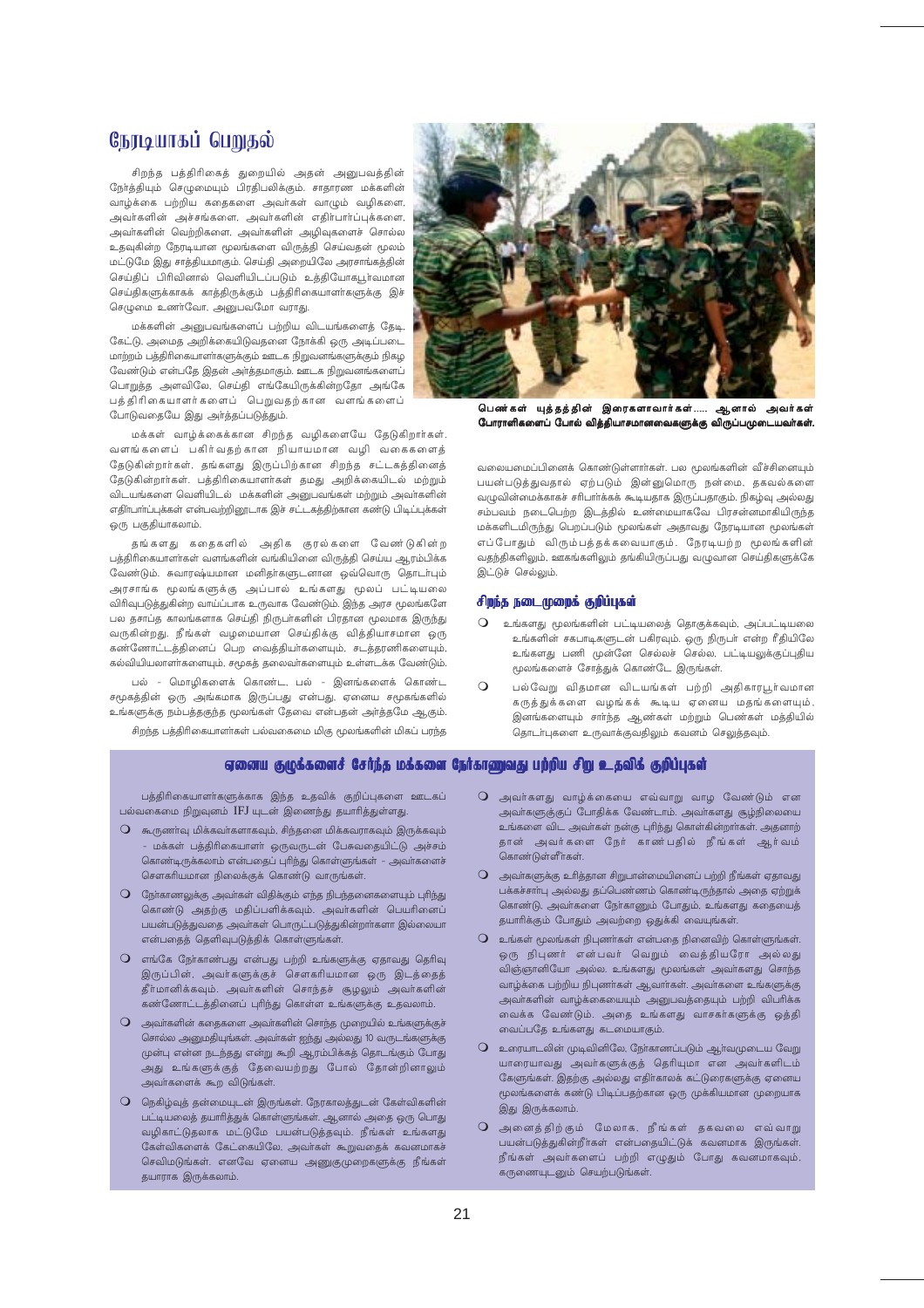# நேரடியாகப் பெறுதல்

சிறந்த பத்திரிகைத் துறையில் அதன் அனுபவத்தின் .<br>நோத்தியும் செழுமையும் பிரதிபலிக்கும். சாதாரண மக்களின் வாழ்க்கை பற்றிய கதைகளை அவா்கள் வாழும் வழிகளை, .<br>அவர்களின் அச்சங்களை, அவர்களின் எதிர்பார்ப்புக்களை, அவாகளின் வெற்றிகளை, அவாகளின் அழிவுகளைச் சொல்ல உதவுகின்ற நேரடியான மூலங்களை விருத்தி செய்வதன் மூலம் மட்டுமே இது சாத்தியமாகும். செய்தி அறையிலே அரசாங்கத்தின் செய்திப் பிரிவினால் வெளியிடப்படும் உத்தியோகபூர்வமான செய்திகளுக்காகக் காத்திருக்கும் பத்திரிகையாளர்களுக்கு இச் செழுமை உணாவோ, அனுபவமோ வராது.

மக்களின் அனுபவங்களைப் பற்றிய விடயங்களைத் தேடி, .<br>கேட்டு, அமைத அறிக்கையிடுவதனை நோக்கி ஒரு அடிப்படை மாற்றம் பத்திரிகையாளா்களுக்கும் ஊடக நிறுவனங்களுக்கும் நிகழ வேண்டும் என்பதே இதன் அர்த்தமாகும். ஊடக நிறுவனங்களைப் பொறுத்த அளவிலே, செய்தி எங்கேயிருக்கின்றதோ அங்கே பத்திரிகையாளர்களைப் பெறுவதற்கான வளங்களைப் போடுவதையே இது அர்த்தப்படுத்தும்.

மக்கள் வாழ்க்கைக்கான சிறந்த வழிகளையே தேடுகிறார்கள். .<br>வளங்களைப் பகிர்வதற்கான நியாயமான வழி வகைகளைத் தேடுகின்றார்கள், தங்களது இருப்பிற்கான சிறந்த சட்டகத்தினைத் தேடுகின்றார்கள். பத்திரிகையாளர்கள் தமது அறிக்கையிடல் மற்றும் விடயங்களை வெளியிடல் மக்களின் அனுபவங்கள் மற்றும் அவாகளின் எதிாபாாப்புக்கள் என்பவற்றினூடாக இச் சட்டகத்திற்கான கண்டு பிடிப்புக்கள் ஒரு பகுதியாகலாம்.

தங்களது கதைகளில் அதிக குரல்களை வேண்டுகின்ற பத்திரிகையாளாகள் வளங்களின் வங்கியினை விருத்தி செய்ய ஆரம்பிக்க வேண்டும். சுவாரஷ்யமான மனிதா்களுடனான ஒவ்வொரு தொடா்பும் .<br>அரசாங்க மூலங்களுக்கு அப்பால் உங்களது மூலப் பட்டியலை விரிவுபடுத்துகின்ற வாய்ப்பாக உருவாக வேண்டும். இந்த அரச மூலங்களே பல தசாப்த காலங்களாக செய்தி நிருபாகளின் பிரதான மூலமாக இருந்து ்<br>வருகின்றது. நீங்கள் வழமையான செய்திக்கு வித்தியாசமான ஒரு கண்ணோட்டத்தினைப் பெற வைத்தியா்களையும், சடத்தரணிகளையும், கல்வியியலாளாகளையும், சமூகத் தலைவாகளையும் உள்ளடக்க வேண்டும்.

பல் - மொழிகளைக் கொண்ட, பல் - இனங்களைக் கொண்ட சமூகத்தின் ஒரு அங்கமாக இருப்பது என்பது, ஏனைய சமூகங்களில் உங்களுக்கு நம்பத்தகுந்த மூலங்கள் தேவை என்பதன் அாத்தமே ஆகும்.

சிறந்த பத்திரிகையாளர்கள் பல்வகைமை மிகு மூலங்களின் மிகப் பரந்த



பெண்கள் யுத்தத்தின் இரைகளாவார்கள்..... ஆனால் அவர்கள் போராளிகளைப் போல் வித்தியாசமானவைகளுக்கு விருப்பமுடையவாகள்.

வலையமைப்பினைக் கொண்டுள்ளார்கள். பல மூலங்களின் வீச்சினையும் பயன்படுத்துவதால் ஏற்படும் இன்னுமொரு நன்மை, தகவல்களை வமுவின்மைக்காகச் சரிபார்க்கக் கூடியதாக இருப்பதாகும். நிகழ்வு அல்லது சம்பவம் நடைபெற்ற இடத்தில் உண்மையாகவே பிரசன்னமாகியிருந்த மக்களிடமிருந்து பெறப்படும் மூலங்கள் அதாவது நேரடியான மூலங்கள் எப்போதும் விரும்பத்தக்கவையாகும். நேரடியற்ற மூலங்களின் வதந்திகளிலும், ஊகங்களிலும் தங்கியிருப்பது வமுவான செய்திகளுக்கே .<br>இட்டுச் செல்லும்,

# சிறந்த நடைமுறைக் குறிப்புகள்

- $Q$  உங்களது மூலங்களின் பட்டியலைத் தொகுக்கவும், அப்பட்டியலை .<br>உங்களின் சகபாடிகளுடன் பகிரவும். ஒரு நிருபா் என்ற ரீதியிலே உங்களது பணி முன்னே செல்லச் செல்ல, பட்டியலுக்குப்புதிய மூலங்களைச் சோத்துக் கொண்டே இருங்கள்.
- $Q$  பல்வேறு விதமான விடயங்கள் பற்றி அதிகாரபூர்வமான .<br>கருத்துக்களை வழங்கக் கூடிய ஏனைய மதங்களையும், இனங்களையும் சாா்ந்த ஆண்கள் மற்றும் பெண்கள் மத்தியில் தொடா்புகளை உருவாக்குவதிலும் கவனம் செலுத்தவும்.

# ஏனைய குழுக்களைச் சேர்ந்த மக்களை நேர்காணுவது பற்றிய சிறு உதவிக் குறிப்புகள்

பத்திரிகையாளா்களுக்காக இந்த உதவிக் குறிப்புகளை ஊடகப் பல்வகைமை நிறுவுனம்  $IFJ$ யுடன் இணைந்து தயாரித்துள்ளது.

- $\mathsf O$  கூருணாவு மிக்கவாகளாகவும், சிந்தனை மிக்கவராகவும் இருக்கவும் - மக்கள் பத்திரிகையாளா ஒருவருடன் பேசுவதையிட்டு அச்சம் கொண்டிருக்கலாம் என்பதைப் புரிந்து கொள்ளுங்கள் - அவாகளைச் சௌகாியமான நிலைக்குக் கொண்டு வாருங்கள்.
- $\mathsf O$  Ghinan ணலுக்கு அவாகள் விகிக்கும் எந்த நிபந்தனைகளையும் புரிந்து கொண்டு அதற்கு மதிப்பளிக்கவும். அவாகளின் பெயரினைப் பயன்படுத்துவதை அவாகள் பொருட்படுத்துகின்றாாகளா இல்லையா என்பதைத் தெளிவுபடுத்திக் கொள்ளுங்கள்.
- $\Omega$  எங்கே நோகாண்பது என்பது பற்றி உங்களுக்கு ஏதாவது தெரிவு .<br>இருப்பின், அவாகளுக்குச் சௌகரியமான ஒரு இடத்தைத் தீர்மானிக்கவும். அவர்களின் சொந்தச் சூழலும் அவர்களின் கண்ணோட்டத்தினைப் புரிந்து கொள்ள உங்களுக்கு உதவலாம்.
- $\mathsf O$  அவாகளின் கதைகளை அவாகளின் சொந்த முறையில் உங்களுக்குச் சொல்ல அனுமதியுங்கள். அவாகள் ஐந்து அல்லது 10 வருடங்களுக்கு முன்பு என்ன நடந்தது என்று கூறி ஆரம்பிக்கத் தொடங்கும் போது அது உங்களுக்குத் தேவையற்றது போல் தோன்றினாலும் அவா்களைக் கூற விடுங்கள்.
- $O$  நெகிழ்வுத் தன்மையுடன் இருங்கள். நேரகாலத்துடன் கேள்விகளின் .<br>பட்டியலைத் தயாரித்துக் கொள்ளுங்கள். ஆனால் அதை ஒரு பொது வழிகாட்டுதலாக மட்டுமே பயன்படுத்தவும். நீங்கள் உங்களது கேள்விகளைக் கேட்கையிலே, அவாகள் கூறுவதைக் கவனமாகச் செவிமடுங்கள். எனவே ஏனைய அணுகுமுறைகளுக்கு நீங்கள் தயாராக இருக்கலாம்.
- $\mathsf O$  அவர்களது வாழ்க்கையை எவ்வாறு வாழ வேண்டும் என அவாகளுக்குப் போதிக்க வேண்டாம். அவாகளது சூழ்நிலையை உங்களை விட அவா்கள் நன்கு புரிந்து கொள்கின்றாா்கள். அதனாற் தான் அவர்களை நேர் காணப்தில் நீங்கள் ஆர்வம் கொண்டுள்ளீர்கள்.
- $\mathsf O$  அவாகளுக்கு உரித்தான சிறுபான்மையினைப் பற்றி நீங்கள் ஏதாவது பக்கச்சாாபு அல்லது தப்பெண்ணம் கொண்டிருந்தால் அதை ஏற்றுக் கொண்டு, அவாகளை நோகாணும் போதும், உங்களது கதையைத் தயாரிக்கும் போதும் அவற்றை ஒதுக்கி வையுங்கள்.
- $\mathbf O$  உங்கள் மூலங்கள் நிபுணா்கள் என்பதை நினைவிற் கொள்ளுங்கள். ஒரு நிபுணர் என்பவர் வெறும் வைத்தியரோ அல்லது விஞ்ஞானியோ அல்ல. உங்களது மூலங்கள் அவா்களது சொந்த வாழ்க்கை பற்றிய நிபுணா்கள் ஆவாா்கள். அவா்களை உங்களுக்கு .<br>அவாகளின் வாழ்க்கையையும் அனுபவத்தையும் பற்றி விபரிக்க வைக்க வேண்டும். அதை உங்களது வாசகா்களுக்கு ஒத்தி வைப்பதே உங்களது கடமையாகும்.
- $\mathbf O$  உரையாடலின் முடிவினிலே, நோகாணப்படும் ஆர்வமுடைய வேறு .<br>யாரையாவது அவாகளுக்குத் தெரியுமா என அவாகளிடம் கேளுங்கள். இதற்கு அல்லது எதிர்காலக் கட்டுரைகளுக்கு ஏனைய மூலங்களைக் கண்டு பிடிப்பதற்கான ஒரு முக்கியமான முறையாக இது இருக்கலாம்.
- $\Theta$  அனைத்திற்கும் மேலாக, நீங்கள் தகவலை எவ்வாறு பயன்படுத்துகின்றீர்கள் என்பதையிட்டுக் கவனமாக இருங்கள். .<br>நீங்கள் அவாகளைப் பற்றி எழுதும் போது கவனமாகவும், கருணையுடனும் செயற்படுங்கள்.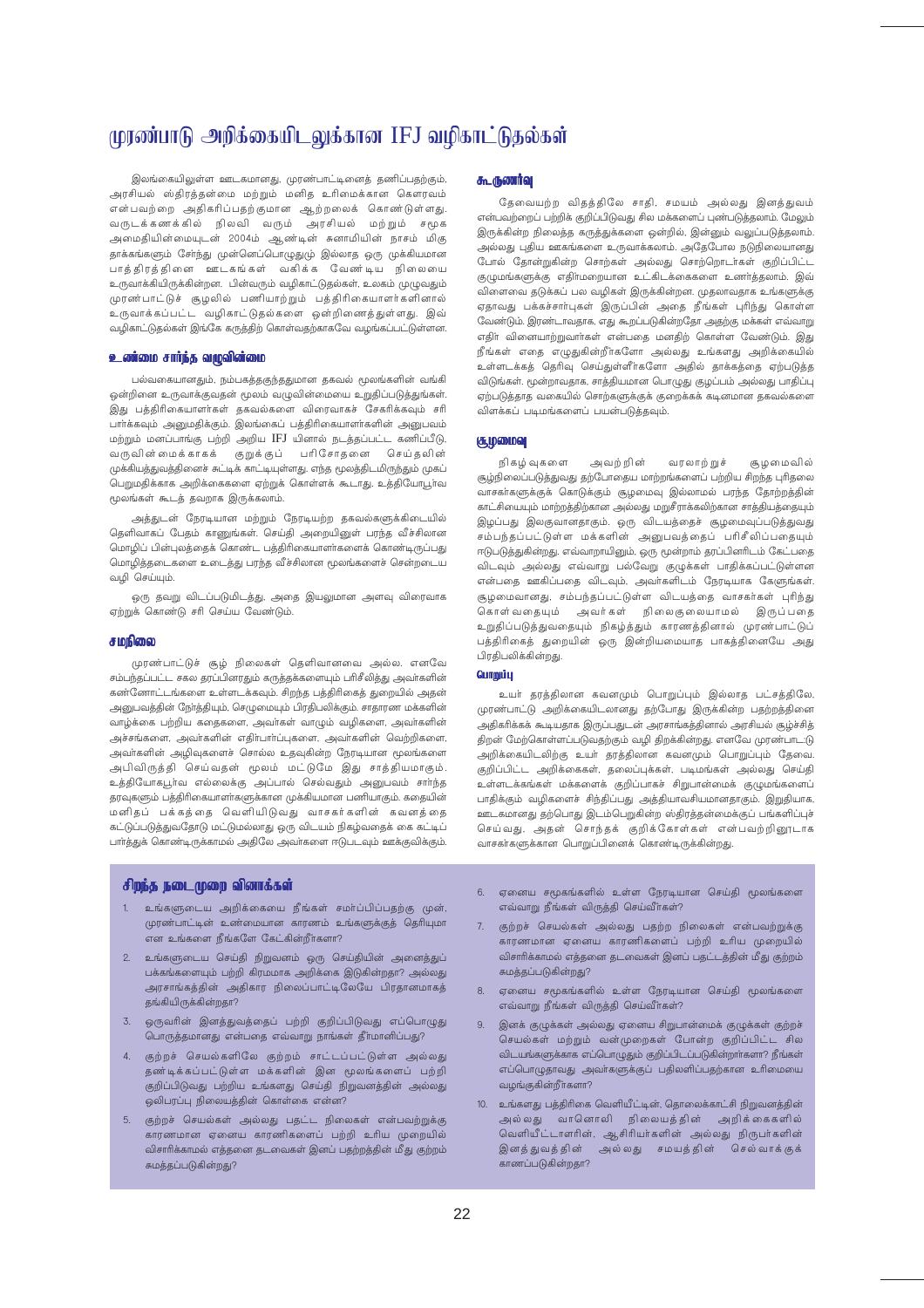# $\mu$ ரண்பாடு அறிக்கையிடலுக்கான IFJ வழிகாட்டுதல்கள்

இலங்கையிலுள்ள ஊடகமானது, முரண்பாட்டினைத் தணிப்பதற்கும், அரசியல் ஸ்திரத்தன்மை மற்றும் மனித உரிமைக்கான கௌரவம் என்பவற்றை அதிகரிப்பதற்குமான ஆற்றலைக் கொண்டுள்ளது. ்<br>வருடக்கணக்கில் நிலவி வரும் அரசியல் மற்றும் சமூக அமைதியின்மையுடன் 2004ம் ஆண்டின் சுனாமியின் நாசம் மிகு தாக்கங்களும் சோந்து முன்னெப்பொழுதுமு் இல்லாத ஒரு முக்கியமான பாத்திரத்தினை ஊடகங்கள் வகிக்க வேண்டிய நிலையை உருவாக்கியிருக்கின்றன. பின்வரும் வழிகாட்டுதல்கள், உலகம் முழுவதும் ்<br>முரண்பாட்டுச் சூழலில் பணியாற்றும் பத்திரிகையாளர்களினால் .<br>உருவாக்கப்பட்ட வழிகாட்டுதல்களை ஒன்றிணைத்துள்ளது. இவ் வழிகாட்டுதல்கள் இங்கே கருத்திற் கொள்வதற்காகவே வழங்கப்பட்டுள்ளன.

#### உண்மை சார்ந்த வழுவின்மை

பல்வகையானதும், நம்பகத்தகுந்ததுமான தகவல் மூலங்களின் வங்கி ஒன்றினை உருவாக்குவதன் மூலம் வழுவின்மையை உறுதிப்படுத்துங்கள். இது பத்திரிகையாளர்கள் தகவல்களை விரைவாகச் சேகரிக்கவும் சரி பார்க்கவும் அனுமதிக்கும். இலங்கைப் பத்திரிகையாளர்களின் அனுபவம் மற்றும் மனப்பாங்கு பற்றி அறிய IFJ யினால் நடத்தப்பட்ட கணிப்பீடு, வருவின்மைக்காகக் குறுக்குப் பரிசோதனை செய்தலின் முக்கியத்துவத்தினைச் சுட்டிக் காட்டியுள்ளது. எந்த மூலத்திடமிருந்தும் முகப் ு<br>பெறுமதிக்காக அறிக்கைகளை ஏற்றுக் கொள்ளக் கூடாது. உத்தியோபூாவ .<br>மூலங்கள் கூடத் தவறாக இருக்கலாம்.

அத்துடன் நேரடியான மற்றும் நேரடியற்ற தகவல்களுக்கிடையில் தெளிவாகப் பேதம் காணுங்கள். செய்தி அறையினுள் பரந்த வீச்சிலான மொழிப் பின்புலத்தைக் கொண்ட பத்திரிகையாளர்களைக் கொண்டிருப்பது மொழித்தடைகளை உடைத்து பரந்த வீச்சிலான மூலங்களைச் சென்றடைய வமி செய்யம்.

ஒரு தவறு விடப்படுமிடத்து, அதை இயலுமான அளவு விரைவாக ஏற்றுக் கொண்டு சரி செய்ய வேண்டும்.

#### சமநிலை

முரண்பாட்டுச் சூழ் நிலைகள் தெளிவானவை அல்ல. எனவே சம்பந்தப்பட்ட சகல தரப்பினரதும் கருத்தக்களையும் பரிசீலித்து அவாகளின் கண்ணோட்டங்களை உள்ளடக்கவும். சிறந்த பத்திரிகைத் துறையில் அதன் அனுபவத்தின் நோத்தியும், செழுமையும் பிரதிபலிக்கும். சாதாரண மக்களின் வாழ்க்கை பற்றிய கதைகளை, அவாகள் வாழும் வழிகளை, அவாகளின் அச்சங்களை, அவாகளின் எதிாபாாப்புகளை, அவாகளின் வெற்றிகளை, அவாகளின் அழிவுகளைச் சொல்ல உதவுகின்ற நேரடியான மூலங்களை அபிவிருத்தி செய்வதன் மூலம் மட்டுமே இது சாத்தியமாகும். உத்தியோகபூர்வ எல்லைக்கு அப்பால் செல்வதும் அனுபவம் சார்ந்த தரவுகளும் பத்திரிகையாளா்களுக்கான முக்கியமான பணியாகும். கதையின் kdpjg; gf;fj;ij ntspapLtJ thrfh;fspd; ftdj;ij கட்டுப்படுத்துவதோடு மட்டுமல்லாது ஒரு விடயம் நிகழ்வதைக் கை கட்டிப் பார்த்துக் கொண்டிருக்காமல் அதிலே அவாகளை ஈடுபடவும் ஊக்குவிக்கும்.

# சிறந்த நடைமுறை வினாக்கள்

- 1. உங்களுடைய அறிக்கையை நீங்கள் சமாப்பிப்பதற்கு முன்.  $\mu$ ரண்பாட்டின் உண்மையான காரணம் உங்களுக்குத் தெரியுமா என உங்களை நீங்களே கேட்கின்றீர்களா?
- 2. உங்களுடைய செய்தி நிறுவனம் ஒரு செய்தியின் அனைத்துப் பக்கங்களையும் பற்றி கிரமமாக அறிக்கை இடுகின்றதா? அல்லது அரசாங்கத்தின் அதிகார நிலைப்பாட்டிலேயே பிரதானமாகத் தங்கியிருக்கின்றதா?
- 3. ஒருவரின் இனத்துவத்தைப் பற்றி குறிப்பிடுவது எப்பொழுது பொருத்தமானது என்பதை எவ்வாறு நாங்கள் தீர்மானிப்பது?
- 4. குற்றச் செயல்களிலே குற்றம் சாட்டப்பட்டுள்ள அல்லது தண்டிக்கப்பட்டுள்ள மக்களின் இன மூலங்களைப் பற்றி .<br>சுறிப்பிடுவது பற்றிய உங்களது செய்தி நிறுவனத்தின் அல்லது ஒலிபரப்பு நிலையத்தின் கொள்கை என்ன?
- 5. குற்றச் செயல்கள் அல்லது பதட்ட நிலைகள் என்பவற்றுக்கு ்.<br>காரணமான ஏனைய காரணிகளைப் பற்றி உரிய முறையில் விசாரிக்காமல் எத்தனை தடவைகள் இனப் பதற்றத்தின் மீது குற்றம் சுமத்தப்படுகின்<u>றது</u>?

# கூருணர்வ

தேவையற்ற விதத்திலே சாதி, சமயம் அல்லது இனத்துவம் என்பவற்றைப் பற்றிக் குறிப்பிடுவது சில மக்களைப் புண்படுத்தலாம். மேலும் ,<br>இருக்கின்ற நிலைத்த கருத்துக்களை ஒன்றில், இன்னும் வலுப்படுக்கலாம். அல்லது புதிய ஊகங்களை உருவாக்கலாம். அதேபோல நடுநிலையானத<mark>ு</mark> போல் தோன்றுகின்ற சொற்கள் அல்லது சொற்றொடர்கள் குறிப்பிட்ட குழுமங்களுக்கு எதிா்மறையான உட்கிடக்கைகளை உணா்த்தலாம். இவ் விளைவை தடுக்கப் பல வழிகள் இருக்கின்றன. முதலாவதாக உங்களுக்கு .<br>ஏதாவது பக்கச்சாாபுகள் இருப்பின் அதை நீங்கள் புரிந்து கொள்ள வேண்டும். இரண்டாவதாக, எது கூறப்படுகின்றதோ அதற்கு மக்கள் எவ்வாறு எகிா் வினையாற்றுவாாகள் என்பதை மனகிற் கொள்ள வேண்டும். இது நீங்கள் எதை எழுதுகின்றீர்களோ அல்லது உங்களது அறிக்கையில் .<br>உள்ளடக்கத் தெரிவு செய்துள்ளீாகளோ அதில் தாக்கத்தை ஏற்படுத்த விடுங்கள். மூன்றாவதாக, சாத்தியமான பொழுது குழப்பம் அல்லது பாதிப்பு ஏற்படுத்தாத வகையில் சொற்களுக்குக் குறைக்கக் கடினமான தகவல்களை விளக்கப் படி மங்களைப் பயன்படுக்கவம்.

# *<b>ELDEDIDAL*

நிகழ்வுகளை அவற்றின் வரலாற்றுச் சூழமைவில் சூழ்நிலைப்படுத்துவது தற்போதைய மாற்றங்களைப் பற்றிய சிறந்த புரிதலை வாசகா்களுக்குக் கொடுக்கும் சூழமைவு இல்லாமல் பரந்த தோற்றத்தின் காட்சியையும் மாற்றத்திற்கான அல்லது மறுசீராக்கலிற்கான சாத்தியத்தையும் இழப்பது இலகுவானதாகும். ஒரு விடயத்தைச் சூழமைவுப்படுத்துவது .<br>சம்பந்தப்பட்டுள்ள மக்களின் அனுபவத்தைப் பரிசீலிப்பதையும் ஈடுபடுத்துகின்றது. எவ்வாறாயினும், ஒரு மூன்றாம் தரப்பினரிடம் கேட்பதை .<br>விடவும் அல்லது எவ்வாறு பல்வேறு குழுக்கள் பாதிக்கப்பட்டுள்ளன என்பகை ஊகிப்பகை விடவம். அவர்களிடம் நோடியாக கேளுங்கள். சூழமைவானது, சம்பந்தப்பட்டுள்ள விடயத்தை வாசகர்கள் புரிந்து கொள்வதையும் அவர்கள் நிலைகுலையாமல் இருப்பதை உறுதிப்படுத்துவதையும் நிகழ்த்தும் காரணத்தினால் முரண்பாட்டுப் பத்திரிகைத் துறையின் ஒரு இன்றியமையாத பாகத்தினையே அது .<br>பிரதிபலிக்கின்றது.

# **Gunguiy**

உயா தரத்திலான கவனமும் பொறுப்பும் இல்லாத பட்சத்திலே, முரண்பாட்டு அறிக்கையிடலானது தற்போது இருக்கின்ற பதற்றத்தினை ு<br>அதிகரிக்கக் கூடியதாக இருப்பதுடன் அரசாங்கத்தினால் அரசியல் சூழ்ச்சித் திறன் மேற்கொள்ளப்படுவதற்கும் வழி திறக்கின்றது. எனவே முரண்பாட:டு அறிக்கையிடலிற்கு உயா் தரத்திலான கவனமும் பொறுப்பும் தேவை. குறிப்பிட்ட அறிக்கைகள், தலைப்புக்கள், படிமங்கள் அல்லது செய்தி உள்ளடக்கங்கள் மக்களைக் குறிப்பாகச் சிறுபான்மைக் குழுமங்களைப் பாதிக்கும் வழிகளைச் சிந்திப்பது அத்தியாவசியமானதாகும். இறுதியாக, ஊடகமானது தற்பொது இடம்பெறுகின்ற ஸ்திரத்தன்மைக்குப் பங்களிப்புச் செய்வது, அதன் சொந்தக் குறிக்கோள்கள் என்பவற்றினூடாக வாசகா்களுக்கான பொறுப்பினைக் கொண்டிருக்கின்றது.

- 6. ஏனைய சமூகங்களில் உள்ள நேரடியான செய்தி மூலங்களை எவ்வாறு நீங்கள் விருத்தி செய்வீாகள்?
- 7. குற்றச் செயல்கள் அல்லது பதற்ற நிலைகள் என்பவற்றுக்கு காரணமான ஏனைய காரணிகளைப் பற்றி உரிய முறையில் .<br>விசாரிக்காமல் எத்தனை தடவைகள் இனப் பதட்டத்தின் மீது குற்றம் சுமத்தப்படுகின்றது?
- 8. ஏனைய சமூகங்களில் உள்ள நேரடியான செய்தி மூலங்களை எவ்வாறு நீங்கள் விருத்தி செய்வீாகள்?
- 9. இனக் குழுக்கள் அல்லது ஏனைய சிறுபான்மைக் குழுக்கள் குற்றச் செயல்கள் மற்றும் வன்முறைகள் போன்ற குறிப்பிட்ட சில விடயங்களுக்காக எப்பொழுதும் குறிப்பிடப்படுகின்றார்களா? நீங்கள்  $\overline{\mathsf{q}}$ ப்பொழுதாவது அவாகளுக்குப் பதிலளிப்பதற்கான உரிமையை வழங்குகின்றீர்களா?
- 10. உங்களது பத்திரிகை வெளியீட்டின், தொலைக்காட்சி நிறுவனத்தின் அல்லது வானொலி நிலையத்தின் அறிக்கைகளில் வெளியீட்டாளரின், ஆசிரியர்களின் அல்லது நிருபர்களின் .<br>இனத்துவத்தின் அல்லது சமயத்தின் செல்வாக்குக் .<br>காணப்படுகின்றதா?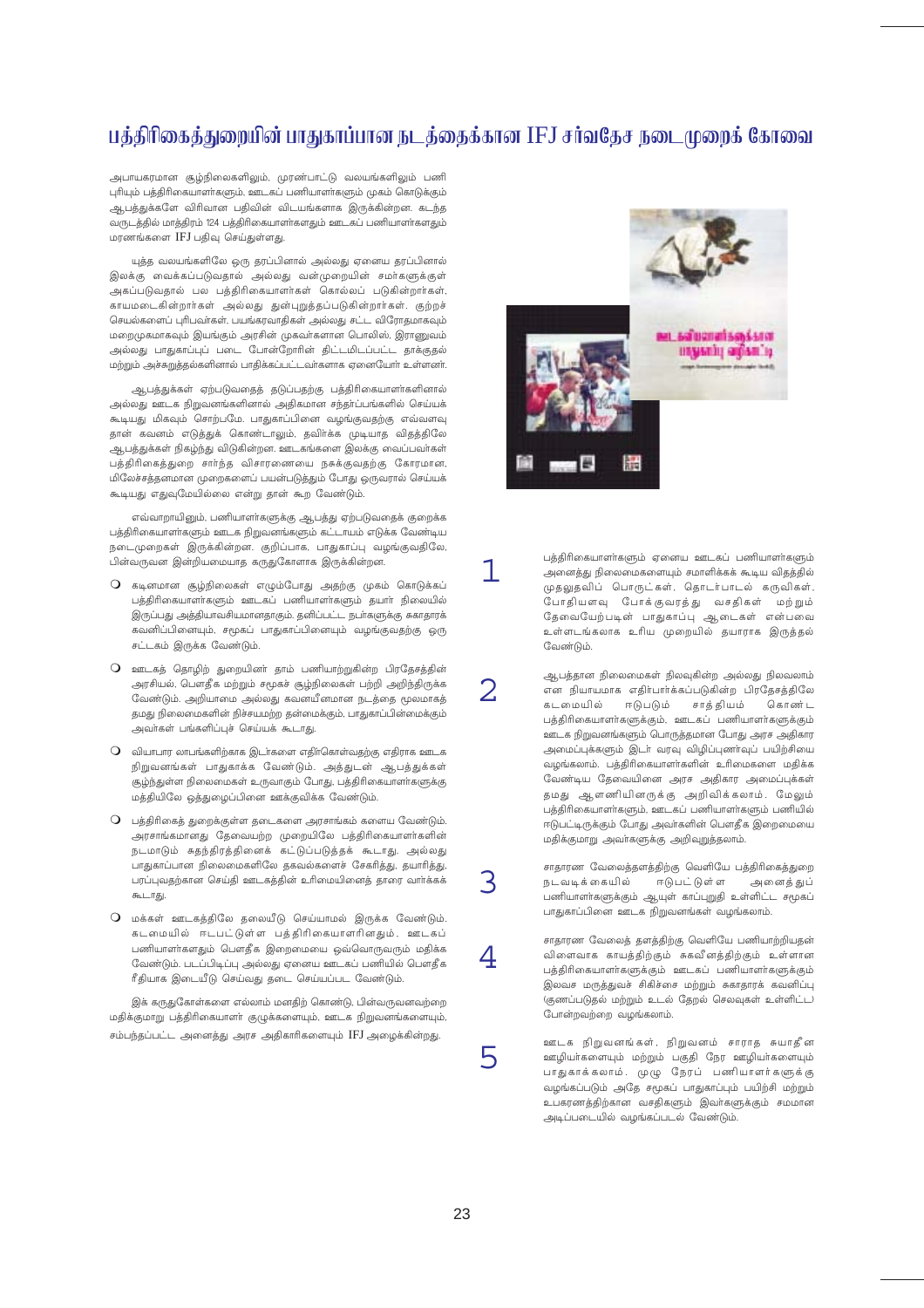# பத்திரிகைத்துறையின் பாதுகாப்பான நடத்தைக்கான IFJ சர்வதேச நடைமுறைக் கோவை

1

2

3

4

5

அபாயகரமான சூழ்நிலைகளிலும், முரண்பாட்டு வலயங்களிலும் பணி புரியும் பத்திரிகையாளாகளும், ஊடகப் பணியாளாகளும் முகம் கொடுக்கும் ஆபத்துக்களே விரிவான பதிவின் விடயங்களாக இருக்கின்றன. கடந்த \_\_<br>வருடத்தில் மாத்திரம் 124 பத்திரிகையாளாகளதும் ஊடகப் பணியாளாகளதும் மரணங்களை IFJ பதிவு செய்துள்ளது.

யுத்த வலயங்களிலே ஒரு தரப்பினால் அல்லது ஏனைய தரப்பினால் இலக்கு வைக்கப்படுவதால் அல்லது வன்முறையின் சமாகளுக்குள் அகப்படுவதால் பல பத்திரிகையாளர்கள் கொல்லப் படுகின்றார்கள், காயமடைகின்றார்கள் அல்லது துன்புறுத்தப்படுகின்றார்கள். குற்றச் .<br>செயல்களைப் புரிபவாகள், பயங்கரவாதிகள் அல்லது சட்ட விரோதமாகவும் மறைமுகமாகவும் இயங்கும் அரசின் முகவாகளான பொலிஸ், இராணுவம் அல்லது பாதுகாப்புப் படை போன்றோரின் திட்டமிடப்பட்ட தாக்குதல் மற்றும் அச்சுறுத்தல்களினால் பாதிக்கப்பட்டவாகளாக ஏனையோா் உள்ளனா்.

ஆபத்துக்கள் ஏற்படுவதைத் தடுப்பதற்கு பத்திரிகையாளர்களினால் அல்லது ஊடக நிறுவனங்களினால் அதிகமான சந்தாப்பங்களில் செய்யக் கூடியது மிகவும் சொற்பமே. பாதுகாப்பினை வழங்குவதற்கு எவ்வளவு தான் கவனம் எடுத்துக் கொண்டாலும், தவிா்க்க முடியாத விதத்திலே .<br>ஆபத்துக்கள் நிகழ்ந்து விடுகின்றன. ஊடகங்களை இலக்கு வைப்பவாகள் பத்திரிகைத்துறை சார்ந்த விசாரணையை நசுக்குவதற்கு கோரமான, மிலேச்சத்தனமான முறைகளைப் பயன்படுத்தும் போது ஒருவரால் செய்யக் கூடியது எதுவுமேயில்லை என்று தான் கூற வேண்டும்.

எவ்வாறாயினும், பணியாளா்களுக்கு ஆபத்து ஏற்படுவதைக் குறைக்க பத்திரிகையாளாகளும் ஊடக நிறுவனங்களும் கட்டாயம் எடுக்க வேண்டிய நடைமுறைகள் இருக்கின்றன. குறிப்பாக, பாதுகாப்பு வழங்குவதிலே, பின்வருவன இன்றியமையாத கருதுகோளாக இருக்கின்றன.

- $\mathsf O$  கடினமான சூழ்நிலைகள் எழும்போது அதற்கு முகம் கொடுக்கப் .<br>பத்திரிகையாளாகளும் ஊடகப் பணியாளாகளும் தயாா நிலையில் ,<br>இருப்பது அத்தியாவசியமானதாகும். தனிப்பட்ட நபாகளுக்கு சுகாதாரக் கவனிப்பினையும், சமூகப் பாதுகாப்பினையும் வழங்குவதற்கு ஒரு .<br>சட்டகம் இருக்க வேண்டும்.
- $\Theta$  ஊடகத் தொழிற் துறையினா் தாம் பணியாற்றுகின்ற பிரதேசத்தின் அரசியல், பௌதீக மற்றும் சமூகச் சூழ்நிலைகள் பற்றி அறிந்திருக்க வேண்டும். அறியாமை அல்லது கவனயீனமான நடத்தை மூலமாகத் தமது நிலைமைகளின் நிச்சயமற்ற தன்மைக்கும், பாதுகாப்பின்மைக்கும் அவாகள் பங்களிப்புச் செய்யக் கூடா<u>கு</u>.
- $\mathsf O$  வியாபார லாபங்களிற்காக இடா்களை எதிா்கொள்வதற்கு எதிராக ஊடக நிறுவனங்கள் பாதுகாக்க வேண்டும். அத்துடன் ஆபத்துக்கள் .<br>சூழ்ந்துள்ள நிலைமைகள் உருவாகும் போது, பத்திரிகையாளாகளுக்கு மத்தியிலே ஒத்துழைப்பினை ஊக்குவிக்க வேண்டும்.
- $\bigcirc$  பத்திரிகைத் துறைக்குள்ள தடைகளை அரசாங்கம் களைய வேண்டும். அரசாங்கமானது தேவையற்ற முறையிலே பத்திரிகையாளர்களின் .<br>நடமாடும் சுதந்திரத்தினைக் கட்டுப்படுத்தக் கூடாது. அல்லது .<br>பாதுகாப்பான நிலைமைகளிலே தகவல்களைச் சேகரித்து, தயாரித்து, பரப்புவதற்கான செய்தி ஊடகத்தின் உரிமையினைத் தாரை வார்க்கக் கூடாகு
- $\mathsf O$  மக்கள் ஊடகத்திலே தலையீடு செய்யாமல் இருக்க வேண்டும். கடமையில் ஈடபட்டுள்ள பத்திரிகையாளரினதும், ஊடகப் பணியாளா்களதும் பௌதீக இறைமையை ஒவ்வொருவரும் மதிக்க .<br>வேண்டும். படப்பிடிப்பு அல்லது ஏனைய ஊடகப் பணியில் பௌதீக .<br>ரீதியாக இடையீடு செய்வது தடை செய்யப்பட வேண்டும்.

இக் கருதுகோள்களை எல்லாம் மனதிற் கொண்டு, பின்வருவனவற்றை மகிக்குமாறு பத்திரிகையாளா குழுக்களையும், ஊடக நிறுவனங்களையும், சம்பந்தப்பட்ட அனைத்து அரச அதிகாரிகளையும்  $\operatorname{IFJ}$  அழைக்கின்றது.



பத்திரிகையாளா்களும் ஏனைய ஊடகப் பணியாளா்களும் .<br>அனைக்கு நிலைமைகளையம் சமாளிக்கக் கூடிய விகக்கில் முதலுதவிப் பொருட்கள், தொடா்பாடல் கருவிகள், போதியளவு போக்குவரத்து வசதிகள் மற்றும் தேவையேற்படின் பாதுகாப்பு ஆடைகள் என்பவை உள்ளடங்கலாக உரிய முறையில் தயாராக இருத்தல் வேண்டும்.

- ஆபத்தான நிலைமைகள் நிலவுகின்ற அல்லது நிலவலாம் ்<br>என நியாயமாக எதிர்பார்க்கப்படுகின்ற பிரதேசத்திலே கடமையில் ஈடுபடும் சாத்தியம் கொண்ட பத்திரிகையாளா்களுக்கும், ஊடகப் பணியாளா்களுக்கும் ஊடக நிறுவனங்களும் பொருத்தமான போது அரச அதிகார அமைப்புக்களும் இடா் வரவு விழிப்புணா்வுப் பயிற்சியை வமங்கலாம். பக்கிரிகையாளாகளின் உரிமைகளை மகிக்க வேண்டிய தேவையினை அரச அதிகார அமைப்புக்கள் தமது ஆளணியினருக்கு அறிவிக்கலாம். மேலும் பத்திரிகையாளா்களும், ஊடகப் பணியாளா்களும் பணியில் ஈடுபட்டிருக்கும் போது அவாகளின் பௌதீக இறைமையை மதிக்குமாறு அவாகளுக்கு அறிவுறுத்தலாம்.
- சாதாரண வேலைத்தளத்திற்கு வெளியே பத்திரிகைத்துறை<br>நடவடிக்கையில் நடுபட்டுள்ள மூனைக்குப் .<br>நடவடிக்கையில் ஈடுபட்டுள்ள அனைக்குப் பணியாளா்களுக்கும் ஆயுள் காப்புறுதி உள்ளிட்ட சமூகப் பாதுகாப்பினை ஊடக நிறுவனங்கள் வமங்கலாம்.
	- சாதாரண வேலைத் தளத்திற்கு வெளியே பணியாற்றியதன் விளைவாக காயத்திற்கும் சுகவீனத்திற்கும் உள்ளான பத்திரிகையாளர்களுக்கும் ஊடகப் பணியாளர்களுக்கும் இலவச மருத்துவச் சிகிச்சை மற்றும் சுகாதாரக் கவனிப்பு (கணப்படுகல் மற்றும் உடல் கேறல் செலவகள் உள்ளிட்ட) போன்றவற்றை வழங்கலாம்.
	- உ டைக நிறுவனங்கள், நிறுவனம் சாராத சுயாதீன ஊழியா்களையும் மற்றும் பகுதி நேர ஊழியா்களையும் பாதுகாக்கலாம். முழு நேரப் பணியாளா்களுக்கு வழங்கப்படும் அதே சமூகப் பாதுகாப்பும் பயிற்சி மற்றும் உபகரணத்திற்கான வசதிகளும் இவாகளுக்கும் சமமான .<br>அடிப்படையில் வமங்கப்படல் வேண்டும்.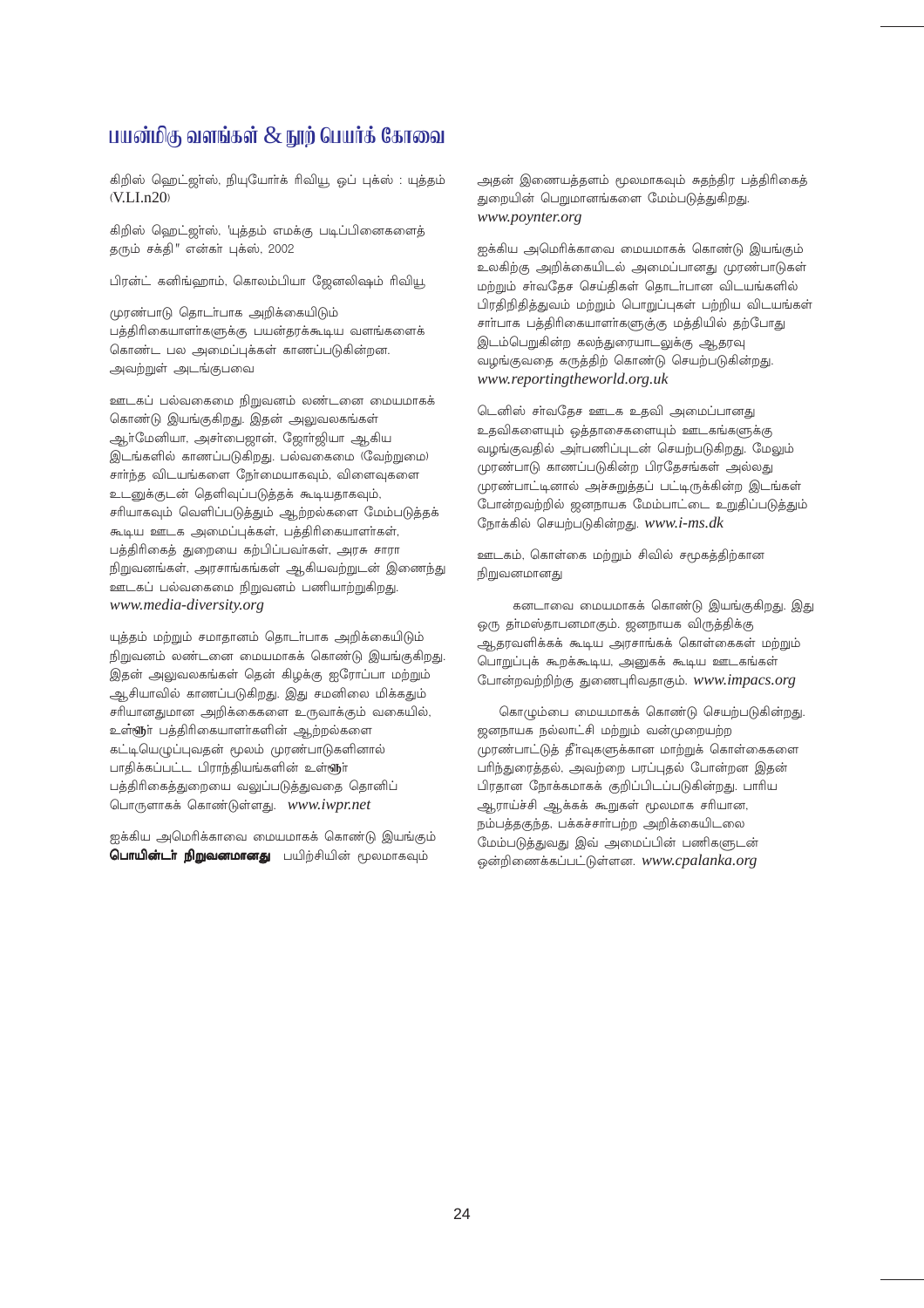# பயன்மிகு வளங்கள்  $\&$  நூற் பெயர்க் கோவை

கிறிஸ் ஹெட்ஜாஸ், நியுயோா்க் ரிவியூ ஒப் புக்ஸ் : யுத்தம் (V.LI.n20)

கிறிஸ் ஹெட்ஜாஸ், 'யுத்தம் எமக்கு படிப்பினைகளைத் தரும் சக்கி" என்கா் பக்ஸ், 2002

பிரன்ட் கனிங்ஹாம், கொலம்பியா ஜேனலிஷம் ரிவியூ

முரண்பாடு தொடா்பாக அறிக்கையிடும் பத்திரிகையாளா்களுக்கு பயன்தரக்கூடிய வளங்களைக் கொண்ட பல அமைப்புக்கள் காணப்படுகின்றன. அவற்றுள் அடங்குபவை

ஊடகப் பல்வகைமை நிறுவனம் லண்டனை மையமாகக் கொண்டு இயங்குகிறது. இதன் அலுவலகங்கள் ஆர்மேனியா, அசா்பைஜான், ஜோா்ஜியா ஆகிய இடங்களில் காணப்படுகிறது. பல்வகைமை (வேற்றுமை) சாா்ந்த விடயங்களை நோ்மையாகவும், விளைவுகளை உடனுக்குடன் தெளிவுப்படுத்தக் கூடியதாகவும், சரியாகவும் வெளிப்படுத்தும் ஆற்றல்களை மேம்படுத்தக் கூடிய ஊடக அமைப்புக்கள், பத்திரிகையாளர்கள், பத்திரிகைத் துறையை கற்பிப்பவாகள், அரசு சாரா நிறுவனங்கள், அரசாங்கங்கள் ஆகியவற்றுடன் இணைந்து ஊடகப் பல்வகைமை நிறுவனம் பணியாற்றுகிறது. *www.media-diversity.org*

யுத்தம் மற்றும் சமாதானம் தொடா்பாக அறிக்கையிடும் நிறுவனம் லண்டனை மையமாகக் கொண்டு இயங்குகிறது. இதன் அலுவலகங்கள் தென் கிழக்கு ஐரோப்பா மற்றும் ஆசியாவில் காணப்படுகிறது. இது சமனிலை மிக்கதும் சரியானதுமான அறிக்கைகளை உருவாக்கும் வகையில், உள்ளுர் பத்திரிகையாளர்களின் ஆற்றல்களை கட்டியெழுப்புவதன் மூலம் முரண்பாடுகளினால் பாதிக்கப்பட்ட பிராந்தியங்களின் உள்ளு பத்திரிகைத்துறையை வலுப்படுத்துவதை தொனிப் nghUshff; nfhz;Ls;sJ. *www.iwpr.net*

ஐக்கிய அமெரிக்காவை மையமாகக் கொண்டு இயங்கும் பொயின்டா் நிறுவனமானது பயிற்சியின் மூலமாகவும்

அதன் இணையத்தளம் மூலமாகவும் சுதந்திர பத்திரிகைத் துறையின் பெறுமானங்களை மேம்படுத்துகிறது. *www.poynter.org*

 $\hat{p}$ க்கிய அமெரிக்காவை மையமாகக் கொண்டு இயங்கும் உலகிற்கு, அறிக்கையிடல் அமைப்பானகு மாண்பாடுகள் .<br>மற்றும் சாவதேச செய்திகள் தொடாபான விடயங்களில் பிரதிநிதித்துவம் மற்றும் பொறுப்புகள் பற்றிய விடயங்கள் சாா்பாக பத்திரிகையாளா்களுக்கு மத்தியில் தற்போது இடம்பெறுகின்ற கலந்துரையாடலுக்கு ஆதரவு வழங்குவதை கருத்திற் கொண்டு செயற்படுகின்றது. *www.reportingtheworld.org.uk*

டெனிஸ் சா்வதேச ஊடக உதவி அமைப்பானது உதவிகளையும் ஒத்தாசைகளையும் ஊடகங்களுக்கு வழங்குவதில் அா்பணிப்புடன் செயற்படுகிறது. மேலும் முரண்பாடு காணப்படுகின்ற பிரதேசங்கள் அல்லது முரண்பாட்டினால் அச்சுறுத்தப் பட்டிருக்கின்ற இடங்கள் போன்றவற்றில் ஜனநாயக மேம்பாட்டை உறுதிப்படுத்தும் Nehf;fpy; nraw;gLfpd;wJ. *www.i-ms.dk*

ஊடகம், கொள்கை மற்றும் சிவில் சமூகக்கிற்கான நிறுவனமானது

கனடாவை மையமாகக் கொண்டு இயங்குகிறது. இது ஒரு தாமஸ்தாபனமாகும். ஜனநாயக விருத்திக்கு ஆதரவளிக்கக் கூடிய அரசாங்கக் கொள்கைகள் மற்றும் பொறுப்புக் கூறக்கூடிய, அனுகக் கூடிய ஊடகங்கள் Nghd;wtw;wpw;F JizGhptjhFk;. *www.impacs.org*

கொழும்பை மையமாகக் கொண்டு செயற்படுகின்றது. ஜனநாயக நல்லாட்சி மற்றும் வன்முறையற்ற முரண்பாட்டுத் தீா்வுகளுக்கான மாற்றுக் கொள்கைகளை பரிந்துரைத்தல், அவற்றை பரப்புதல் போன்றன இதன் பிரதான நோக்கமாகக் குறிப்பிடப்படுகின்றது. பாரிய ஆராய்ச்சி ஆக்கக் கூறுகள் மூலமாக சரியான, நம்பத்தகுந்த, பக்கச்சாா்பற்ற அறிக்கையிடலை மேம்படுத்துவது இவ் அமைப்பின் பணிகளுடன் xd;wpizf;fg;gl;Ls;sd. *www.cpalanka.org*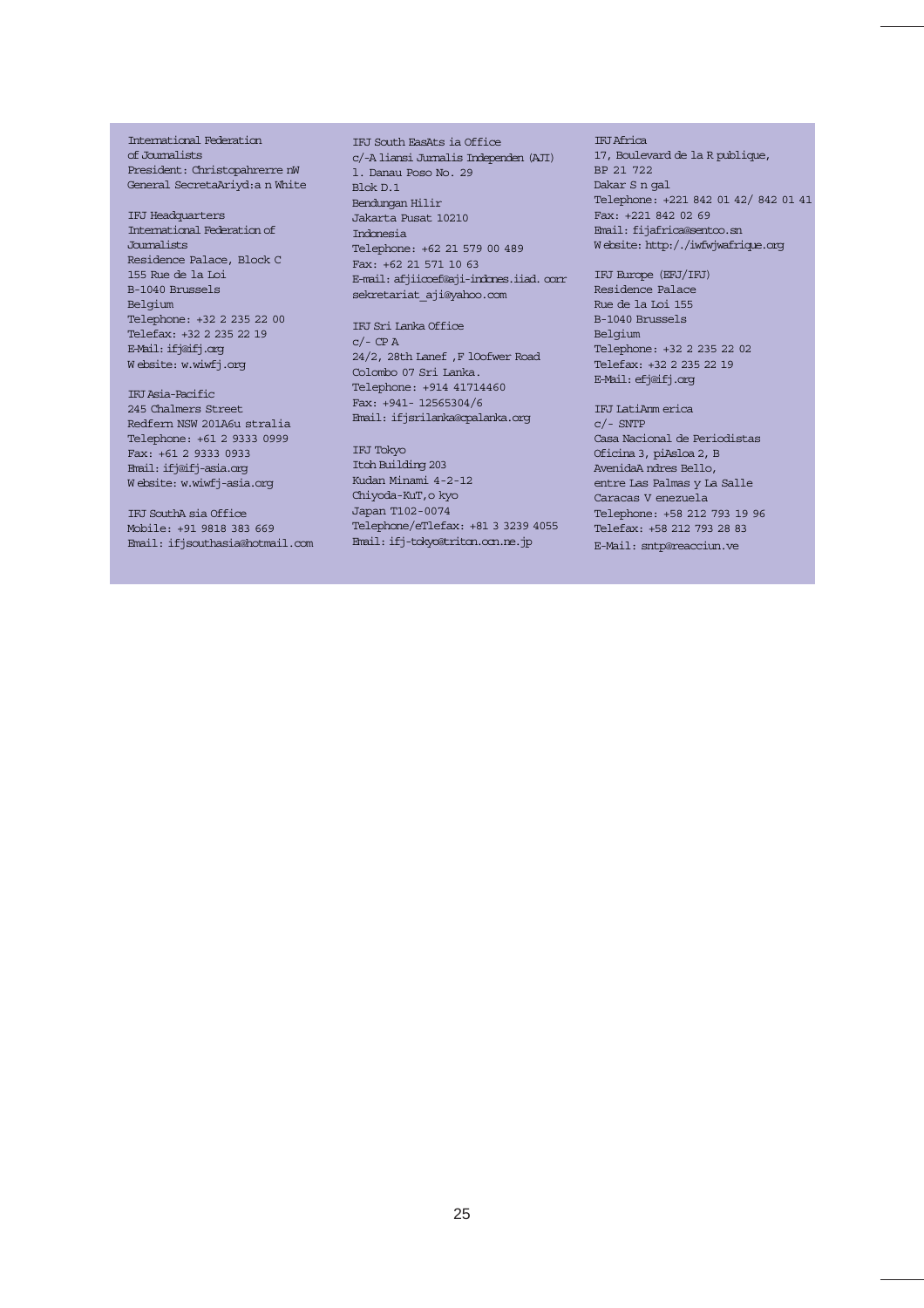International Federation of Journalists President: Christopahrerre nW General SecretaAriyd:a n White Blok D.1

IFJ Headquarters International Federation of Journalists Residence Palace, Block C 155 Rue de la Loi B-1040 Brussels Belgium Telephone: +32 2 235 22 00 Telefax: +32 2 235 22 19 E-Mail: ifj@ifj.org W ebsite: w.wiwfj.org

IFJ Asia-Pacific 245 Chalmers Street Redfern NSW 201A6u stralia Telephone: +61 2 9333 0999 Fax: +61 2 9333 0933 Email: ifj@ifj-asia.org W ebsite: w.wiwfj-asia.org

IFJ SouthA sia Office Mobile: +91 9818 383 669 Email: ifjsouthasia@hotmail.com

IFJ Europe (EFJ/IFJ) E-mail: afjiicoef@aji-indones.iiad. oorr IFJ South EasAts ia Office c/-A liansi Jurnalis Independen (AJI) l. Danau Poso No. 29 Bendungan Hilir Jakarta Pusat 10210 Indonesia Telephone: +62 21 579 00 489 Fax: +62 21 571 10 63 sekretariat\_aji@yahoo.com

IFJ Sri Lanka Office  $c$ /- CP A 24/2, 28th Lanef ,F lOofwer Road Colombo 07 Sri Lanka. Telephone: +914 41714460 Fax: +941- 12565304/6 Email: ifjsrilanka@cpalanka.org

Telefax: +58 212 793 28 83 Telephone/eTlefax: +81 3 3239 4055 IFJ Tokyo Itoh Building 203 Kudan Minami 4-2-12 Chiyoda-KuT,o kyo Japan T102-0074 Email: ifj-tokyo@triton.ocn.ne.jp

IFJ Africa

17, Boulevard de la R publique, BP 21 722 Dakar S n gal Telephone: +221 842 01 42/ 842 01 41 Fax: +221 842 02 69 Email: fijafrica@sentoo.sn W ebsite: http:/./iwfwjwafrique.org

Residence Palace Rue de la Loi 155 B-1040 Brussels Belgium Telephone: +32 2 235 22 02 Telefax: +32 2 235 22 19 E-Mail: efj@ifj.org

IFJ LatiAnm erica c/- SNTP Casa Nacional de Periodistas Oficina 3, piAsloa 2, B AvenidaA ndres Bello, entre Las Palmas y La Salle Caracas V enezuela Telephone: +58 212 793 19 96 E-Mail: sntp@reacciun.ve